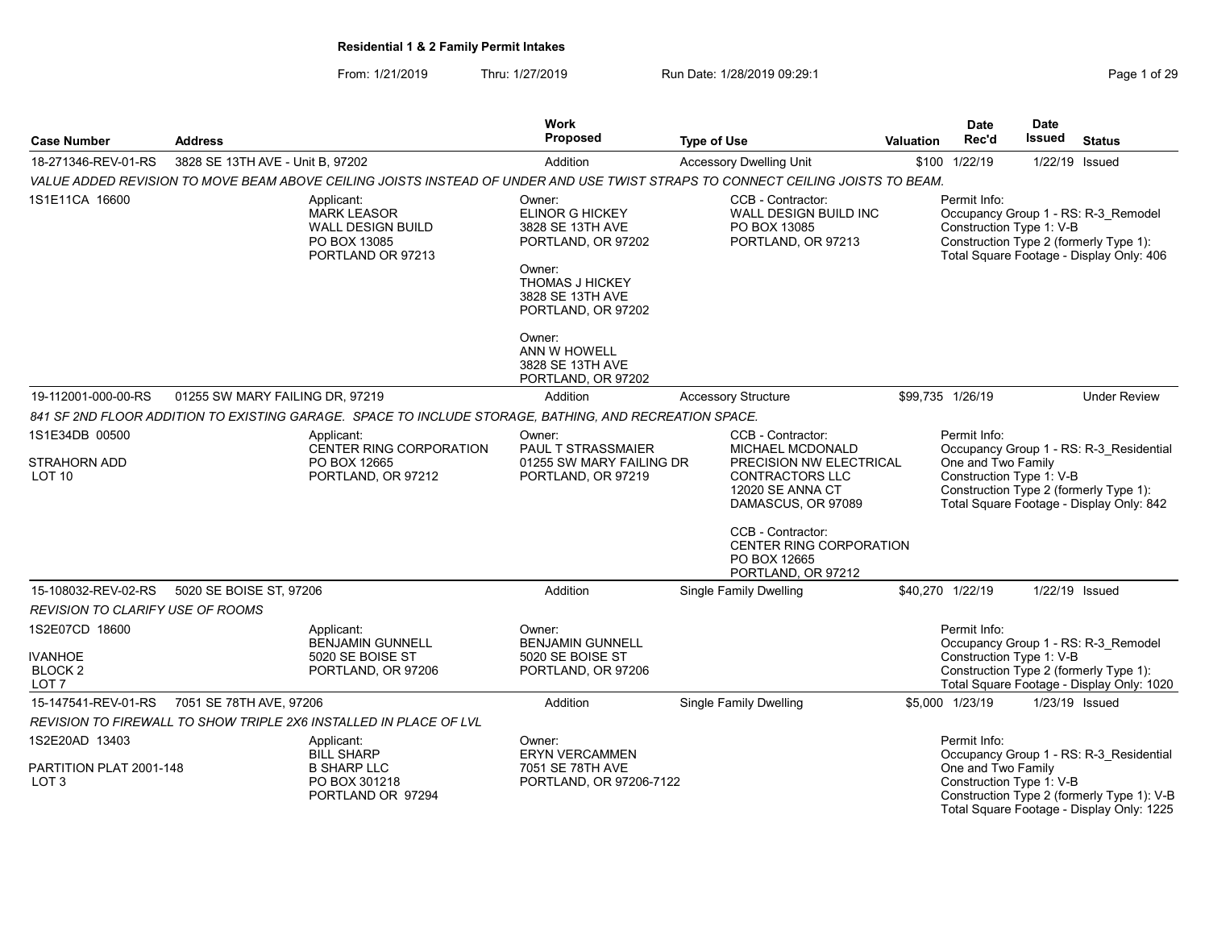| <b>Case Number</b>                                   | <b>Address</b>                   |                                                                                                        | <b>Work</b><br><b>Proposed</b>                                                                                                                           | <b>Type of Use</b>                                                                                                              | Valuation | <b>Date</b><br>Rec'd                                           | <b>Date</b><br><b>Issued</b> | <b>Status</b>                                                                                                                      |
|------------------------------------------------------|----------------------------------|--------------------------------------------------------------------------------------------------------|----------------------------------------------------------------------------------------------------------------------------------------------------------|---------------------------------------------------------------------------------------------------------------------------------|-----------|----------------------------------------------------------------|------------------------------|------------------------------------------------------------------------------------------------------------------------------------|
| 18-271346-REV-01-RS                                  | 3828 SE 13TH AVE - Unit B, 97202 |                                                                                                        | Addition                                                                                                                                                 | <b>Accessory Dwelling Unit</b>                                                                                                  |           | \$100 1/22/19                                                  | 1/22/19 Issued               |                                                                                                                                    |
|                                                      |                                  |                                                                                                        |                                                                                                                                                          | VALUE ADDED REVISION TO MOVE BEAM ABOVE CEILING JOISTS INSTEAD OF UNDER AND USE TWIST STRAPS TO CONNECT CEILING JOISTS TO BEAM. |           |                                                                |                              |                                                                                                                                    |
| 1S1E11CA 16600                                       |                                  | Applicant:<br><b>MARK LEASOR</b><br><b>WALL DESIGN BUILD</b><br>PO BOX 13085<br>PORTLAND OR 97213      | Owner:<br><b>ELINOR G HICKEY</b><br>3828 SE 13TH AVE<br>PORTLAND, OR 97202<br>Owner:<br><b>THOMAS J HICKEY</b><br>3828 SE 13TH AVE<br>PORTLAND, OR 97202 | CCB - Contractor:<br>WALL DESIGN BUILD INC<br>PO BOX 13085<br>PORTLAND, OR 97213                                                |           | Permit Info:<br>Construction Type 1: V-B                       |                              | Occupancy Group 1 - RS: R-3 Remodel<br>Construction Type 2 (formerly Type 1):<br>Total Square Footage - Display Only: 406          |
|                                                      |                                  |                                                                                                        | Owner:<br>ANN W HOWELL<br>3828 SE 13TH AVE<br>PORTLAND, OR 97202                                                                                         |                                                                                                                                 |           |                                                                |                              |                                                                                                                                    |
| 19-112001-000-00-RS                                  | 01255 SW MARY FAILING DR, 97219  |                                                                                                        | Addition                                                                                                                                                 | <b>Accessory Structure</b>                                                                                                      |           | \$99,735 1/26/19                                               |                              | <b>Under Review</b>                                                                                                                |
|                                                      |                                  | 841 SF 2ND FLOOR ADDITION TO EXISTING GARAGE. SPACE TO INCLUDE STORAGE, BATHING, AND RECREATION SPACE. |                                                                                                                                                          |                                                                                                                                 |           |                                                                |                              |                                                                                                                                    |
| 1S1E34DB 00500                                       |                                  | Applicant:<br>CENTER RING CORPORATION                                                                  | Owner:<br>PAUL T STRASSMAIER                                                                                                                             | CCB - Contractor:<br>MICHAEL MCDONALD                                                                                           |           | Permit Info:                                                   |                              | Occupancy Group 1 - RS: R-3_Residential                                                                                            |
| STRAHORN ADD<br>LOT 10                               |                                  | PO BOX 12665<br>PORTLAND, OR 97212                                                                     | 01255 SW MARY FAILING DR<br>PORTLAND, OR 97219                                                                                                           | PRECISION NW ELECTRICAL<br><b>CONTRACTORS LLC</b><br><b>12020 SE ANNA CT</b><br>DAMASCUS, OR 97089<br>CCB - Contractor:         |           | One and Two Family<br>Construction Type 1: V-B                 |                              | Construction Type 2 (formerly Type 1):<br>Total Square Footage - Display Only: 842                                                 |
|                                                      |                                  |                                                                                                        |                                                                                                                                                          | <b>CENTER RING CORPORATION</b><br>PO BOX 12665<br>PORTLAND, OR 97212                                                            |           |                                                                |                              |                                                                                                                                    |
| 15-108032-REV-02-RS                                  | 5020 SE BOISE ST, 97206          |                                                                                                        | Addition                                                                                                                                                 | Single Family Dwelling                                                                                                          |           | \$40,270 1/22/19                                               | 1/22/19 Issued               |                                                                                                                                    |
| <b>REVISION TO CLARIFY USE OF ROOMS</b>              |                                  |                                                                                                        |                                                                                                                                                          |                                                                                                                                 |           |                                                                |                              |                                                                                                                                    |
| 1S2E07CD 18600<br><b>IVANHOE</b><br>BLOCK 2<br>LOT 7 |                                  | Applicant:<br><b>BENJAMIN GUNNELL</b><br>5020 SE BOISE ST<br>PORTLAND, OR 97206                        | Owner:<br><b>BENJAMIN GUNNELL</b><br>5020 SE BOISE ST<br>PORTLAND, OR 97206                                                                              |                                                                                                                                 |           | Permit Info:<br>Construction Type 1: V-B                       |                              | Occupancy Group 1 - RS: R-3 Remodel<br>Construction Type 2 (formerly Type 1):<br>Total Square Footage - Display Only: 1020         |
| 15-147541-REV-01-RS                                  | 7051 SE 78TH AVE, 97206          |                                                                                                        | Addition                                                                                                                                                 | <b>Single Family Dwelling</b>                                                                                                   |           | \$5,000 1/23/19                                                | 1/23/19 Issued               |                                                                                                                                    |
|                                                      |                                  | REVISION TO FIREWALL TO SHOW TRIPLE 2X6 INSTALLED IN PLACE OF LVL                                      |                                                                                                                                                          |                                                                                                                                 |           |                                                                |                              |                                                                                                                                    |
| 1S2E20AD 13403<br>PARTITION PLAT 2001-148<br>LOT 3   |                                  | Applicant:<br><b>BILL SHARP</b><br><b>B SHARP LLC</b><br>PO BOX 301218<br>PORTLAND OR 97294            | Owner:<br><b>ERYN VERCAMMEN</b><br>7051 SE 78TH AVE<br>PORTLAND, OR 97206-7122                                                                           |                                                                                                                                 |           | Permit Info:<br>One and Two Family<br>Construction Type 1: V-B |                              | Occupancy Group 1 - RS: R-3 Residential<br>Construction Type 2 (formerly Type 1): V-B<br>Total Square Footage - Display Only: 1225 |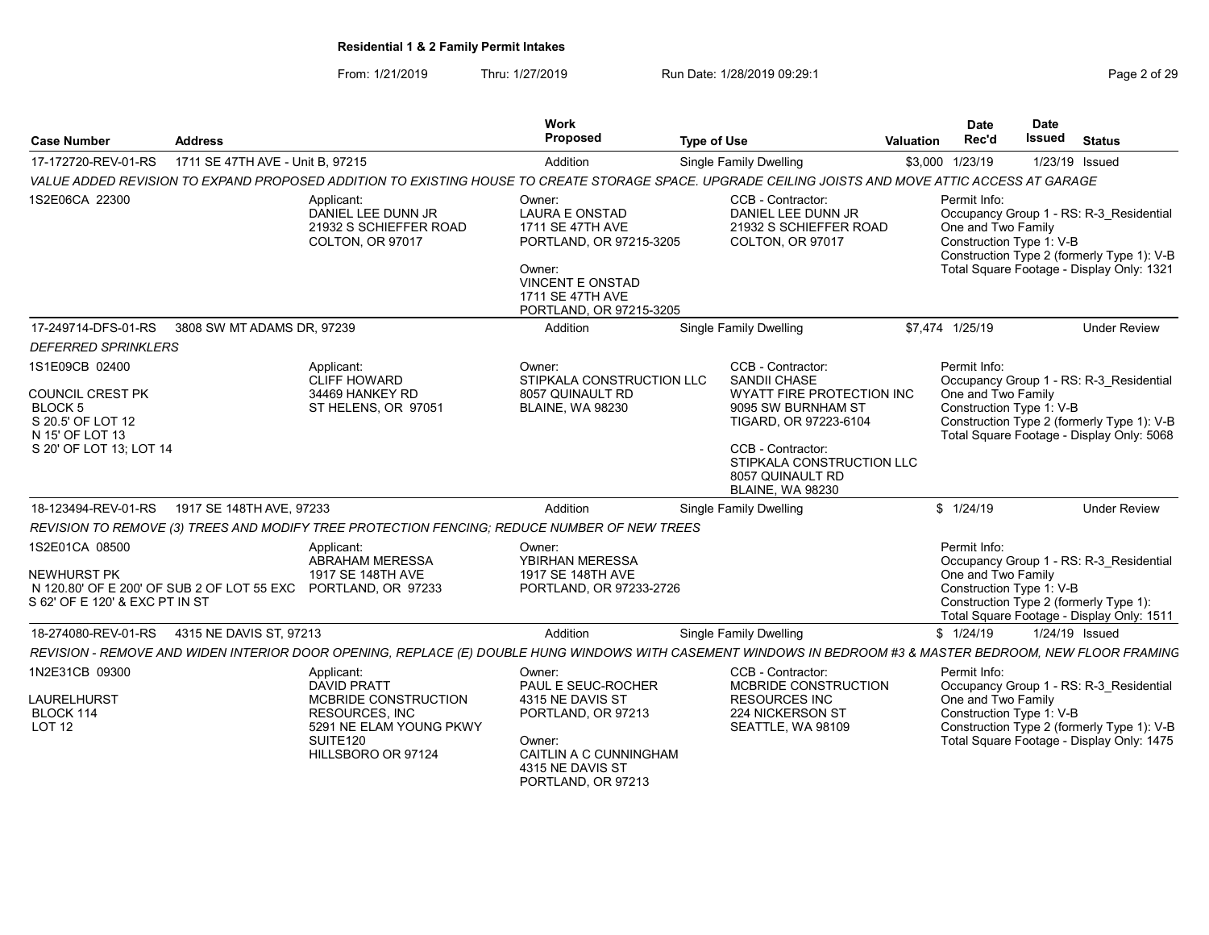From: 1/21/2019 Thru: 1/27/2019 Run Date: 1/28/2019 09:29:1<br>
Page 2 of 29

| <b>Case Number</b>                                                                                                                                                                                                                                                          | <b>Address</b>                   |                                                                                                                                                                                                                                         | <b>Work</b><br>Proposed                                                                                                                                                     | <b>Type of Use</b> |                                                                                                                                                                                                                                                 | <b>Valuation</b> | <b>Date</b><br>Rec'd                                                                                                                          | <b>Date</b><br><b>Issued</b> | <b>Status</b>                                                                                                                                                                                                                                  |
|-----------------------------------------------------------------------------------------------------------------------------------------------------------------------------------------------------------------------------------------------------------------------------|----------------------------------|-----------------------------------------------------------------------------------------------------------------------------------------------------------------------------------------------------------------------------------------|-----------------------------------------------------------------------------------------------------------------------------------------------------------------------------|--------------------|-------------------------------------------------------------------------------------------------------------------------------------------------------------------------------------------------------------------------------------------------|------------------|-----------------------------------------------------------------------------------------------------------------------------------------------|------------------------------|------------------------------------------------------------------------------------------------------------------------------------------------------------------------------------------------------------------------------------------------|
| 17-172720-REV-01-RS                                                                                                                                                                                                                                                         | 1711 SE 47TH AVE - Unit B, 97215 |                                                                                                                                                                                                                                         | Addition                                                                                                                                                                    |                    | <b>Single Family Dwelling</b>                                                                                                                                                                                                                   |                  | \$3,000 1/23/19                                                                                                                               |                              | 1/23/19 Issued                                                                                                                                                                                                                                 |
|                                                                                                                                                                                                                                                                             |                                  | VALUE ADDED REVISION TO EXPAND PROPOSED ADDITION TO EXISTING HOUSE TO CREATE STORAGE SPACE. UPGRADE CEILING JOISTS AND MOVE ATTIC ACCESS AT GARAGE                                                                                      |                                                                                                                                                                             |                    |                                                                                                                                                                                                                                                 |                  |                                                                                                                                               |                              |                                                                                                                                                                                                                                                |
| 1S2E06CA 22300                                                                                                                                                                                                                                                              |                                  | Applicant:<br>DANIEL LEE DUNN JR<br>21932 S SCHIEFFER ROAD<br>COLTON, OR 97017                                                                                                                                                          | Owner:<br><b>LAURA E ONSTAD</b><br>1711 SE 47TH AVE<br>PORTLAND, OR 97215-3205<br>Owner:<br>VINCENT E ONSTAD<br>1711 SE 47TH AVE<br>PORTLAND, OR 97215-3205                 |                    | CCB - Contractor:<br>DANIEL LEE DUNN JR<br>21932 S SCHIEFFER ROAD<br>COLTON, OR 97017                                                                                                                                                           |                  | Permit Info:<br>One and Two Family<br>Construction Type 1: V-B                                                                                |                              | Occupancy Group 1 - RS: R-3 Residential<br>Construction Type 2 (formerly Type 1): V-B<br>Total Square Footage - Display Only: 1321                                                                                                             |
| 17-249714-DFS-01-RS                                                                                                                                                                                                                                                         | 3808 SW MT ADAMS DR, 97239       |                                                                                                                                                                                                                                         | Addition                                                                                                                                                                    |                    | Single Family Dwelling                                                                                                                                                                                                                          |                  | \$7,474 1/25/19                                                                                                                               |                              | <b>Under Review</b>                                                                                                                                                                                                                            |
| <b>DEFERRED SPRINKLERS</b>                                                                                                                                                                                                                                                  |                                  |                                                                                                                                                                                                                                         |                                                                                                                                                                             |                    |                                                                                                                                                                                                                                                 |                  |                                                                                                                                               |                              |                                                                                                                                                                                                                                                |
| 1S1E09CB 02400<br>COUNCIL CREST PK<br>BLOCK 5<br>S 20.5' OF LOT 12<br>N 15' OF LOT 13<br>S 20' OF LOT 13; LOT 14<br>18-123494-REV-01-RS<br>1S2E01CA 08500<br>NEWHURST PK<br>N 120.80' OF E 200' OF SUB 2 OF LOT 55 EXC PORTLAND, OR 97233<br>S 62' OF E 120' & EXC PT IN ST | 1917 SE 148TH AVE, 97233         | Applicant:<br><b>CLIFF HOWARD</b><br>34469 HANKEY RD<br>ST HELENS, OR 97051<br>REVISION TO REMOVE (3) TREES AND MODIFY TREE PROTECTION FENCING: REDUCE NUMBER OF NEW TREES<br>Applicant:<br><b>ABRAHAM MERESSA</b><br>1917 SE 148TH AVE | Owner:<br>STIPKALA CONSTRUCTION LLC<br>8057 QUINAULT RD<br><b>BLAINE, WA 98230</b><br>Addition<br>Owner:<br>YBIRHAN MERESSA<br>1917 SE 148TH AVE<br>PORTLAND, OR 97233-2726 |                    | CCB - Contractor:<br><b>SANDII CHASE</b><br>WYATT FIRE PROTECTION INC<br>9095 SW BURNHAM ST<br>TIGARD, OR 97223-6104<br>CCB - Contractor:<br>STIPKALA CONSTRUCTION LLC<br>8057 QUINAULT RD<br><b>BLAINE, WA 98230</b><br>Single Family Dwelling |                  | Permit Info:<br>One and Two Family<br>Construction Type 1: V-B<br>\$1/24/19<br>Permit Info:<br>One and Two Family<br>Construction Type 1: V-B |                              | Occupancy Group 1 - RS: R-3_Residential<br>Construction Type 2 (formerly Type 1): V-B<br>Total Square Footage - Display Only: 5068<br><b>Under Review</b><br>Occupancy Group 1 - RS: R-3 Residential<br>Construction Type 2 (formerly Type 1): |
|                                                                                                                                                                                                                                                                             |                                  |                                                                                                                                                                                                                                         |                                                                                                                                                                             |                    |                                                                                                                                                                                                                                                 |                  |                                                                                                                                               |                              | Total Square Footage - Display Only: 1511                                                                                                                                                                                                      |
| 18-274080-REV-01-RS                                                                                                                                                                                                                                                         | 4315 NE DAVIS ST. 97213          |                                                                                                                                                                                                                                         | Addition                                                                                                                                                                    |                    | Single Family Dwelling                                                                                                                                                                                                                          |                  | \$1/24/19                                                                                                                                     |                              | 1/24/19 Issued                                                                                                                                                                                                                                 |
| 1N2E31CB 09300                                                                                                                                                                                                                                                              |                                  | REVISION - REMOVE AND WIDEN INTERIOR DOOR OPENING, REPLACE (E) DOUBLE HUNG WINDOWS WITH CASEMENT WINDOWS IN BEDROOM #3 & MASTER BEDROOM, NEW FLOOR FRAMING                                                                              |                                                                                                                                                                             |                    | CCB - Contractor:                                                                                                                                                                                                                               |                  | Permit Info:                                                                                                                                  |                              |                                                                                                                                                                                                                                                |
| LAURELHURST<br>BLOCK 114<br><b>LOT 12</b>                                                                                                                                                                                                                                   |                                  | Applicant:<br><b>DAVID PRATT</b><br>MCBRIDE CONSTRUCTION<br><b>RESOURCES, INC</b><br>5291 NE ELAM YOUNG PKWY<br>SUITE <sub>120</sub><br>HILLSBORO OR 97124                                                                              | Owner:<br>PAUL E SEUC-ROCHER<br>4315 NE DAVIS ST<br>PORTLAND, OR 97213<br>Owner:<br>CAITLIN A C CUNNINGHAM<br>4315 NE DAVIS ST<br>PORTLAND, OR 97213                        |                    | MCBRIDE CONSTRUCTION<br><b>RESOURCES INC</b><br>224 NICKERSON ST<br>SEATTLE, WA 98109                                                                                                                                                           |                  | One and Two Family<br>Construction Type 1: V-B                                                                                                |                              | Occupancy Group 1 - RS: R-3 Residential<br>Construction Type 2 (formerly Type 1): V-B<br>Total Square Footage - Display Only: 1475                                                                                                             |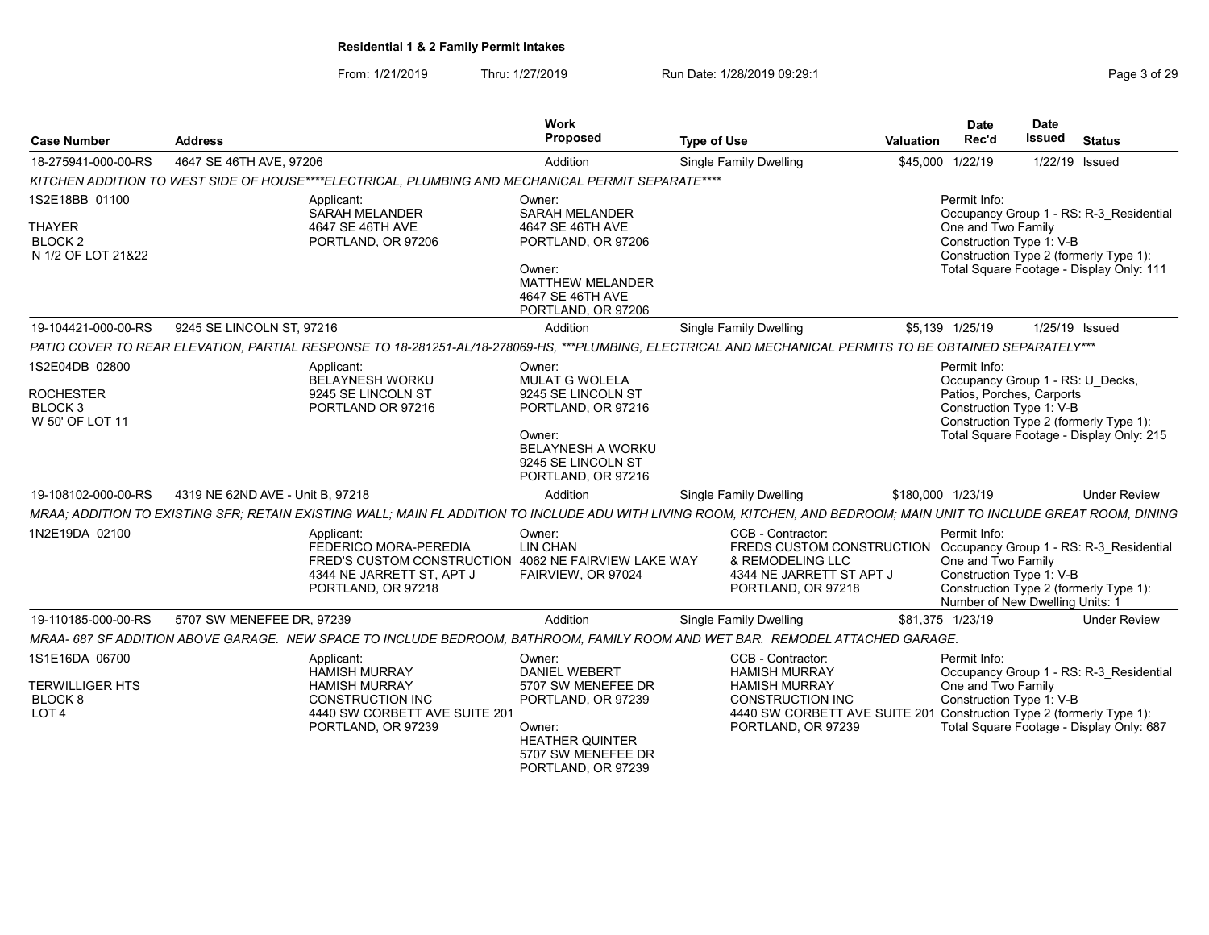| <b>Case Number</b>                                                          | <b>Address</b>                   |                                                                                                                                                | Work<br>Proposed                                                                                                                                              | <b>Type of Use</b>                                                                                                                                                                         | Date<br>Rec'd<br>Valuation                                            | Date<br><b>Issued</b><br>Status                                                                                               |
|-----------------------------------------------------------------------------|----------------------------------|------------------------------------------------------------------------------------------------------------------------------------------------|---------------------------------------------------------------------------------------------------------------------------------------------------------------|--------------------------------------------------------------------------------------------------------------------------------------------------------------------------------------------|-----------------------------------------------------------------------|-------------------------------------------------------------------------------------------------------------------------------|
| 18-275941-000-00-RS                                                         | 4647 SE 46TH AVE, 97206          |                                                                                                                                                | Addition                                                                                                                                                      | Single Family Dwelling                                                                                                                                                                     | \$45,000 1/22/19                                                      | 1/22/19 Issued                                                                                                                |
|                                                                             |                                  | KITCHEN ADDITION TO WEST SIDE OF HOUSE****ELECTRICAL. PLUMBING AND MECHANICAL PERMIT SEPARATE****                                              |                                                                                                                                                               |                                                                                                                                                                                            |                                                                       |                                                                                                                               |
| 1S2E18BB 01100<br>THAYER<br><b>BLOCK2</b><br>N 1/2 OF LOT 21&22             |                                  | Applicant:<br>SARAH MELANDER<br>4647 SE 46TH AVE<br>PORTLAND, OR 97206                                                                         | Owner:<br><b>SARAH MELANDER</b><br>4647 SE 46TH AVE<br>PORTLAND, OR 97206<br>Owner:<br><b>MATTHEW MELANDER</b><br>4647 SE 46TH AVE<br>PORTLAND, OR 97206      |                                                                                                                                                                                            | Permit Info:<br>One and Two Family<br>Construction Type 1: V-B        | Occupancy Group 1 - RS: R-3 Residential<br>Construction Type 2 (formerly Type 1):<br>Total Square Footage - Display Only: 111 |
| 19-104421-000-00-RS                                                         | 9245 SE LINCOLN ST, 97216        |                                                                                                                                                | Addition                                                                                                                                                      | Single Family Dwelling                                                                                                                                                                     | \$5,139 1/25/19                                                       | 1/25/19 Issued                                                                                                                |
|                                                                             |                                  |                                                                                                                                                |                                                                                                                                                               | PATIO COVER TO REAR ELEVATION, PARTIAL RESPONSE TO 18-281251-AL/18-278069-HS, ***PLUMBING, ELECTRICAL AND MECHANICAL PERMITS TO BE OBTAINED SEPARATELY***                                  |                                                                       |                                                                                                                               |
| 1S2E04DB 02800<br><b>ROCHESTER</b><br>BLOCK <sub>3</sub><br>W 50' OF LOT 11 |                                  | Applicant:<br>BELAYNESH WORKU<br>9245 SE LINCOLN ST<br>PORTLAND OR 97216                                                                       | Owner:<br><b>MULAT G WOLELA</b><br>9245 SE LINCOLN ST<br>PORTLAND, OR 97216<br>Owner:<br><b>BELAYNESH A WORKU</b><br>9245 SE LINCOLN ST<br>PORTLAND, OR 97216 |                                                                                                                                                                                            | Permit Info:<br>Patios, Porches, Carports<br>Construction Type 1: V-B | Occupancy Group 1 - RS: U_Decks,<br>Construction Type 2 (formerly Type 1):<br>Total Square Footage - Display Only: 215        |
| 19-108102-000-00-RS                                                         | 4319 NE 62ND AVE - Unit B, 97218 |                                                                                                                                                | Addition                                                                                                                                                      | Single Family Dwelling                                                                                                                                                                     | \$180,000 1/23/19                                                     | <b>Under Review</b>                                                                                                           |
|                                                                             |                                  |                                                                                                                                                |                                                                                                                                                               | MRAA; ADDITION TO EXISTING SFR; RETAIN EXISTING WALL; MAIN FL ADDITION TO INCLUDE ADU WITH LIVING ROOM, KITCHEN, AND BEDROOM; MAIN UNIT TO INCLUDE GREAT ROOM, DINING                      |                                                                       |                                                                                                                               |
| 1N2E19DA 02100                                                              |                                  | Applicant:<br>FEDERICO MORA-PEREDIA<br>FRED'S CUSTOM CONSTRUCTION 4062 NE FAIRVIEW LAKE WAY<br>4344 NE JARRETT ST, APT J<br>PORTLAND, OR 97218 | Owner:<br><b>LIN CHAN</b><br>FAIRVIEW, OR 97024                                                                                                               | CCB - Contractor:<br>FREDS CUSTOM CONSTRUCTION<br>& REMODELING LLC<br>4344 NE JARRETT ST APT J<br>PORTLAND, OR 97218                                                                       | Permit Info:<br>One and Two Family<br>Construction Type 1: V-B        | Occupancy Group 1 - RS: R-3 Residential<br>Construction Type 2 (formerly Type 1):<br>Number of New Dwelling Units:            |
| 19-110185-000-00-RS                                                         | 5707 SW MENEFEE DR, 97239        |                                                                                                                                                | Addition                                                                                                                                                      | Single Family Dwelling                                                                                                                                                                     | \$81,375 1/23/19                                                      | <b>Under Review</b>                                                                                                           |
|                                                                             |                                  |                                                                                                                                                |                                                                                                                                                               | MRAA- 687 SF ADDITION ABOVE GARAGE. NEW SPACE TO INCLUDE BEDROOM, BATHROOM, FAMILY ROOM AND WET BAR. REMODEL ATTACHED GARAGE                                                               |                                                                       |                                                                                                                               |
| 1S1E16DA 06700<br><b>TERWILLIGER HTS</b><br>BLOCK <sub>8</sub><br>LOT 4     |                                  | Applicant:<br>HAMISH MURRAY<br><b>HAMISH MURRAY</b><br><b>CONSTRUCTION INC</b><br>4440 SW CORBETT AVE SUITE 201<br>PORTLAND, OR 97239          | Owner:<br><b>DANIEL WEBERT</b><br>5707 SW MENEFEE DR<br>PORTLAND, OR 97239<br>Owner:<br><b>HEATHER QUINTER</b><br>5707 SW MENEFEE DR<br>PORTLAND, OR 97239    | CCB - Contractor:<br><b>HAMISH MURRAY</b><br><b>HAMISH MURRAY</b><br><b>CONSTRUCTION INC</b><br>4440 SW CORBETT AVE SUITE 201 Construction Type 2 (formerly Type 1):<br>PORTLAND, OR 97239 | Permit Info:<br>One and Two Family<br>Construction Type 1: V-B        | Occupancy Group 1 - RS: R-3 Residential<br>Total Square Footage - Display Only: 687                                           |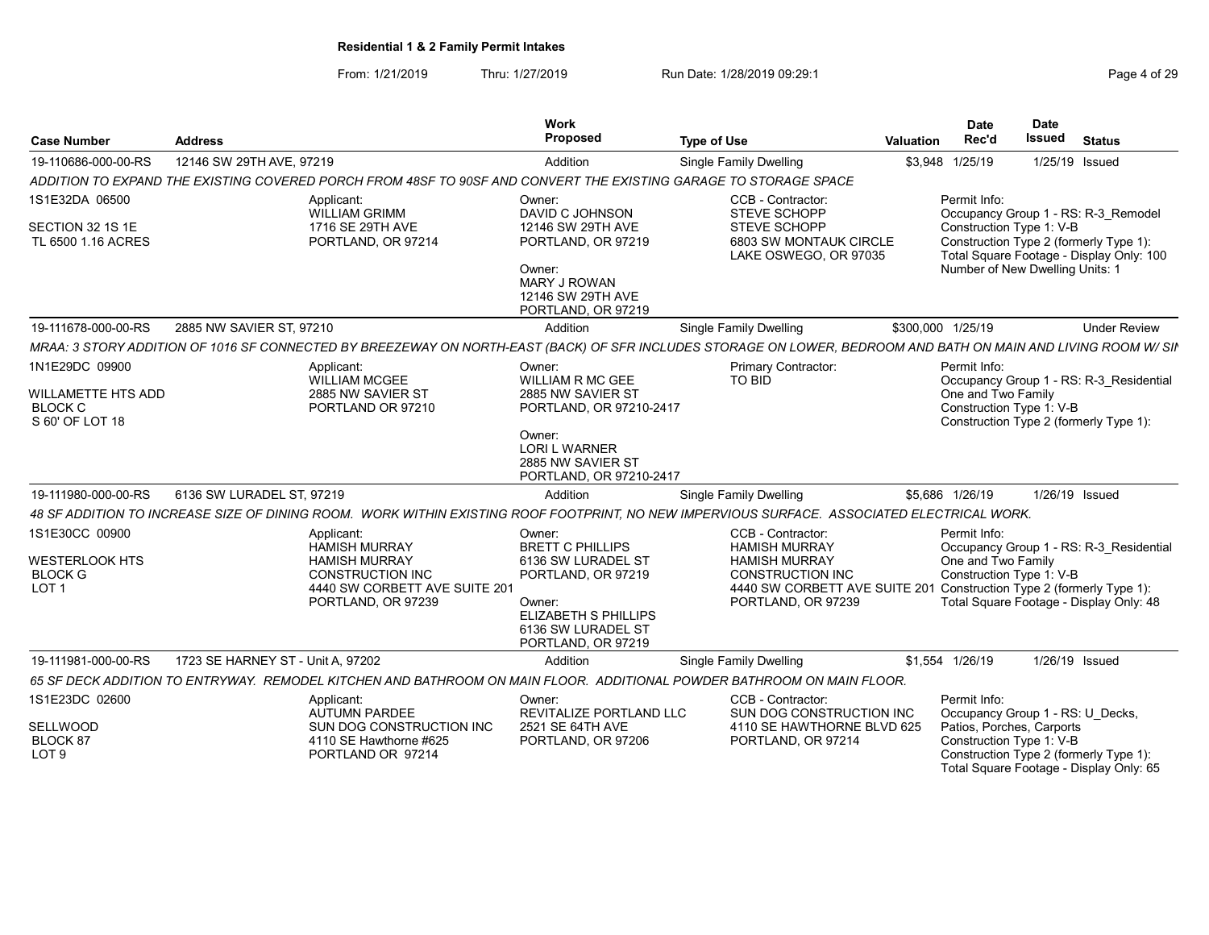From: 1/21/2019 Thru: 1/27/2019 Run Date: 1/28/2019 09:29:1<br>
Page 4 of 29

| <b>Case Number</b>                                                        | <b>Address</b>                    |                                                                                                                                                                 | Work<br>Proposed                                                                                                                                                   | <b>Type of Use</b>                                                                                                                                  | Valuation         | <b>Date</b><br>Rec'd                                                          | <b>Date</b><br>Issued | <b>Status</b>                                                                                                                |
|---------------------------------------------------------------------------|-----------------------------------|-----------------------------------------------------------------------------------------------------------------------------------------------------------------|--------------------------------------------------------------------------------------------------------------------------------------------------------------------|-----------------------------------------------------------------------------------------------------------------------------------------------------|-------------------|-------------------------------------------------------------------------------|-----------------------|------------------------------------------------------------------------------------------------------------------------------|
| 19-110686-000-00-RS                                                       | 12146 SW 29TH AVE, 97219          |                                                                                                                                                                 | Addition                                                                                                                                                           | <b>Single Family Dwelling</b>                                                                                                                       |                   | \$3,948 1/25/19                                                               | 1/25/19 Issued        |                                                                                                                              |
|                                                                           |                                   | ADDITION TO EXPAND THE EXISTING COVERED PORCH FROM 48SF TO 90SF AND CONVERT THE EXISTING GARAGE TO STORAGE SPACE                                                |                                                                                                                                                                    |                                                                                                                                                     |                   |                                                                               |                       |                                                                                                                              |
| 1S1E32DA 06500<br>SECTION 32 1S 1E<br>TL 6500 1.16 ACRES                  |                                   | Applicant:<br><b>WILLIAM GRIMM</b><br>1716 SE 29TH AVE<br>PORTLAND, OR 97214                                                                                    | Owner:<br>DAVID C JOHNSON<br>12146 SW 29TH AVE<br>PORTLAND, OR 97219<br>Owner:<br><b>MARY J ROWAN</b><br>12146 SW 29TH AVE                                         | CCB - Contractor:<br><b>STEVE SCHOPP</b><br><b>STEVE SCHOPP</b><br>6803 SW MONTAUK CIRCLE<br>LAKE OSWEGO, OR 97035                                  |                   | Permit Info:<br>Construction Type 1: V-B<br>Number of New Dwelling Units: 1   |                       | Occupancy Group 1 - RS: R-3 Remodel<br>Construction Type 2 (formerly Type 1):<br>Total Square Footage - Display Only: 100    |
|                                                                           |                                   |                                                                                                                                                                 | PORTLAND, OR 97219                                                                                                                                                 |                                                                                                                                                     |                   |                                                                               |                       |                                                                                                                              |
| 19-111678-000-00-RS                                                       | 2885 NW SAVIER ST. 97210          |                                                                                                                                                                 | Addition                                                                                                                                                           | <b>Single Family Dwelling</b>                                                                                                                       | \$300.000 1/25/19 |                                                                               |                       | <b>Under Review</b>                                                                                                          |
|                                                                           |                                   | MRAA: 3 STORY ADDITION OF 1016 SF CONNECTED BY BREEZEWAY ON NORTH-EAST (BACK) OF SFR INCLUDES STORAGE ON LOWER, BEDROOM AND BATH ON MAIN AND LIVING ROOM W/ SIP |                                                                                                                                                                    |                                                                                                                                                     |                   |                                                                               |                       |                                                                                                                              |
| 1N1E29DC 09900<br>WILLAMETTE HTS ADD<br><b>BLOCK C</b><br>S 60' OF LOT 18 |                                   | Applicant:<br><b>WILLIAM MCGEE</b><br>2885 NW SAVIER ST<br>PORTLAND OR 97210                                                                                    | Owner:<br>WILLIAM R MC GEE<br>2885 NW SAVIER ST<br>PORTLAND, OR 97210-2417                                                                                         | Primary Contractor:<br>TO BID                                                                                                                       |                   | Permit Info:<br>One and Two Family<br>Construction Type 1: V-B                |                       | Occupancy Group 1 - RS: R-3 Residential<br>Construction Type 2 (formerly Type 1):                                            |
|                                                                           |                                   |                                                                                                                                                                 | Owner:<br><b>LORI L WARNER</b><br>2885 NW SAVIER ST<br>PORTLAND, OR 97210-2417                                                                                     |                                                                                                                                                     |                   |                                                                               |                       |                                                                                                                              |
| 19-111980-000-00-RS                                                       | 6136 SW LURADEL ST, 97219         |                                                                                                                                                                 | Addition                                                                                                                                                           | Single Family Dwelling                                                                                                                              |                   | \$5,686 1/26/19                                                               | 1/26/19 Issued        |                                                                                                                              |
|                                                                           |                                   | 48 SF ADDITION TO INCREASE SIZE OF DINING ROOM. WORK WITHIN EXISTING ROOF FOOTPRINT, NO NEW IMPERVIOUS SURFACE. ASSOCIATED ELECTRICAL WORK.                     |                                                                                                                                                                    |                                                                                                                                                     |                   |                                                                               |                       |                                                                                                                              |
| 1S1E30CC 00900<br>WESTERLOOK HTS<br><b>BLOCK G</b><br>LOT <sub>1</sub>    |                                   | Applicant:<br><b>HAMISH MURRAY</b><br><b>HAMISH MURRAY</b><br><b>CONSTRUCTION INC</b><br>4440 SW CORBETT AVE SUITE 201<br>PORTLAND, OR 97239                    | Owner:<br><b>BRETT C PHILLIPS</b><br>6136 SW LURADEL ST<br>PORTLAND, OR 97219<br>Owner:<br><b>ELIZABETH S PHILLIPS</b><br>6136 SW LURADEL ST<br>PORTLAND, OR 97219 | CCB - Contractor:<br><b>HAMISH MURRAY</b><br><b>HAMISH MURRAY</b><br><b>CONSTRUCTION INC</b><br>4440 SW CORBETT AVE SUITE 201<br>PORTLAND, OR 97239 |                   | Permit Info:<br>One and Two Family<br>Construction Type 1: V-B                |                       | Occupancy Group 1 - RS: R-3 Residential<br>Construction Type 2 (formerly Type 1):<br>Total Square Footage - Display Only: 48 |
| 19-111981-000-00-RS                                                       | 1723 SE HARNEY ST - Unit A, 97202 |                                                                                                                                                                 | Addition                                                                                                                                                           | <b>Single Family Dwelling</b>                                                                                                                       |                   | \$1,554 1/26/19                                                               | 1/26/19 Issued        |                                                                                                                              |
|                                                                           |                                   | 65 SF DECK ADDITION TO ENTRYWAY. REMODEL KITCHEN AND BATHROOM ON MAIN FLOOR. ADDITIONAL POWDER BATHROOM ON MAIN FLOOR.                                          |                                                                                                                                                                    |                                                                                                                                                     |                   |                                                                               |                       |                                                                                                                              |
| 1S1E23DC 02600<br>SELLWOOD                                                |                                   | Applicant:<br><b>AUTUMN PARDEE</b><br>SUN DOG CONSTRUCTION INC                                                                                                  | Owner:<br>REVITALIZE PORTLAND LLC<br>2521 SE 64TH AVE                                                                                                              | CCB - Contractor:<br>SUN DOG CONSTRUCTION INC<br>4110 SE HAWTHORNE BLVD 625                                                                         |                   | Permit Info:<br>Occupancy Group 1 - RS: U Decks,<br>Patios, Porches, Carports |                       |                                                                                                                              |
| BLOCK 87<br>LOT <sub>9</sub>                                              |                                   | 4110 SE Hawthorne #625<br>PORTLAND OR 97214                                                                                                                     | PORTLAND, OR 97206                                                                                                                                                 | PORTLAND, OR 97214                                                                                                                                  |                   | Construction Type 1: V-B                                                      |                       | Construction Type 2 (formerly Type 1):<br>Total Square Footage - Display Only: 65                                            |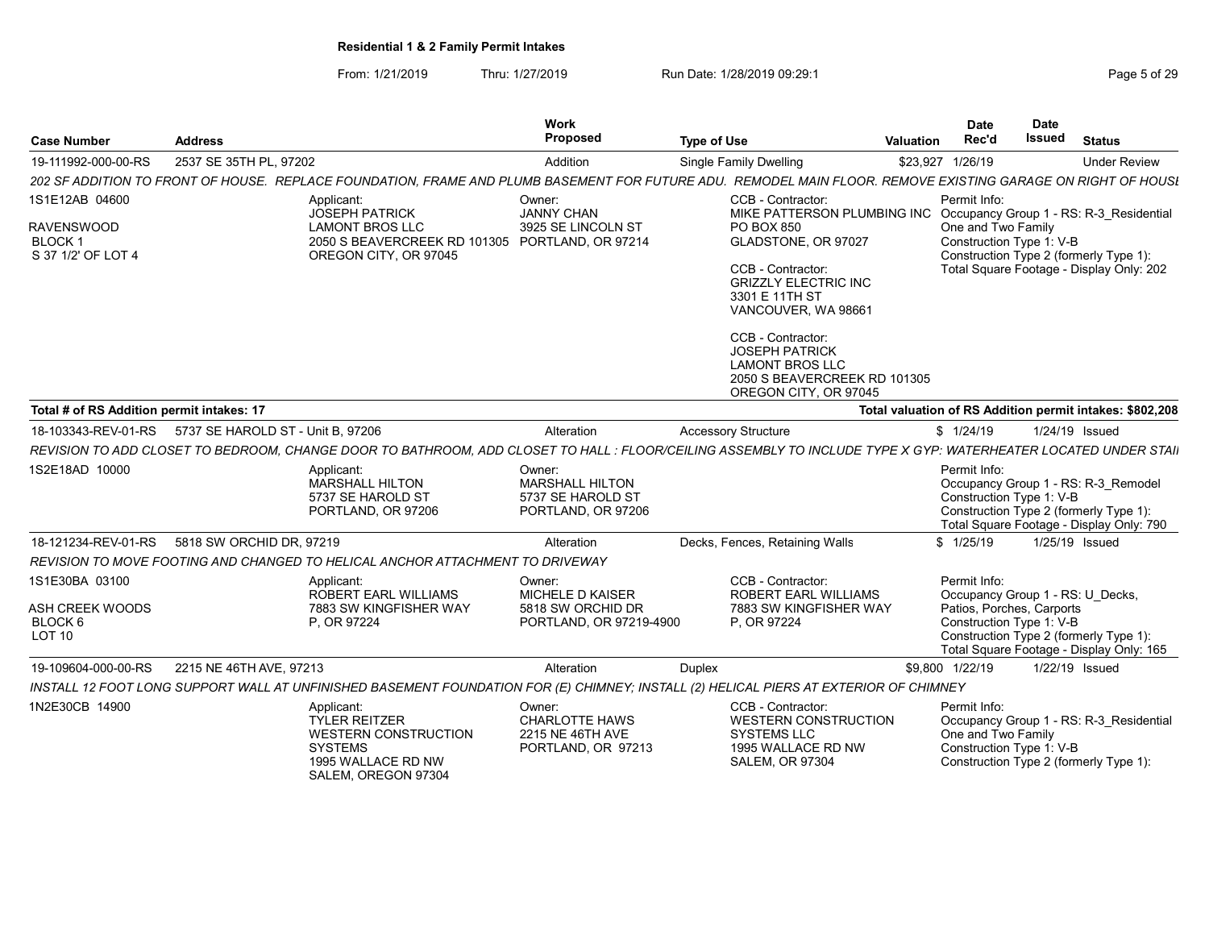| <b>Case Number</b>                                                         | <b>Address</b>                                                                                                                                                 | <b>Work</b><br>Proposed                                                     | <b>Type of Use</b>                                                                                                                                                                                                                                                                                                  | <b>Valuation</b> | <b>Date</b><br>Rec'd                                                                                      | <b>Date</b><br>Issued | <b>Status</b>                                                                                                                 |
|----------------------------------------------------------------------------|----------------------------------------------------------------------------------------------------------------------------------------------------------------|-----------------------------------------------------------------------------|---------------------------------------------------------------------------------------------------------------------------------------------------------------------------------------------------------------------------------------------------------------------------------------------------------------------|------------------|-----------------------------------------------------------------------------------------------------------|-----------------------|-------------------------------------------------------------------------------------------------------------------------------|
| 19-111992-000-00-RS                                                        | 2537 SE 35TH PL, 97202                                                                                                                                         | Addition                                                                    | <b>Single Family Dwelling</b>                                                                                                                                                                                                                                                                                       |                  | \$23,927 1/26/19                                                                                          |                       | <b>Under Review</b>                                                                                                           |
|                                                                            | 202 SF ADDITION TO FRONT OF HOUSE. REPLACE FOUNDATION, FRAME AND PLUMB BASEMENT FOR FUTURE ADU. REMODEL MAIN FLOOR, REMOVE EXISTING GARAGE ON RIGHT OF HOUSI   |                                                                             |                                                                                                                                                                                                                                                                                                                     |                  |                                                                                                           |                       |                                                                                                                               |
| 1S1E12AB 04600<br><b>RAVENSWOOD</b><br><b>BLOCK1</b><br>S 37 1/2' OF LOT 4 | Applicant:<br><b>JOSEPH PATRICK</b><br><b>LAMONT BROS LLC</b><br>2050 S BEAVERCREEK RD 101305 PORTLAND, OR 97214<br>OREGON CITY, OR 97045                      | Owner:<br><b>JANNY CHAN</b><br>3925 SE LINCOLN ST                           | CCB - Contractor:<br>MIKE PATTERSON PLUMBING INC<br>PO BOX 850<br>GLADSTONE, OR 97027<br>CCB - Contractor:<br><b>GRIZZLY ELECTRIC INC</b><br>3301 E 11TH ST<br>VANCOUVER, WA 98661<br>CCB - Contractor:<br><b>JOSEPH PATRICK</b><br><b>LAMONT BROS LLC</b><br>2050 S BEAVERCREEK RD 101305<br>OREGON CITY, OR 97045 |                  | Permit Info:<br>One and Two Family<br>Construction Type 1: V-B                                            |                       | Occupancy Group 1 - RS: R-3 Residential<br>Construction Type 2 (formerly Type 1):<br>Total Square Footage - Display Only: 202 |
| Total # of RS Addition permit intakes: 17                                  |                                                                                                                                                                |                                                                             |                                                                                                                                                                                                                                                                                                                     |                  |                                                                                                           |                       | Total valuation of RS Addition permit intakes: \$802,208                                                                      |
| 18-103343-REV-01-RS                                                        | 5737 SE HAROLD ST - Unit B, 97206                                                                                                                              | Alteration                                                                  | <b>Accessory Structure</b>                                                                                                                                                                                                                                                                                          |                  | \$1/24/19                                                                                                 | 1/24/19 Issued        |                                                                                                                               |
|                                                                            | REVISION TO ADD CLOSET TO BEDROOM, CHANGE DOOR TO BATHROOM, ADD CLOSET TO HALL : FLOOR/CEILING ASSEMBLY TO INCLUDE TYPE X GYP: WATERHEATER LOCATED UNDER STAII |                                                                             |                                                                                                                                                                                                                                                                                                                     |                  |                                                                                                           |                       |                                                                                                                               |
| 1S2E18AD 10000                                                             | Applicant:<br><b>MARSHALL HILTON</b><br>5737 SE HAROLD ST<br>PORTLAND, OR 97206                                                                                | Owner:<br><b>MARSHALL HILTON</b><br>5737 SE HAROLD ST<br>PORTLAND, OR 97206 |                                                                                                                                                                                                                                                                                                                     |                  | Permit Info:<br>Construction Type 1: V-B                                                                  |                       | Occupancy Group 1 - RS: R-3 Remodel<br>Construction Type 2 (formerly Type 1):<br>Total Square Footage - Display Only: 790     |
| 18-121234-REV-01-RS                                                        | 5818 SW ORCHID DR, 97219                                                                                                                                       | Alteration                                                                  | Decks, Fences, Retaining Walls                                                                                                                                                                                                                                                                                      |                  | \$1/25/19                                                                                                 | 1/25/19 Issued        |                                                                                                                               |
|                                                                            | REVISION TO MOVE FOOTING AND CHANGED TO HELICAL ANCHOR ATTACHMENT TO DRIVEWAY                                                                                  |                                                                             |                                                                                                                                                                                                                                                                                                                     |                  |                                                                                                           |                       |                                                                                                                               |
| 1S1E30BA 03100<br><b>ASH CREEK WOODS</b><br>BLOCK 6<br>LOT <sub>10</sub>   | Applicant:<br><b>ROBERT EARL WILLIAMS</b><br>7883 SW KINGFISHER WAY<br>P. OR 97224                                                                             | Owner:<br>MICHELE D KAISER<br>5818 SW ORCHID DR<br>PORTLAND, OR 97219-4900  | CCB - Contractor:<br><b>ROBERT EARL WILLIAMS</b><br>7883 SW KINGFISHER WAY<br>P. OR 97224                                                                                                                                                                                                                           |                  | Permit Info:<br>Occupancy Group 1 - RS: U Decks,<br>Patios, Porches, Carports<br>Construction Type 1: V-B |                       | Construction Type 2 (formerly Type 1):<br>Total Square Footage - Display Only: 165                                            |
| 19-109604-000-00-RS                                                        | 2215 NE 46TH AVE, 97213                                                                                                                                        | Alteration                                                                  | Duplex                                                                                                                                                                                                                                                                                                              |                  | \$9,800 1/22/19                                                                                           | 1/22/19 Issued        |                                                                                                                               |
|                                                                            | INSTALL 12 FOOT LONG SUPPORT WALL AT UNFINISHED BASEMENT FOUNDATION FOR (E) CHIMNEY; INSTALL (2) HELICAL PIERS AT EXTERIOR OF CHIMNEY                          |                                                                             |                                                                                                                                                                                                                                                                                                                     |                  |                                                                                                           |                       |                                                                                                                               |
| 1N2E30CB 14900                                                             | Applicant:<br><b>TYLER REITZER</b><br><b>WESTERN CONSTRUCTION</b><br><b>SYSTEMS</b><br>1995 WALLACE RD NW<br>SALEM, OREGON 97304                               | Owner:<br><b>CHARLOTTE HAWS</b><br>2215 NE 46TH AVE<br>PORTLAND, OR 97213   | CCB - Contractor:<br><b>WESTERN CONSTRUCTION</b><br><b>SYSTEMS LLC</b><br>1995 WALLACE RD NW<br><b>SALEM, OR 97304</b>                                                                                                                                                                                              |                  | Permit Info:<br>One and Two Family<br>Construction Type 1: V-B                                            |                       | Occupancy Group 1 - RS: R-3 Residential<br>Construction Type 2 (formerly Type 1):                                             |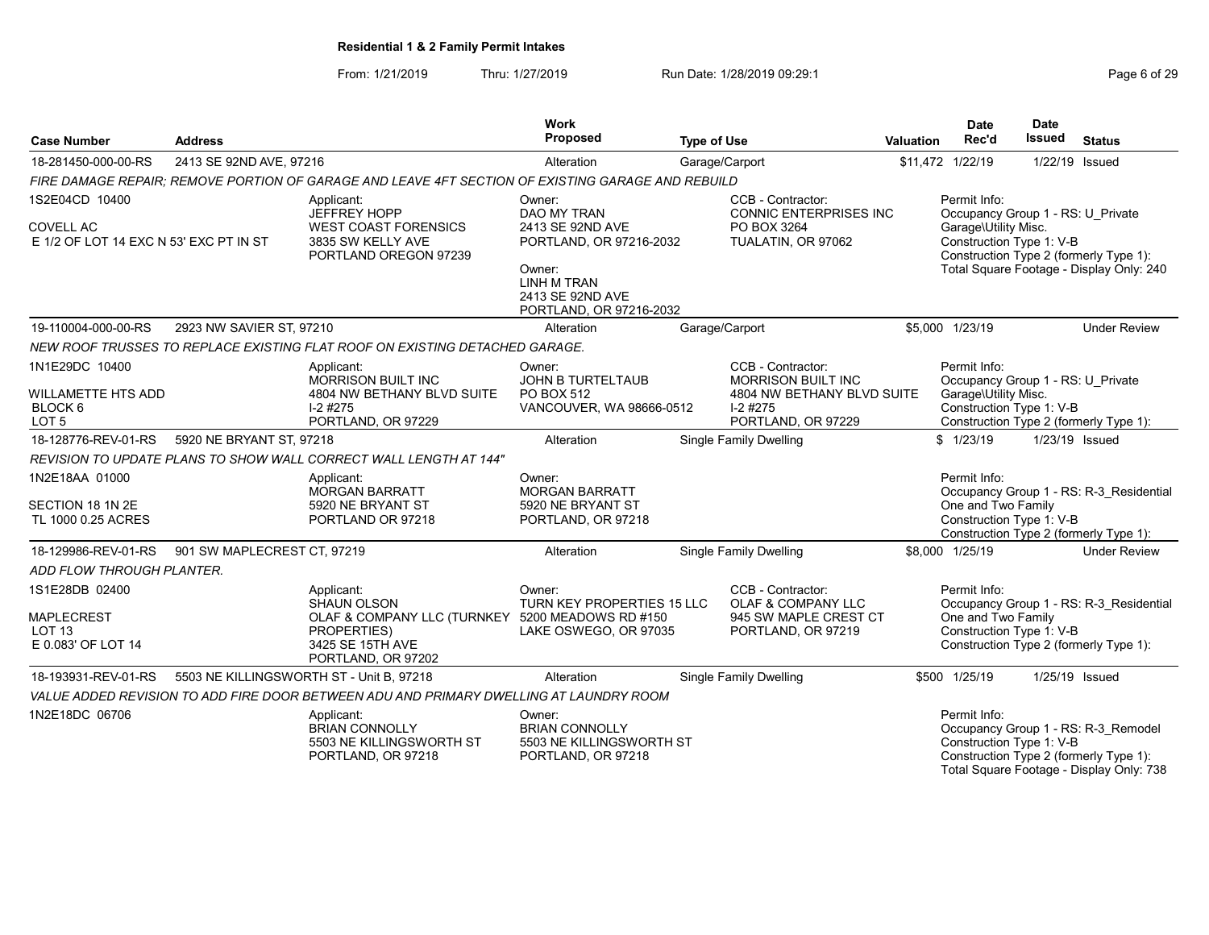| <b>Case Number</b>                                                             | <b>Address</b>              |                                                                                                                                        | <b>Work</b><br><b>Proposed</b>                                                                                                                      | <b>Type of Use</b>                                                                                               | <b>Valuation</b> | <b>Date</b><br>Rec'd                                                                                  | <b>Date</b><br><b>Issued</b> | <b>Status</b>                                                                                                             |
|--------------------------------------------------------------------------------|-----------------------------|----------------------------------------------------------------------------------------------------------------------------------------|-----------------------------------------------------------------------------------------------------------------------------------------------------|------------------------------------------------------------------------------------------------------------------|------------------|-------------------------------------------------------------------------------------------------------|------------------------------|---------------------------------------------------------------------------------------------------------------------------|
| 18-281450-000-00-RS                                                            | 2413 SE 92ND AVE, 97216     |                                                                                                                                        | Alteration                                                                                                                                          | Garage/Carport                                                                                                   |                  | \$11,472 1/22/19                                                                                      | 1/22/19 Issued               |                                                                                                                           |
|                                                                                |                             | FIRE DAMAGE REPAIR: REMOVE PORTION OF GARAGE AND LEAVE 4FT SECTION OF EXISTING GARAGE AND REBUILD                                      |                                                                                                                                                     |                                                                                                                  |                  |                                                                                                       |                              |                                                                                                                           |
| 1S2E04CD 10400<br><b>COVELL AC</b><br>E 1/2 OF LOT 14 EXC N 53' EXC PT IN ST   |                             | Applicant:<br><b>JEFFREY HOPP</b><br><b>WEST COAST FORENSICS</b><br>3835 SW KELLY AVE<br>PORTLAND OREGON 97239                         | Owner:<br>DAO MY TRAN<br>2413 SE 92ND AVE<br>PORTLAND, OR 97216-2032<br>Owner:<br><b>LINH M TRAN</b><br>2413 SE 92ND AVE<br>PORTLAND, OR 97216-2032 | CCB - Contractor:<br><b>CONNIC ENTERPRISES INC</b><br>PO BOX 3264<br>TUALATIN, OR 97062                          |                  | Permit Info:<br>Occupancy Group 1 - RS: U Private<br>Garage\Utility Misc.<br>Construction Type 1: V-B |                              | Construction Type 2 (formerly Type 1):<br>Total Square Footage - Display Only: 240                                        |
| 19-110004-000-00-RS                                                            | 2923 NW SAVIER ST, 97210    |                                                                                                                                        | Alteration                                                                                                                                          | Garage/Carport                                                                                                   |                  | \$5,000 1/23/19                                                                                       |                              | <b>Under Review</b>                                                                                                       |
|                                                                                |                             | NEW ROOF TRUSSES TO REPLACE EXISTING FLAT ROOF ON EXISTING DETACHED GARAGE.                                                            |                                                                                                                                                     |                                                                                                                  |                  |                                                                                                       |                              |                                                                                                                           |
| 1N1E29DC 10400<br><b>WILLAMETTE HTS ADD</b><br>BLOCK 6<br>LOT <sub>5</sub>     |                             | Applicant:<br><b>MORRISON BUILT INC</b><br>4804 NW BETHANY BLVD SUITE<br>$I-2$ #275<br>PORTLAND, OR 97229                              | Owner:<br><b>JOHN B TURTELTAUB</b><br>PO BOX 512<br>VANCOUVER, WA 98666-0512                                                                        | CCB - Contractor:<br><b>MORRISON BUILT INC</b><br>4804 NW BETHANY BLVD SUITE<br>$I-2$ #275<br>PORTLAND, OR 97229 |                  | Permit Info:<br>Occupancy Group 1 - RS: U Private<br>Garage\Utility Misc.<br>Construction Type 1: V-B |                              | Construction Type 2 (formerly Type 1):                                                                                    |
| 18-128776-REV-01-RS                                                            | 5920 NE BRYANT ST, 97218    |                                                                                                                                        | Alteration                                                                                                                                          | <b>Single Family Dwelling</b>                                                                                    |                  | \$1/23/19                                                                                             | 1/23/19 Issued               |                                                                                                                           |
|                                                                                |                             | REVISION TO UPDATE PLANS TO SHOW WALL CORRECT WALL LENGTH AT 144"                                                                      |                                                                                                                                                     |                                                                                                                  |                  |                                                                                                       |                              |                                                                                                                           |
| 1N2E18AA 01000<br>SECTION 18 1N 2E<br>TL 1000 0.25 ACRES                       |                             | Applicant:<br><b>MORGAN BARRATT</b><br>5920 NE BRYANT ST<br>PORTLAND OR 97218                                                          | Owner:<br><b>MORGAN BARRATT</b><br>5920 NE BRYANT ST<br>PORTLAND, OR 97218                                                                          |                                                                                                                  |                  | Permit Info:<br>One and Two Family<br>Construction Type 1: V-B                                        |                              | Occupancy Group 1 - RS: R-3 Residential<br>Construction Type 2 (formerly Type 1):                                         |
| 18-129986-REV-01-RS                                                            | 901 SW MAPLECREST CT, 97219 |                                                                                                                                        | Alteration                                                                                                                                          | Single Family Dwelling                                                                                           |                  | \$8,000 1/25/19                                                                                       |                              | <b>Under Review</b>                                                                                                       |
| ADD FLOW THROUGH PLANTER.                                                      |                             |                                                                                                                                        |                                                                                                                                                     |                                                                                                                  |                  |                                                                                                       |                              |                                                                                                                           |
| 1S1E28DB 02400<br><b>MAPLECREST</b><br>LOT <sub>13</sub><br>E 0.083' OF LOT 14 |                             | Applicant:<br>SHAUN OLSON<br>OLAF & COMPANY LLC (TURNKEY 5200 MEADOWS RD #150<br>PROPERTIES)<br>3425 SE 15TH AVE<br>PORTLAND, OR 97202 | Owner:<br>TURN KEY PROPERTIES 15 LLC<br>LAKE OSWEGO, OR 97035                                                                                       | CCB - Contractor:<br>OLAF & COMPANY LLC<br>945 SW MAPLE CREST CT<br>PORTLAND, OR 97219                           |                  | Permit Info:<br>One and Two Family<br>Construction Type 1: V-B                                        |                              | Occupancy Group 1 - RS: R-3 Residential<br>Construction Type 2 (formerly Type 1):                                         |
| 18-193931-REV-01-RS                                                            |                             | 5503 NE KILLINGSWORTH ST - Unit B, 97218                                                                                               | Alteration                                                                                                                                          | Single Family Dwelling                                                                                           |                  | \$500 1/25/19                                                                                         | 1/25/19 Issued               |                                                                                                                           |
|                                                                                |                             | VALUE ADDED REVISION TO ADD FIRE DOOR BETWEEN ADU AND PRIMARY DWELLING AT LAUNDRY ROOM                                                 |                                                                                                                                                     |                                                                                                                  |                  |                                                                                                       |                              |                                                                                                                           |
| 1N2E18DC 06706                                                                 |                             | Applicant:<br><b>BRIAN CONNOLLY</b><br>5503 NE KILLINGSWORTH ST<br>PORTLAND, OR 97218                                                  | Owner:<br><b>BRIAN CONNOLLY</b><br>5503 NE KILLINGSWORTH ST<br>PORTLAND, OR 97218                                                                   |                                                                                                                  |                  | Permit Info:<br>Construction Type 1: V-B                                                              |                              | Occupancy Group 1 - RS: R-3_Remodel<br>Construction Type 2 (formerly Type 1):<br>Total Square Footage - Display Only: 738 |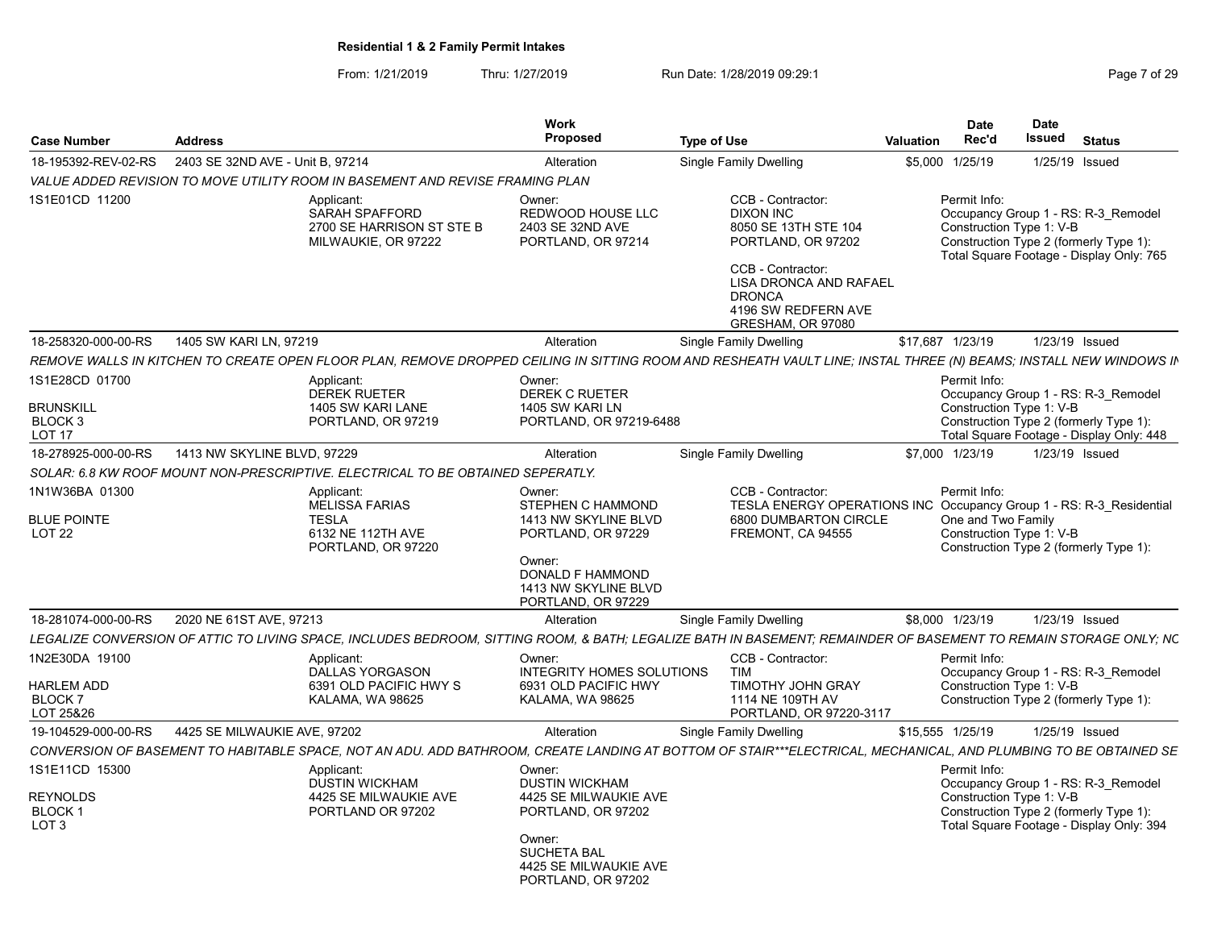| <b>Case Number</b>                                                            | <b>Address</b>                   |                                                                                                                                                                   | Work<br><b>Proposed</b>                                                                                                                                       | <b>Type of Use</b>                                                                                                                                                                                     | <b>Valuation</b> | <b>Date</b><br>Rec'd                                                                                                                                                  | Date<br>Issued | <b>Status</b> |  |
|-------------------------------------------------------------------------------|----------------------------------|-------------------------------------------------------------------------------------------------------------------------------------------------------------------|---------------------------------------------------------------------------------------------------------------------------------------------------------------|--------------------------------------------------------------------------------------------------------------------------------------------------------------------------------------------------------|------------------|-----------------------------------------------------------------------------------------------------------------------------------------------------------------------|----------------|---------------|--|
| 18-195392-REV-02-RS                                                           | 2403 SE 32ND AVE - Unit B. 97214 |                                                                                                                                                                   | Alteration                                                                                                                                                    | Single Family Dwelling                                                                                                                                                                                 |                  | \$5,000 1/25/19                                                                                                                                                       | 1/25/19 Issued |               |  |
|                                                                               |                                  | VALUE ADDED REVISION TO MOVE UTILITY ROOM IN BASEMENT AND REVISE FRAMING PLAN                                                                                     |                                                                                                                                                               |                                                                                                                                                                                                        |                  |                                                                                                                                                                       |                |               |  |
| 1S1E01CD 11200                                                                |                                  | Applicant:<br><b>SARAH SPAFFORD</b><br>2700 SE HARRISON ST STE B<br>MILWAUKIE, OR 97222                                                                           | Owner:<br><b>REDWOOD HOUSE LLC</b><br>2403 SE 32ND AVE<br>PORTLAND, OR 97214                                                                                  | CCB - Contractor:<br><b>DIXON INC</b><br>8050 SE 13TH STE 104<br>PORTLAND, OR 97202<br>CCB - Contractor:<br><b>LISA DRONCA AND RAFAEL</b><br><b>DRONCA</b><br>4196 SW REDFERN AVE<br>GRESHAM, OR 97080 |                  | Permit Info:<br>Occupancy Group 1 - RS: R-3 Remodel<br>Construction Type 1: V-B<br>Construction Type 2 (formerly Type 1):<br>Total Square Footage - Display Only: 765 |                |               |  |
| 18-258320-000-00-RS                                                           | 1405 SW KARI LN, 97219           |                                                                                                                                                                   | Alteration                                                                                                                                                    | Single Family Dwelling                                                                                                                                                                                 |                  | \$17,687 1/23/19                                                                                                                                                      | 1/23/19 Issued |               |  |
|                                                                               |                                  | REMOVE WALLS IN KITCHEN TO CREATE OPEN FLOOR PLAN, REMOVE DROPPED CEILING IN SITTING ROOM AND RESHEATH VAULT LINE; INSTAL THREE (N) BEAMS; INSTALL NEW WINDOWS IN |                                                                                                                                                               |                                                                                                                                                                                                        |                  |                                                                                                                                                                       |                |               |  |
| 1S1E28CD 01700<br><b>BRUNSKILL</b><br>BLOCK <sub>3</sub><br>LOT <sub>17</sub> |                                  | Applicant:<br><b>DEREK RUETER</b><br>1405 SW KARI LANE<br>PORTLAND, OR 97219                                                                                      | Owner:<br><b>DEREK C RUETER</b><br>1405 SW KARI LN<br>PORTLAND, OR 97219-6488                                                                                 |                                                                                                                                                                                                        |                  | Permit Info:<br>Occupancy Group 1 - RS: R-3 Remodel<br>Construction Type 1: V-B<br>Construction Type 2 (formerly Type 1):<br>Total Square Footage - Display Only: 448 |                |               |  |
| 18-278925-000-00-RS                                                           | 1413 NW SKYLINE BLVD, 97229      |                                                                                                                                                                   | Alteration                                                                                                                                                    | Single Family Dwelling                                                                                                                                                                                 |                  | \$7,000 1/23/19                                                                                                                                                       | 1/23/19 Issued |               |  |
|                                                                               |                                  | SOLAR: 6.8 KW ROOF MOUNT NON-PRESCRIPTIVE. ELECTRICAL TO BE OBTAINED SEPERATLY.                                                                                   |                                                                                                                                                               |                                                                                                                                                                                                        |                  |                                                                                                                                                                       |                |               |  |
| 1N1W36BA 01300<br><b>BLUE POINTE</b><br>LOT <sub>22</sub>                     |                                  | Applicant:<br><b>MELISSA FARIAS</b><br><b>TESLA</b><br>6132 NE 112TH AVE<br>PORTLAND, OR 97220                                                                    | Owner:<br>STEPHEN C HAMMOND<br>1413 NW SKYLINE BLVD<br>PORTLAND, OR 97229<br>Owner:<br><b>DONALD F HAMMOND</b><br>1413 NW SKYLINE BLVD<br>PORTLAND, OR 97229  | CCB - Contractor:<br>TESLA ENERGY OPERATIONS INC Occupancy Group 1 - RS: R-3 Residential<br>6800 DUMBARTON CIRCLE<br>FREMONT, CA 94555                                                                 |                  | Permit Info:<br>One and Two Family<br>Construction Type 1: V-B<br>Construction Type 2 (formerly Type 1):                                                              |                |               |  |
| 18-281074-000-00-RS                                                           | 2020 NE 61ST AVE, 97213          |                                                                                                                                                                   | Alteration                                                                                                                                                    | Single Family Dwelling                                                                                                                                                                                 |                  | \$8,000 1/23/19                                                                                                                                                       | 1/23/19 Issued |               |  |
|                                                                               |                                  | LEGALIZE CONVERSION OF ATTIC TO LIVING SPACE. INCLUDES BEDROOM. SITTING ROOM. & BATH: LEGALIZE BATH IN BASEMENT; REMAINDER OF BASEMENT TO REMAIN STORAGE ONLY: NC |                                                                                                                                                               |                                                                                                                                                                                                        |                  |                                                                                                                                                                       |                |               |  |
| 1N2E30DA 19100<br><b>HARLEM ADD</b><br>BLOCK <sub>7</sub><br>LOT 25&26        |                                  | Applicant:<br><b>DALLAS YORGASON</b><br>6391 OLD PACIFIC HWY S<br>KALAMA, WA 98625                                                                                | Owner:<br>INTEGRITY HOMES SOLUTIONS<br>6931 OLD PACIFIC HWY<br>KALAMA, WA 98625                                                                               | CCB - Contractor:<br>TIM<br><b>TIMOTHY JOHN GRAY</b><br>1114 NE 109TH AV<br>PORTLAND, OR 97220-3117                                                                                                    |                  | Permit Info:<br>Occupancy Group 1 - RS: R-3 Remodel<br>Construction Type 1: V-B<br>Construction Type 2 (formerly Type 1):                                             |                |               |  |
| 19-104529-000-00-RS                                                           | 4425 SE MILWAUKIE AVE, 97202     |                                                                                                                                                                   | Alteration                                                                                                                                                    | Single Family Dwelling                                                                                                                                                                                 |                  | \$15,555 1/25/19                                                                                                                                                      | 1/25/19 Issued |               |  |
|                                                                               |                                  | CONVERSION OF BASEMENT TO HABITABLE SPACE, NOT AN ADU. ADD BATHROOM, CREATE LANDING AT BOTTOM OF STAIR***ELECTRICAL, MECHANICAL, AND PLUMBING TO BE OBTAINED SE   |                                                                                                                                                               |                                                                                                                                                                                                        |                  |                                                                                                                                                                       |                |               |  |
| 1S1E11CD 15300<br><b>REYNOLDS</b><br>BLOCK <sub>1</sub><br>LOT <sub>3</sub>   |                                  | Applicant:<br><b>DUSTIN WICKHAM</b><br>4425 SE MILWAUKIE AVE<br>PORTLAND OR 97202                                                                                 | Owner:<br><b>DUSTIN WICKHAM</b><br>4425 SE MILWAUKIE AVE<br>PORTLAND, OR 97202<br>Owner:<br><b>SUCHETA BAL</b><br>4425 SE MILWAUKIE AVE<br>PORTLAND, OR 97202 |                                                                                                                                                                                                        |                  | Permit Info:<br>Occupancy Group 1 - RS: R-3 Remodel<br>Construction Type 1: V-B<br>Construction Type 2 (formerly Type 1):<br>Total Square Footage - Display Only: 394 |                |               |  |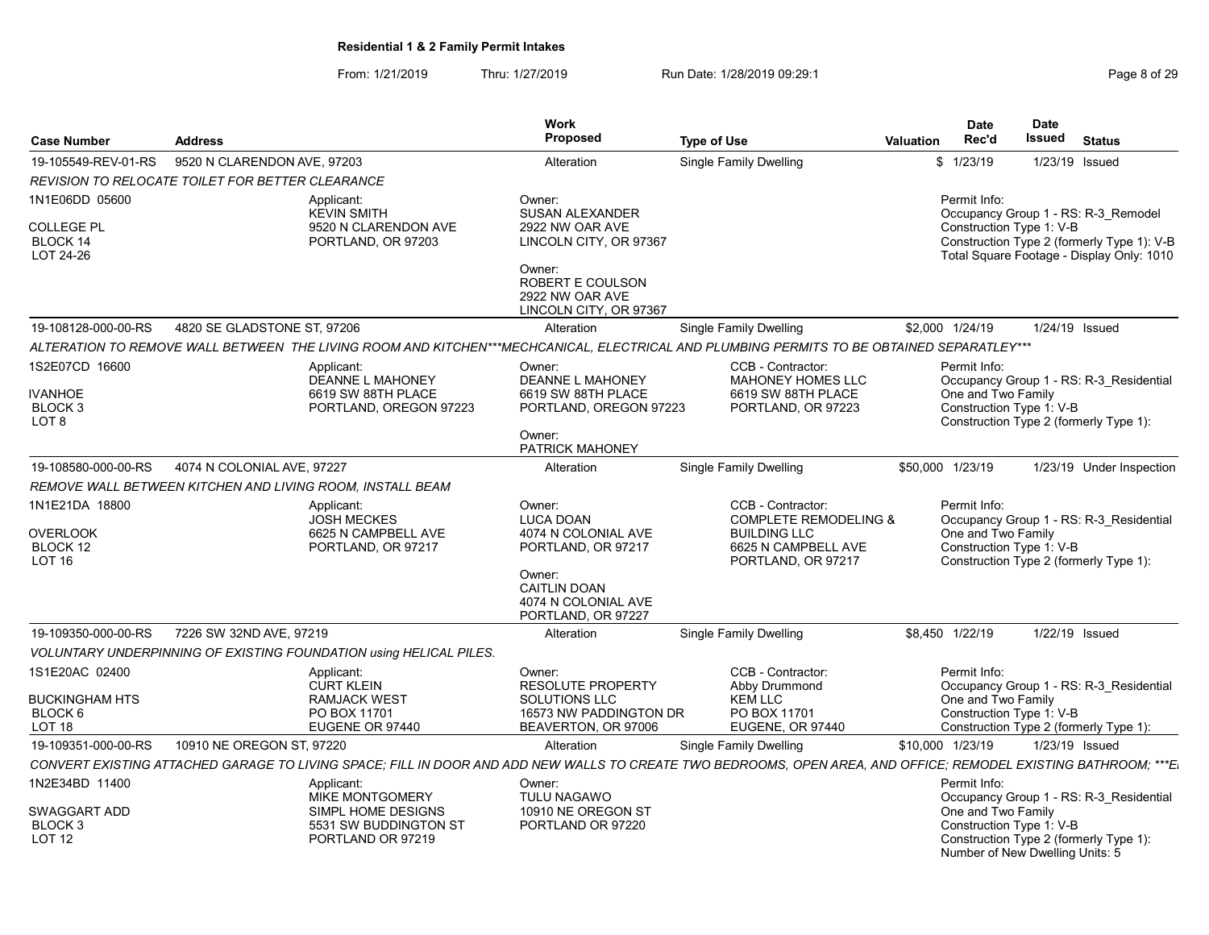|                                                         |                                                  |                                                                                                                                                                 | Work                                                                                                                                                  |                                                                                                                           |                  | <b>Date</b>                                                                       | Date   |                                                                                   |
|---------------------------------------------------------|--------------------------------------------------|-----------------------------------------------------------------------------------------------------------------------------------------------------------------|-------------------------------------------------------------------------------------------------------------------------------------------------------|---------------------------------------------------------------------------------------------------------------------------|------------------|-----------------------------------------------------------------------------------|--------|-----------------------------------------------------------------------------------|
| <b>Case Number</b>                                      | <b>Address</b>                                   |                                                                                                                                                                 | Proposed                                                                                                                                              | <b>Type of Use</b>                                                                                                        | <b>Valuation</b> | Rec'd                                                                             | Issued | <b>Status</b>                                                                     |
| 19-105549-REV-01-RS                                     | 9520 N CLARENDON AVE, 97203                      |                                                                                                                                                                 | Alteration                                                                                                                                            | Single Family Dwelling                                                                                                    |                  | \$1/23/19                                                                         |        | 1/23/19 Issued                                                                    |
|                                                         | REVISION TO RELOCATE TOILET FOR BETTER CLEARANCE |                                                                                                                                                                 |                                                                                                                                                       |                                                                                                                           |                  |                                                                                   |        |                                                                                   |
| 1N1E06DD 05600<br><b>COLLEGE PL</b><br>BLOCK 14         |                                                  | Applicant:<br><b>KEVIN SMITH</b><br>9520 N CLARENDON AVE<br>PORTLAND, OR 97203                                                                                  | Owner:<br><b>SUSAN ALEXANDER</b><br>2922 NW OAR AVE<br>LINCOLN CITY, OR 97367                                                                         |                                                                                                                           |                  | Permit Info:<br>Construction Type 1: V-B                                          |        | Occupancy Group 1 - RS: R-3 Remodel<br>Construction Type 2 (formerly Type 1): V-B |
| LOT 24-26                                               |                                                  |                                                                                                                                                                 | Owner:<br>ROBERT E COULSON<br>2922 NW OAR AVE<br>LINCOLN CITY, OR 97367                                                                               |                                                                                                                           |                  |                                                                                   |        | Total Square Footage - Display Only: 1010                                         |
| 19-108128-000-00-RS                                     | 4820 SE GLADSTONE ST, 97206                      |                                                                                                                                                                 | Alteration                                                                                                                                            | Single Family Dwelling                                                                                                    |                  | \$2,000 1/24/19                                                                   |        | 1/24/19 Issued                                                                    |
|                                                         |                                                  | ALTERATION TO REMOVE WALL BETWEEN  THE LIVING ROOM AND KITCHEN***MECHCANICAL. ELECTRICAL AND PLUMBING PERMITS TO BE OBTAINED SEPARATLEY***                      |                                                                                                                                                       |                                                                                                                           |                  |                                                                                   |        |                                                                                   |
| 1S2E07CD 16600<br><b>IVANHOE</b><br>BLOCK 3<br>LOT 8    |                                                  | Applicant:<br>DEANNE L MAHONEY<br>6619 SW 88TH PLACE<br>PORTLAND, OREGON 97223                                                                                  | Owner:<br>DEANNE L MAHONEY<br>6619 SW 88TH PLACE<br>PORTLAND, OREGON 97223                                                                            | CCB - Contractor:<br>MAHONEY HOMES LLC<br>6619 SW 88TH PLACE<br>PORTLAND, OR 97223                                        |                  | Permit Info:<br>One and Two Family<br>Construction Type 1: V-B                    |        | Occupancy Group 1 - RS: R-3 Residential<br>Construction Type 2 (formerly Type 1): |
|                                                         |                                                  |                                                                                                                                                                 | Owner:<br>PATRICK MAHONEY                                                                                                                             |                                                                                                                           |                  |                                                                                   |        |                                                                                   |
| 19-108580-000-00-RS                                     | 4074 N COLONIAL AVE, 97227                       |                                                                                                                                                                 | Alteration                                                                                                                                            | Single Family Dwelling                                                                                                    |                  | \$50,000 1/23/19                                                                  |        | 1/23/19 Under Inspection                                                          |
|                                                         |                                                  | REMOVE WALL BETWEEN KITCHEN AND LIVING ROOM. INSTALL BEAM                                                                                                       |                                                                                                                                                       |                                                                                                                           |                  |                                                                                   |        |                                                                                   |
| 1N1E21DA 18800<br><b>OVERLOOK</b><br>BLOCK 12<br>LOT 16 |                                                  | Applicant:<br><b>JOSH MECKES</b><br>6625 N CAMPBELL AVE<br>PORTLAND, OR 97217                                                                                   | Owner:<br><b>LUCA DOAN</b><br>4074 N COLONIAL AVE<br>PORTLAND, OR 97217<br>Owner:<br><b>CAITLIN DOAN</b><br>4074 N COLONIAL AVE<br>PORTLAND, OR 97227 | CCB - Contractor:<br><b>COMPLETE REMODELING &amp;</b><br><b>BUILDING LLC</b><br>6625 N CAMPBELL AVE<br>PORTLAND, OR 97217 |                  | Permit Info:<br>One and Two Family<br>Construction Type 1: V-B                    |        | Occupancy Group 1 - RS: R-3 Residential<br>Construction Type 2 (formerly Type 1): |
| 19-109350-000-00-RS                                     | 7226 SW 32ND AVE, 97219                          |                                                                                                                                                                 | Alteration                                                                                                                                            | Single Family Dwelling                                                                                                    |                  | \$8,450 1/22/19                                                                   |        | 1/22/19 Issued                                                                    |
|                                                         |                                                  | <b>VOLUNTARY UNDERPINNING OF EXISTING FOUNDATION using HELICAL PILES.</b>                                                                                       |                                                                                                                                                       |                                                                                                                           |                  |                                                                                   |        |                                                                                   |
| 1S1E20AC 02400                                          |                                                  | Applicant:<br><b>CURT KLEIN</b>                                                                                                                                 | Owner:<br><b>RESOLUTE PROPERTY</b>                                                                                                                    | CCB - Contractor:<br>Abby Drummond                                                                                        |                  | Permit Info:                                                                      |        | Occupancy Group 1 - RS: R-3 Residential                                           |
| <b>BUCKINGHAM HTS</b><br>BLOCK 6<br>LOT <sub>18</sub>   |                                                  | <b>RAMJACK WEST</b><br>PO BOX 11701<br>EUGENE OR 97440                                                                                                          | SOLUTIONS LLC<br>16573 NW PADDINGTON DR<br>BEAVERTON, OR 97006                                                                                        | <b>KEM LLC</b><br>PO BOX 11701<br>EUGENE, OR 97440                                                                        |                  | One and Two Family<br>Construction Type 1: V-B                                    |        | Construction Type 2 (formerly Type 1):                                            |
| 19-109351-000-00-RS                                     | 10910 NE OREGON ST. 97220                        |                                                                                                                                                                 | Alteration                                                                                                                                            | <b>Single Family Dwelling</b>                                                                                             |                  | \$10,000 1/23/19                                                                  |        | 1/23/19 Issued                                                                    |
|                                                         |                                                  | CONVERT EXISTING ATTACHED GARAGE TO LIVING SPACE; FILL IN DOOR AND ADD NEW WALLS TO CREATE TWO BEDROOMS. OPEN AREA. AND OFFICE; REMODEL EXISTING BATHROOM; ***E |                                                                                                                                                       |                                                                                                                           |                  |                                                                                   |        |                                                                                   |
| 1N2E34BD 11400                                          |                                                  | Applicant:<br><b>MIKE MONTGOMERY</b>                                                                                                                            | Owner:<br>TULU NAGAWO                                                                                                                                 |                                                                                                                           |                  | Permit Info:                                                                      |        | Occupancy Group 1 - RS: R-3 Residential                                           |
| SWAGGART ADD<br>BLOCK <sub>3</sub><br><b>LOT 12</b>     |                                                  | SIMPL HOME DESIGNS<br>5531 SW BUDDINGTON ST<br>PORTLAND OR 97219                                                                                                | 10910 NE OREGON ST<br>PORTLAND OR 97220                                                                                                               |                                                                                                                           |                  | One and Two Family<br>Construction Type 1: V-B<br>Number of New Dwelling Units: 5 |        | Construction Type 2 (formerly Type 1):                                            |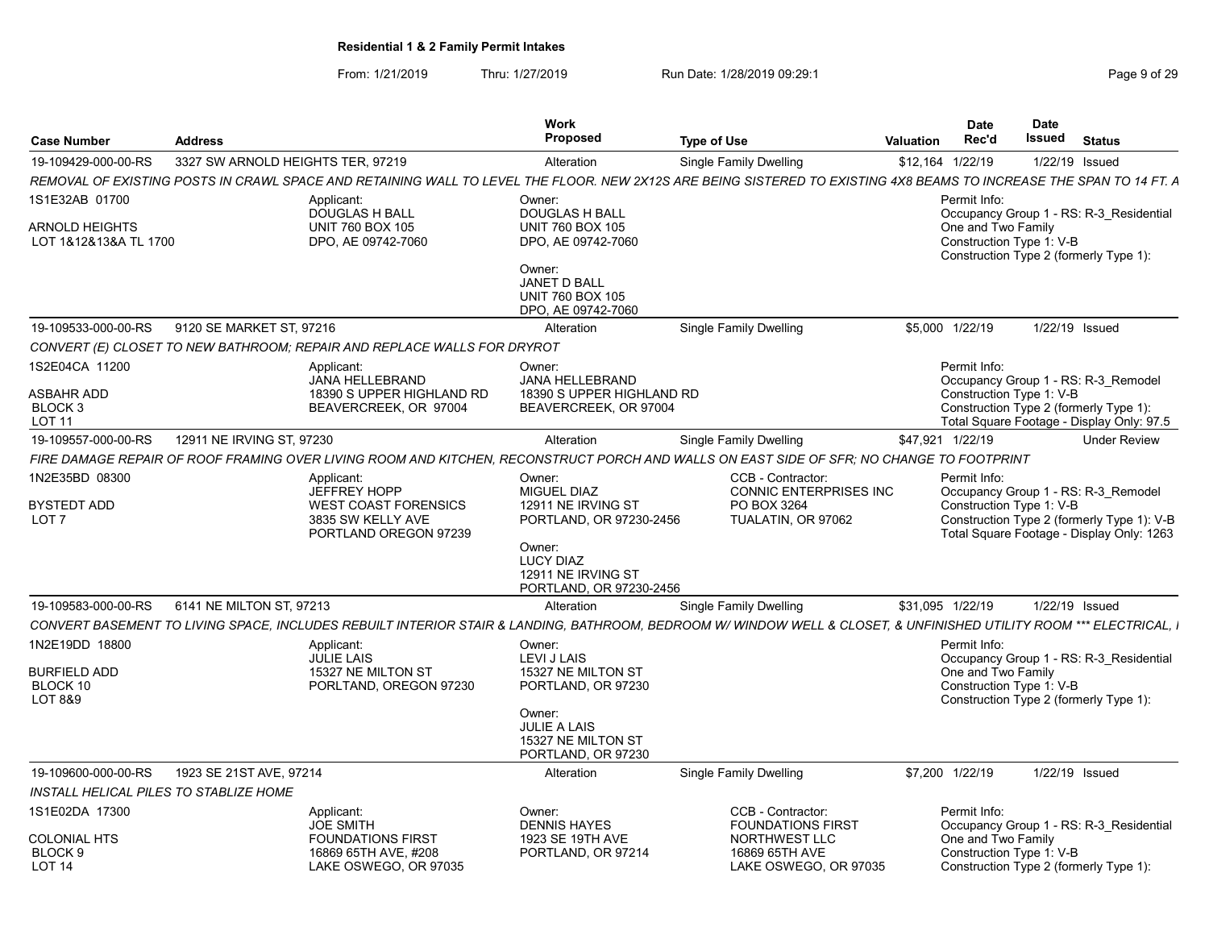| <b>Case Number</b>                                             | <b>Address</b>                    |                                                                                                                                                                     | <b>Work</b><br>Proposed                                                        | <b>Type of Use</b>                                       | <b>Valuation</b> | <b>Date</b><br>Rec'd                                                                                      | <b>Date</b><br>Issued |                | <b>Status</b>                                                                           |
|----------------------------------------------------------------|-----------------------------------|---------------------------------------------------------------------------------------------------------------------------------------------------------------------|--------------------------------------------------------------------------------|----------------------------------------------------------|------------------|-----------------------------------------------------------------------------------------------------------|-----------------------|----------------|-----------------------------------------------------------------------------------------|
| 19-109429-000-00-RS                                            | 3327 SW ARNOLD HEIGHTS TER. 97219 |                                                                                                                                                                     | Alteration                                                                     | <b>Single Family Dwelling</b>                            |                  | \$12,164 1/22/19                                                                                          |                       | 1/22/19 Issued |                                                                                         |
|                                                                |                                   | REMOVAL OF EXISTING POSTS IN CRAWL SPACE AND RETAINING WALL TO LEVEL THE FLOOR. NEW 2X12S ARE BEING SISTERED TO EXISTING 4X8 BEAMS TO INCREASE THE SPAN TO 14 FT. A |                                                                                |                                                          |                  |                                                                                                           |                       |                |                                                                                         |
| 1S1E32AB 01700                                                 |                                   | Applicant:<br><b>DOUGLAS H BALL</b>                                                                                                                                 | Owner:<br><b>DOUGLAS H BALL</b>                                                |                                                          |                  | Permit Info:                                                                                              |                       |                | Occupancy Group 1 - RS: R-3 Residential                                                 |
| ARNOLD HEIGHTS<br>LOT 1&12&13&A TL 1700                        |                                   | <b>UNIT 760 BOX 105</b><br>DPO, AE 09742-7060                                                                                                                       | <b>UNIT 760 BOX 105</b><br>DPO, AE 09742-7060                                  |                                                          |                  | One and Two Family<br>Construction Type 1: V-B<br>Construction Type 2 (formerly Type 1):                  |                       |                |                                                                                         |
|                                                                |                                   |                                                                                                                                                                     | Owner:<br><b>JANET D BALL</b><br><b>UNIT 760 BOX 105</b><br>DPO, AE 09742-7060 |                                                          |                  |                                                                                                           |                       |                |                                                                                         |
| 19-109533-000-00-RS                                            | 9120 SE MARKET ST, 97216          |                                                                                                                                                                     | Alteration                                                                     | Single Family Dwelling                                   |                  | \$5,000 1/22/19                                                                                           |                       | 1/22/19 Issued |                                                                                         |
|                                                                |                                   | CONVERT (E) CLOSET TO NEW BATHROOM; REPAIR AND REPLACE WALLS FOR DRYROT                                                                                             |                                                                                |                                                          |                  |                                                                                                           |                       |                |                                                                                         |
| 1S2E04CA 11200                                                 |                                   | Applicant:                                                                                                                                                          | Owner:                                                                         |                                                          |                  | Permit Info:                                                                                              |                       |                |                                                                                         |
| ASBAHR ADD<br>BLOCK <sub>3</sub><br><b>LOT 11</b>              |                                   | JANA HELLEBRAND<br>18390 S UPPER HIGHLAND RD<br>BEAVERCREEK, OR 97004                                                                                               | JANA HELLEBRAND<br>18390 S UPPER HIGHLAND RD<br>BEAVERCREEK, OR 97004          |                                                          |                  | Occupancy Group 1 - RS: R-3 Remodel<br>Construction Type 1: V-B<br>Construction Type 2 (formerly Type 1): |                       |                | Total Square Footage - Display Only: 97.5                                               |
| 19-109557-000-00-RS                                            | 12911 NE IRVING ST, 97230         |                                                                                                                                                                     | Alteration                                                                     | Single Family Dwelling                                   |                  | \$47,921 1/22/19                                                                                          |                       |                | <b>Under Review</b>                                                                     |
|                                                                |                                   | FIRE DAMAGE REPAIR OF ROOF FRAMING OVER LIVING ROOM AND KITCHEN, RECONSTRUCT PORCH AND WALLS ON EAST SIDE OF SFR; NO CHANGE TO FOOTPRINT                            |                                                                                |                                                          |                  |                                                                                                           |                       |                |                                                                                         |
| 1N2E35BD 08300                                                 |                                   | Applicant:<br><b>JEFFREY HOPP</b>                                                                                                                                   | Owner:<br>MIGUEL DIAZ                                                          | CCB - Contractor:<br>CONNIC ENTERPRISES INC              |                  | Permit Info:<br>Occupancy Group 1 - RS: R-3 Remodel                                                       |                       |                |                                                                                         |
| <b>BYSTEDT ADD</b><br>LOT <sub>7</sub>                         |                                   | <b>WEST COAST FORENSICS</b><br>3835 SW KELLY AVE<br>PORTLAND OREGON 97239                                                                                           | 12911 NE IRVING ST<br>PORTLAND, OR 97230-2456                                  | PO BOX 3264<br>TUALATIN, OR 97062                        |                  | Construction Type 1: V-B                                                                                  |                       |                | Construction Type 2 (formerly Type 1): V-B<br>Total Square Footage - Display Only: 1263 |
|                                                                |                                   |                                                                                                                                                                     | Owner:<br><b>LUCY DIAZ</b><br>12911 NE IRVING ST<br>PORTLAND, OR 97230-2456    |                                                          |                  |                                                                                                           |                       |                |                                                                                         |
| 19-109583-000-00-RS                                            | 6141 NE MILTON ST, 97213          |                                                                                                                                                                     | Alteration                                                                     | Single Family Dwelling                                   |                  | \$31,095 1/22/19                                                                                          |                       | 1/22/19 Issued |                                                                                         |
|                                                                |                                   | CONVERT BASEMENT TO LIVING SPACE, INCLUDES REBUILT INTERIOR STAIR & LANDING, BATHROOM, BEDROOM W/ WINDOW WELL & CLOSET, & UNFINISHED UTILITY ROOM *** ELECTRICAL, I |                                                                                |                                                          |                  |                                                                                                           |                       |                |                                                                                         |
| 1N2E19DD 18800                                                 |                                   | Applicant:                                                                                                                                                          | Owner:                                                                         |                                                          |                  | Permit Info:                                                                                              |                       |                |                                                                                         |
| <b>BURFIELD ADD</b><br>BLOCK 10<br><b>LOT 8&amp;9</b>          |                                   | <b>JULIE LAIS</b><br>15327 NE MILTON ST<br>PORLTAND, OREGON 97230                                                                                                   | LEVI J LAIS<br>15327 NE MILTON ST<br>PORTLAND, OR 97230                        |                                                          |                  | One and Two Family<br>Construction Type 1: V-B<br>Construction Type 2 (formerly Type 1):                  |                       |                | Occupancy Group 1 - RS: R-3 Residential                                                 |
|                                                                |                                   |                                                                                                                                                                     | Owner:<br>JULIE A LAIS<br>15327 NE MILTON ST<br>PORTLAND, OR 97230             |                                                          |                  |                                                                                                           |                       |                |                                                                                         |
| 19-109600-000-00-RS                                            | 1923 SE 21ST AVE, 97214           |                                                                                                                                                                     | Alteration                                                                     | Single Family Dwelling                                   |                  | \$7,200 1/22/19                                                                                           |                       | 1/22/19 Issued |                                                                                         |
| <b>INSTALL HELICAL PILES TO STABLIZE HOME</b>                  |                                   |                                                                                                                                                                     |                                                                                |                                                          |                  |                                                                                                           |                       |                |                                                                                         |
| 1S1E02DA 17300                                                 |                                   | Applicant:<br><b>JOE SMITH</b>                                                                                                                                      | Owner:<br><b>DENNIS HAYES</b>                                                  | CCB - Contractor:<br><b>FOUNDATIONS FIRST</b>            |                  | Permit Info:                                                                                              |                       |                | Occupancy Group 1 - RS: R-3 Residential                                                 |
| <b>COLONIAL HTS</b><br>BLOCK <sub>9</sub><br>LOT <sub>14</sub> |                                   | <b>FOUNDATIONS FIRST</b><br>16869 65TH AVE, #208<br>LAKE OSWEGO, OR 97035                                                                                           | 1923 SE 19TH AVE<br>PORTLAND, OR 97214                                         | NORTHWEST LLC<br>16869 65TH AVE<br>LAKE OSWEGO, OR 97035 |                  | One and Two Family<br>Construction Type 1: V-B<br>Construction Type 2 (formerly Type 1):                  |                       |                |                                                                                         |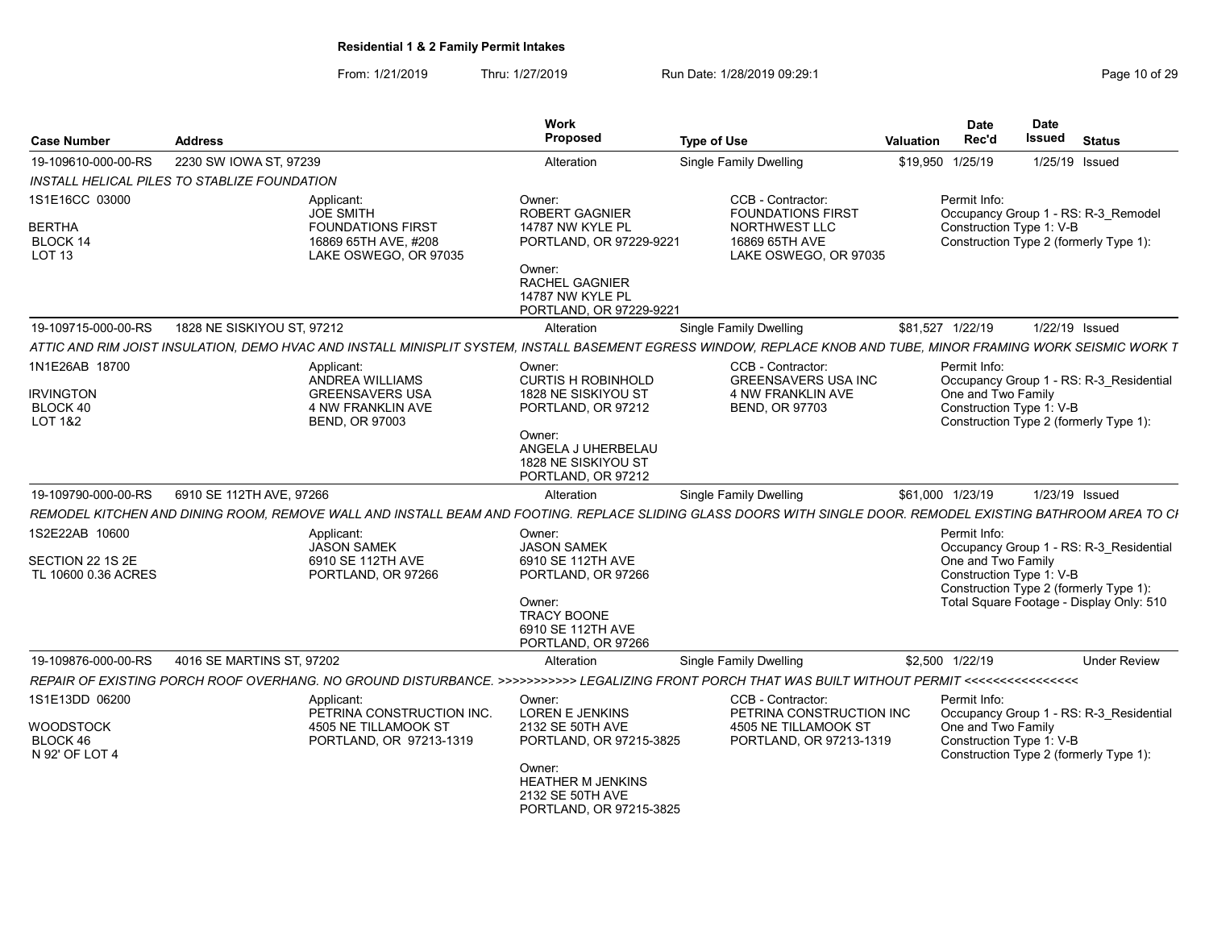| <b>Case Number</b>                                                   | <b>Address</b>                                                                                                                                                   | Work<br><b>Proposed</b>                                                                                                                                              | <b>Type of Use</b>                                                                                        | Valuation | <b>Date</b><br>Rec'd               | <b>Date</b><br>Issued    | <b>Status</b>                                                                                                                 |
|----------------------------------------------------------------------|------------------------------------------------------------------------------------------------------------------------------------------------------------------|----------------------------------------------------------------------------------------------------------------------------------------------------------------------|-----------------------------------------------------------------------------------------------------------|-----------|------------------------------------|--------------------------|-------------------------------------------------------------------------------------------------------------------------------|
| 19-109610-000-00-RS                                                  | 2230 SW IOWA ST, 97239                                                                                                                                           | Alteration                                                                                                                                                           | <b>Single Family Dwelling</b>                                                                             |           | \$19,950 1/25/19                   |                          | 1/25/19 Issued                                                                                                                |
|                                                                      | INSTALL HELICAL PILES TO STABLIZE FOUNDATION                                                                                                                     |                                                                                                                                                                      |                                                                                                           |           |                                    |                          |                                                                                                                               |
| 1S1E16CC 03000<br><b>BERTHA</b><br>BLOCK 14<br>LOT 13                | Applicant:<br><b>JOE SMITH</b><br><b>FOUNDATIONS FIRST</b><br>16869 65TH AVE, #208<br>LAKE OSWEGO, OR 97035                                                      | Owner:<br><b>ROBERT GAGNIER</b><br>14787 NW KYLE PL<br>PORTLAND, OR 97229-9221<br>Owner:<br>RACHEL GAGNIER<br>14787 NW KYLE PL<br>PORTLAND, OR 97229-9221            | CCB - Contractor:<br><b>FOUNDATIONS FIRST</b><br>NORTHWEST LLC<br>16869 65TH AVE<br>LAKE OSWEGO, OR 97035 |           | Permit Info:                       | Construction Type 1: V-B | Occupancy Group 1 - RS: R-3 Remodel<br>Construction Type 2 (formerly Type 1):                                                 |
| 19-109715-000-00-RS                                                  | 1828 NE SISKIYOU ST, 97212                                                                                                                                       | Alteration                                                                                                                                                           | <b>Single Family Dwelling</b>                                                                             |           | \$81,527 1/22/19                   |                          | 1/22/19 Issued                                                                                                                |
|                                                                      | ATTIC AND RIM JOIST INSULATION. DEMO HVAC AND INSTALL MINISPLIT SYSTEM. INSTALL BASEMENT EGRESS WINDOW. REPLACE KNOB AND TUBE. MINOR FRAMING WORK SEISMIC WORK T |                                                                                                                                                                      |                                                                                                           |           |                                    |                          |                                                                                                                               |
| 1N1E26AB 18700<br><b>IRVINGTON</b><br>BLOCK 40<br><b>LOT 1&amp;2</b> | Applicant:<br><b>ANDREA WILLIAMS</b><br><b>GREENSAVERS USA</b><br>4 NW FRANKLIN AVE<br><b>BEND, OR 97003</b>                                                     | Owner:<br><b>CURTIS H ROBINHOLD</b><br>1828 NE SISKIYOU ST<br>PORTLAND, OR 97212<br>Owner:<br>ANGELA J UHERBELAU<br>1828 NE SISKIYOU ST<br>PORTLAND, OR 97212        | CCB - Contractor:<br><b>GREENSAVERS USA INC</b><br>4 NW FRANKLIN AVE<br><b>BEND, OR 97703</b>             |           | Permit Info:<br>One and Two Family | Construction Type 1: V-B | Occupancy Group 1 - RS: R-3 Residential<br>Construction Type 2 (formerly Type 1):                                             |
| 19-109790-000-00-RS                                                  | 6910 SE 112TH AVE, 97266                                                                                                                                         | Alteration                                                                                                                                                           | <b>Single Family Dwelling</b>                                                                             |           | \$61,000 1/23/19                   |                          | 1/23/19 Issued                                                                                                                |
|                                                                      | REMODEL KITCHEN AND DINING ROOM, REMOVE WALL AND INSTALL BEAM AND FOOTING. REPLACE SLIDING GLASS DOORS WITH SINGLE DOOR. REMODEL EXISTING BATHROOM AREA TO CI    |                                                                                                                                                                      |                                                                                                           |           |                                    |                          |                                                                                                                               |
| 1S2E22AB 10600<br>SECTION 22 1S 2E<br>TL 10600 0.36 ACRES            | Applicant:<br><b>JASON SAMEK</b><br>6910 SE 112TH AVE<br>PORTLAND, OR 97266                                                                                      | Owner:<br><b>JASON SAMEK</b><br>6910 SE 112TH AVE<br>PORTLAND, OR 97266<br>Owner:<br><b>TRACY BOONE</b><br>6910 SE 112TH AVE<br>PORTLAND, OR 97266                   |                                                                                                           |           | Permit Info:<br>One and Two Family | Construction Type 1: V-B | Occupancy Group 1 - RS: R-3 Residential<br>Construction Type 2 (formerly Type 1):<br>Total Square Footage - Display Only: 510 |
| 19-109876-000-00-RS                                                  | 4016 SE MARTINS ST, 97202                                                                                                                                        | Alteration                                                                                                                                                           | <b>Single Family Dwelling</b>                                                                             |           | \$2,500 1/22/19                    |                          | <b>Under Review</b>                                                                                                           |
|                                                                      | REPAIR OF EXISTING PORCH ROOF OVERHANG. NO GROUND DISTURBANCE. >>>>>>>>>>>> LEGALIZING FRONT PORCH THAT WAS BUILT WITHOUT PERMIT <<<<<<<<<<<<<<<<<<<<<<<<<<<<    |                                                                                                                                                                      |                                                                                                           |           |                                    |                          |                                                                                                                               |
| 1S1E13DD 06200<br>WOODSTOCK<br>BLOCK 46<br>N 92' OF LOT 4            | Applicant:<br>PETRINA CONSTRUCTION INC.<br>4505 NE TILLAMOOK ST<br>PORTLAND, OR 97213-1319                                                                       | Owner:<br><b>LOREN E JENKINS</b><br>2132 SE 50TH AVE<br>PORTLAND, OR 97215-3825<br>Owner:<br><b>HEATHER M JENKINS</b><br>2132 SE 50TH AVE<br>PORTLAND, OR 97215-3825 | CCB - Contractor:<br>PETRINA CONSTRUCTION INC<br>4505 NE TILLAMOOK ST<br>PORTLAND, OR 97213-1319          |           | Permit Info:<br>One and Two Family | Construction Type 1: V-B | Occupancy Group 1 - RS: R-3 Residential<br>Construction Type 2 (formerly Type 1):                                             |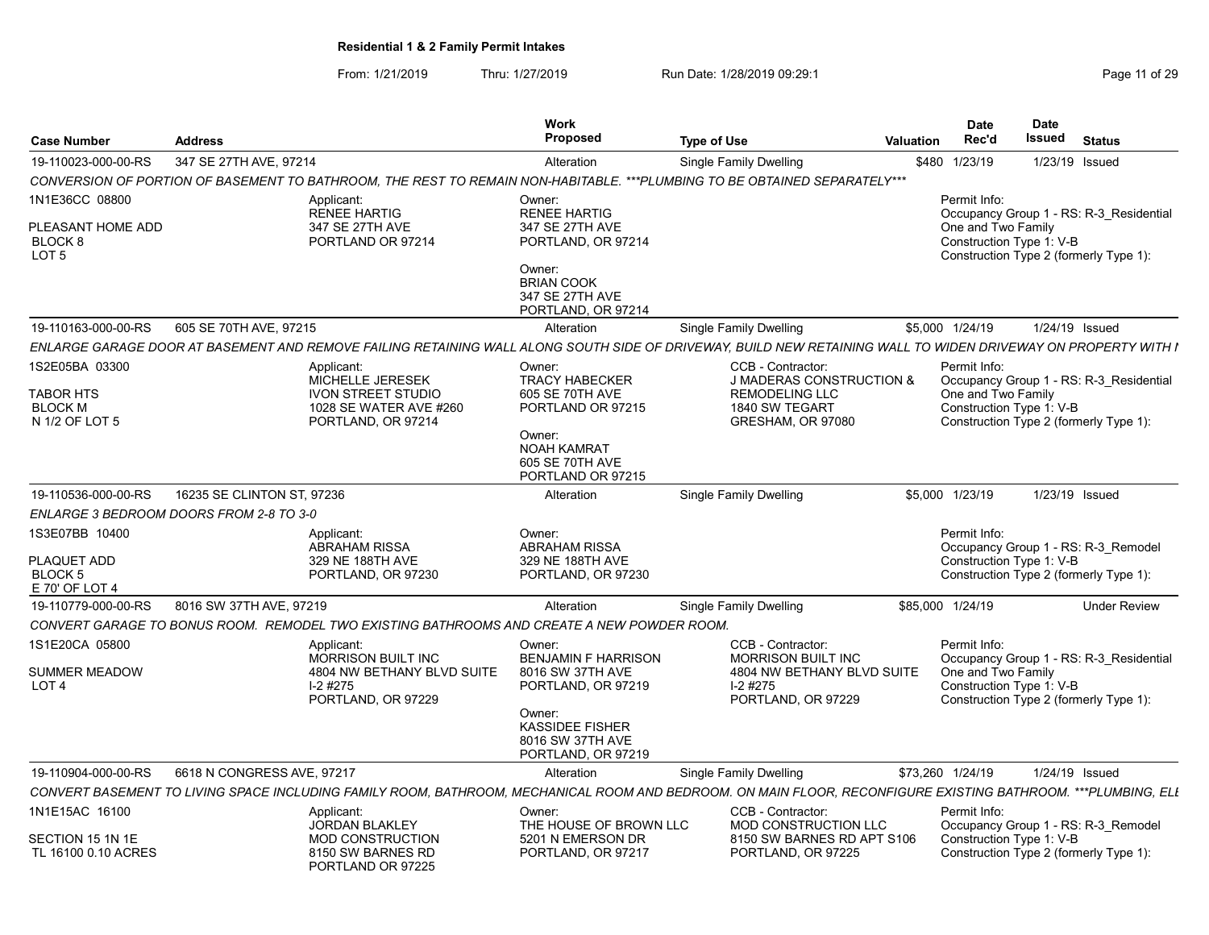| <b>Case Number</b>                                                            | <b>Address</b>                                                                                                                                                |                            | <b>Work</b><br><b>Proposed</b>                                                                                                                 | <b>Type of Use</b>                                                                                                       | Valuation | <b>Date</b><br>Rec'd                                           | Date<br>Issued | <b>Status</b>                                                                     |  |
|-------------------------------------------------------------------------------|---------------------------------------------------------------------------------------------------------------------------------------------------------------|----------------------------|------------------------------------------------------------------------------------------------------------------------------------------------|--------------------------------------------------------------------------------------------------------------------------|-----------|----------------------------------------------------------------|----------------|-----------------------------------------------------------------------------------|--|
| 19-110023-000-00-RS                                                           | 347 SE 27TH AVE, 97214                                                                                                                                        |                            | Alteration                                                                                                                                     | Single Family Dwelling                                                                                                   |           | \$480 1/23/19                                                  |                | 1/23/19 Issued                                                                    |  |
|                                                                               | CONVERSION OF PORTION OF BASEMENT TO BATHROOM, THE REST TO REMAIN NON-HABITABLE. ***PLUMBING TO BE OBTAINED SEPARATELY***                                     |                            |                                                                                                                                                |                                                                                                                          |           |                                                                |                |                                                                                   |  |
| 1N1E36CC 08800<br>PLEASANT HOME ADD<br>BLOCK <sub>8</sub><br>LOT <sub>5</sub> | Applicant:<br><b>RENEE HARTIG</b><br>347 SE 27TH AVE<br>PORTLAND OR 97214                                                                                     |                            | Owner:<br><b>RENEE HARTIG</b><br>347 SE 27TH AVE<br>PORTLAND, OR 97214<br>Owner:<br><b>BRIAN COOK</b><br>347 SE 27TH AVE<br>PORTLAND, OR 97214 |                                                                                                                          |           | Permit Info:<br>One and Two Family<br>Construction Type 1: V-B |                | Occupancy Group 1 - RS: R-3_Residential<br>Construction Type 2 (formerly Type 1): |  |
| 19-110163-000-00-RS                                                           | 605 SE 70TH AVE, 97215                                                                                                                                        |                            | Alteration                                                                                                                                     | Single Family Dwelling                                                                                                   |           | \$5,000 1/24/19                                                |                | 1/24/19 Issued                                                                    |  |
|                                                                               | ENLARGE GARAGE DOOR AT BASEMENT AND REMOVE FAILING RETAINING WALL ALONG SOUTH SIDE OF DRIVEWAY, BUILD NEW RETAINING WALL TO WIDEN DRIVEWAY ON PROPERTY WITH I |                            |                                                                                                                                                |                                                                                                                          |           |                                                                |                |                                                                                   |  |
| 1S2E05BA 03300<br>TABOR HTS<br><b>BLOCK M</b><br>N 1/2 OF LOT 5               | Applicant:<br><b>MICHELLE JERESEK</b><br><b>IVON STREET STUDIO</b><br>PORTLAND, OR 97214                                                                      | 1028 SE WATER AVE #260     | Owner:<br><b>TRACY HABECKER</b><br>605 SE 70TH AVE<br>PORTLAND OR 97215<br>Owner:<br>NOAH KAMRAT<br>605 SE 70TH AVE<br>PORTLAND OR 97215       | CCB - Contractor:<br><b>J MADERAS CONSTRUCTION &amp;</b><br><b>REMODELING LLC</b><br>1840 SW TEGART<br>GRESHAM, OR 97080 |           | Permit Info:<br>One and Two Family<br>Construction Type 1: V-B |                | Occupancy Group 1 - RS: R-3 Residential<br>Construction Type 2 (formerly Type 1): |  |
| 19-110536-000-00-RS                                                           | 16235 SE CLINTON ST, 97236                                                                                                                                    |                            | Alteration                                                                                                                                     | Single Family Dwelling                                                                                                   |           | \$5,000 1/23/19                                                |                | 1/23/19 Issued                                                                    |  |
|                                                                               | ENLARGE 3 BEDROOM DOORS FROM 2-8 TO 3-0                                                                                                                       |                            |                                                                                                                                                |                                                                                                                          |           |                                                                |                |                                                                                   |  |
| 1S3E07BB 10400<br>PLAQUET ADD<br>BLOCK 5<br>E 70' OF LOT 4                    | Applicant:<br><b>ABRAHAM RISSA</b><br>329 NE 188TH AVE<br>PORTLAND, OR 97230                                                                                  |                            | Owner:<br><b>ABRAHAM RISSA</b><br>329 NE 188TH AVE<br>PORTLAND, OR 97230                                                                       |                                                                                                                          |           | Permit Info:<br>Construction Type 1: V-B                       |                | Occupancy Group 1 - RS: R-3_Remodel<br>Construction Type 2 (formerly Type 1):     |  |
| 19-110779-000-00-RS                                                           | 8016 SW 37TH AVE, 97219                                                                                                                                       |                            | Alteration                                                                                                                                     | Single Family Dwelling                                                                                                   |           | \$85,000 1/24/19                                               |                | <b>Under Review</b>                                                               |  |
|                                                                               | CONVERT GARAGE TO BONUS ROOM. REMODEL TWO EXISTING BATHROOMS AND CREATE A NEW POWDER ROOM                                                                     |                            |                                                                                                                                                |                                                                                                                          |           |                                                                |                |                                                                                   |  |
| 1S1E20CA 05800<br>SUMMER MEADOW<br>LOT <sub>4</sub>                           | Applicant:<br><b>MORRISON BUILT INC</b><br>$I-2$ #275<br>PORTLAND, OR 97229                                                                                   | 4804 NW BETHANY BLVD SUITE | Owner:<br><b>BENJAMIN F HARRISON</b><br>8016 SW 37TH AVE<br>PORTLAND, OR 97219<br>Owner:                                                       | CCB - Contractor:<br><b>MORRISON BUILT INC.</b><br>4804 NW BETHANY BLVD SUITE<br>$I-2$ #275<br>PORTLAND, OR 97229        |           | Permit Info:<br>One and Two Family<br>Construction Type 1: V-B |                | Occupancy Group 1 - RS: R-3_Residential<br>Construction Type 2 (formerly Type 1): |  |
|                                                                               |                                                                                                                                                               |                            | <b>KASSIDEE FISHER</b><br>8016 SW 37TH AVE<br>PORTLAND, OR 97219                                                                               |                                                                                                                          |           |                                                                |                |                                                                                   |  |
| 19-110904-000-00-RS                                                           | 6618 N CONGRESS AVE, 97217                                                                                                                                    |                            | Alteration                                                                                                                                     | Single Family Dwelling                                                                                                   |           | \$73,260 1/24/19                                               |                | 1/24/19 Issued                                                                    |  |
|                                                                               | CONVERT BASEMENT TO LIVING SPACE INCLUDING FAMILY ROOM, BATHROOM, MECHANICAL ROOM AND BEDROOM. ON MAIN FLOOR, RECONFIGURE EXISTING BATHROOM. ***PLUMBING, ELL |                            |                                                                                                                                                |                                                                                                                          |           |                                                                |                |                                                                                   |  |
| 1N1E15AC 16100<br>SECTION 15 1N 1E                                            | Applicant:<br>JORDAN BLAKLEY<br><b>MOD CONSTRUCTION</b>                                                                                                       |                            | Owner:<br>THE HOUSE OF BROWN LLC<br>5201 N EMERSON DR                                                                                          | CCB - Contractor:<br>MOD CONSTRUCTION LLC<br>8150 SW BARNES RD APT S106                                                  |           | Permit Info:<br>Construction Type 1: V-B                       |                | Occupancy Group 1 - RS: R-3 Remodel                                               |  |
| TL 16100 0.10 ACRES                                                           | 8150 SW BARNES RD<br>PORTLAND OR 97225                                                                                                                        |                            | PORTLAND, OR 97217                                                                                                                             | PORTLAND, OR 97225                                                                                                       |           |                                                                |                | Construction Type 2 (formerly Type 1):                                            |  |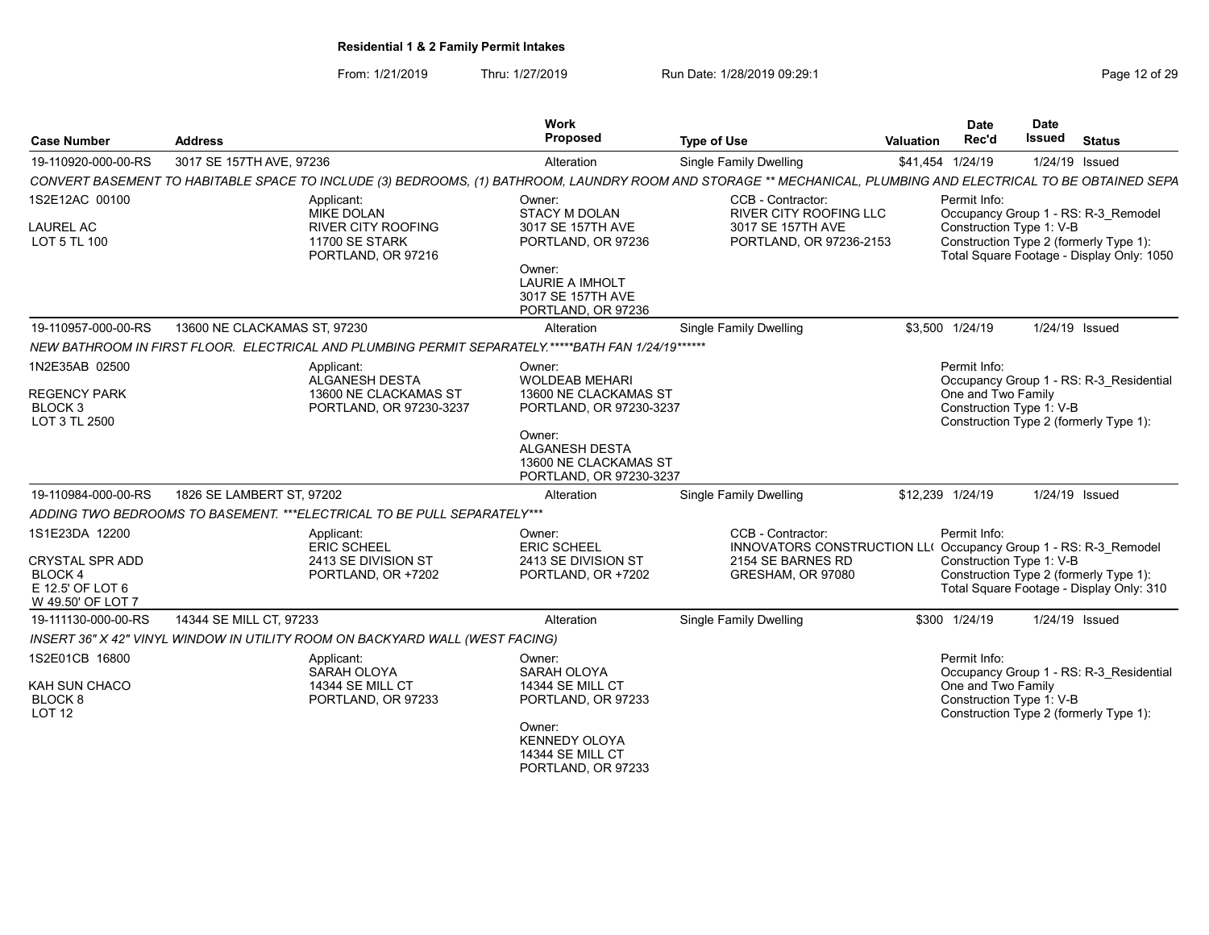From: 1/21/2019 Thru: 1/27/2019 Run Date: 1/28/2019 09:29:1<br>
Page 12 of 29

| <b>Case Number</b>                                         | <b>Address</b>               |                                                                              | Work<br><b>Proposed</b>                                                                            | <b>Type of Use</b>                                                                                                                                             | <b>Valuation</b> | <b>Date</b><br>Rec'd                           | <b>Date</b><br><b>Issued</b> | <b>Status</b>                                                                       |
|------------------------------------------------------------|------------------------------|------------------------------------------------------------------------------|----------------------------------------------------------------------------------------------------|----------------------------------------------------------------------------------------------------------------------------------------------------------------|------------------|------------------------------------------------|------------------------------|-------------------------------------------------------------------------------------|
| 19-110920-000-00-RS                                        | 3017 SE 157TH AVE, 97236     |                                                                              | Alteration                                                                                         | <b>Single Family Dwelling</b>                                                                                                                                  |                  | \$41,454 1/24/19                               |                              | 1/24/19 Issued                                                                      |
|                                                            |                              |                                                                              |                                                                                                    | CONVERT BASEMENT TO HABITABLE SPACE TO INCLUDE (3) BEDROOMS, (1) BATHROOM, LAUNDRY ROOM AND STORAGE ** MECHANICAL, PLUMBING AND ELECTRICAL TO BE OBTAINED SEPA |                  |                                                |                              |                                                                                     |
| 1S2E12AC 00100                                             |                              | Applicant:<br><b>MIKE DOLAN</b>                                              | Owner:<br><b>STACY M DOLAN</b>                                                                     | CCB - Contractor:<br>RIVER CITY ROOFING LLC                                                                                                                    |                  | Permit Info:                                   |                              | Occupancy Group 1 - RS: R-3_Remodel                                                 |
| <b>LAUREL AC</b><br><b>LOT 5 TL 100</b>                    |                              | <b>RIVER CITY ROOFING</b><br><b>11700 SE STARK</b><br>PORTLAND, OR 97216     | 3017 SE 157TH AVE<br>PORTLAND, OR 97236                                                            | 3017 SE 157TH AVE<br>PORTLAND, OR 97236-2153                                                                                                                   |                  | Construction Type 1: V-B                       |                              | Construction Type 2 (formerly Type 1):<br>Total Square Footage - Display Only: 1050 |
|                                                            |                              |                                                                              | Owner:<br><b>LAURIE A IMHOLT</b><br>3017 SE 157TH AVE<br>PORTLAND, OR 97236                        |                                                                                                                                                                |                  |                                                |                              |                                                                                     |
| 19-110957-000-00-RS                                        | 13600 NE CLACKAMAS ST. 97230 |                                                                              | Alteration                                                                                         | <b>Single Family Dwelling</b>                                                                                                                                  |                  | \$3.500 1/24/19                                |                              | 1/24/19 Issued                                                                      |
|                                                            |                              |                                                                              | NEW BATHROOM IN FIRST FLOOR. ELECTRICAL AND PLUMBING PERMIT SEPARATELY.*****BATH FAN 1/24/19****** |                                                                                                                                                                |                  |                                                |                              |                                                                                     |
| 1N2E35AB 02500                                             |                              | Applicant:<br><b>ALGANESH DESTA</b>                                          | Owner:<br><b>WOLDEAB MEHARI</b>                                                                    |                                                                                                                                                                |                  | Permit Info:                                   |                              | Occupancy Group 1 - RS: R-3 Residential                                             |
| <b>REGENCY PARK</b><br>BLOCK <sub>3</sub><br>LOT 3 TL 2500 |                              | 13600 NE CLACKAMAS ST<br>PORTLAND, OR 97230-3237                             | 13600 NE CLACKAMAS ST<br>PORTLAND, OR 97230-3237                                                   |                                                                                                                                                                |                  | One and Two Family<br>Construction Type 1: V-B |                              | Construction Type 2 (formerly Type 1):                                              |
|                                                            |                              |                                                                              | Owner:<br><b>ALGANESH DESTA</b><br>13600 NE CLACKAMAS ST<br>PORTLAND, OR 97230-3237                |                                                                                                                                                                |                  |                                                |                              |                                                                                     |
| 19-110984-000-00-RS                                        | 1826 SE LAMBERT ST, 97202    |                                                                              | Alteration                                                                                         | <b>Single Family Dwelling</b>                                                                                                                                  |                  | \$12,239 1/24/19                               |                              | 1/24/19 Issued                                                                      |
|                                                            |                              | ADDING TWO BEDROOMS TO BASEMENT. *** ELECTRICAL TO BE PULL SEPARATELY ***    |                                                                                                    |                                                                                                                                                                |                  |                                                |                              |                                                                                     |
| 1S1E23DA 12200                                             |                              | Applicant:<br><b>ERIC SCHEEL</b>                                             | Owner:<br><b>ERIC SCHEEL</b>                                                                       | CCB - Contractor:<br>INNOVATORS CONSTRUCTION LL( Occupancy Group 1 - RS: R-3 Remodel                                                                           |                  | Permit Info:                                   |                              |                                                                                     |
| <b>CRYSTAL SPR ADD</b><br><b>BLOCK4</b>                    |                              | 2413 SE DIVISION ST<br>PORTLAND, OR +7202                                    | 2413 SE DIVISION ST<br>PORTLAND, OR +7202                                                          | 2154 SE BARNES RD<br>GRESHAM, OR 97080                                                                                                                         |                  | Construction Type 1: V-B                       |                              | Construction Type 2 (formerly Type 1):                                              |
| E 12.5' OF LOT 6<br>W 49.50' OF LOT 7                      |                              |                                                                              |                                                                                                    |                                                                                                                                                                |                  |                                                |                              | Total Square Footage - Display Only: 310                                            |
| 19-111130-000-00-RS                                        | 14344 SE MILL CT, 97233      |                                                                              | Alteration                                                                                         | <b>Single Family Dwelling</b>                                                                                                                                  |                  | \$300 1/24/19                                  |                              | 1/24/19 Issued                                                                      |
|                                                            |                              | INSERT 36" X 42" VINYL WINDOW IN UTILITY ROOM ON BACKYARD WALL (WEST FACING) |                                                                                                    |                                                                                                                                                                |                  |                                                |                              |                                                                                     |
| 1S2E01CB 16800                                             |                              | Applicant:<br>SARAH OLOYA                                                    | Owner:<br>SARAH OLOYA                                                                              |                                                                                                                                                                |                  | Permit Info:                                   |                              | Occupancy Group 1 - RS: R-3 Residential                                             |
| KAH SUN CHACO<br>BLOCK <sub>8</sub>                        |                              | <b>14344 SE MILL CT</b><br>PORTLAND, OR 97233                                | <b>14344 SE MILL CT</b><br>PORTLAND, OR 97233                                                      |                                                                                                                                                                |                  | One and Two Family<br>Construction Type 1: V-B |                              |                                                                                     |
| <b>LOT 12</b>                                              |                              |                                                                              | Owner:<br><b>KENNEDY OLOYA</b><br><b>14344 SE MILL CT</b><br>PORTLAND, OR 97233                    |                                                                                                                                                                |                  |                                                |                              | Construction Type 2 (formerly Type 1):                                              |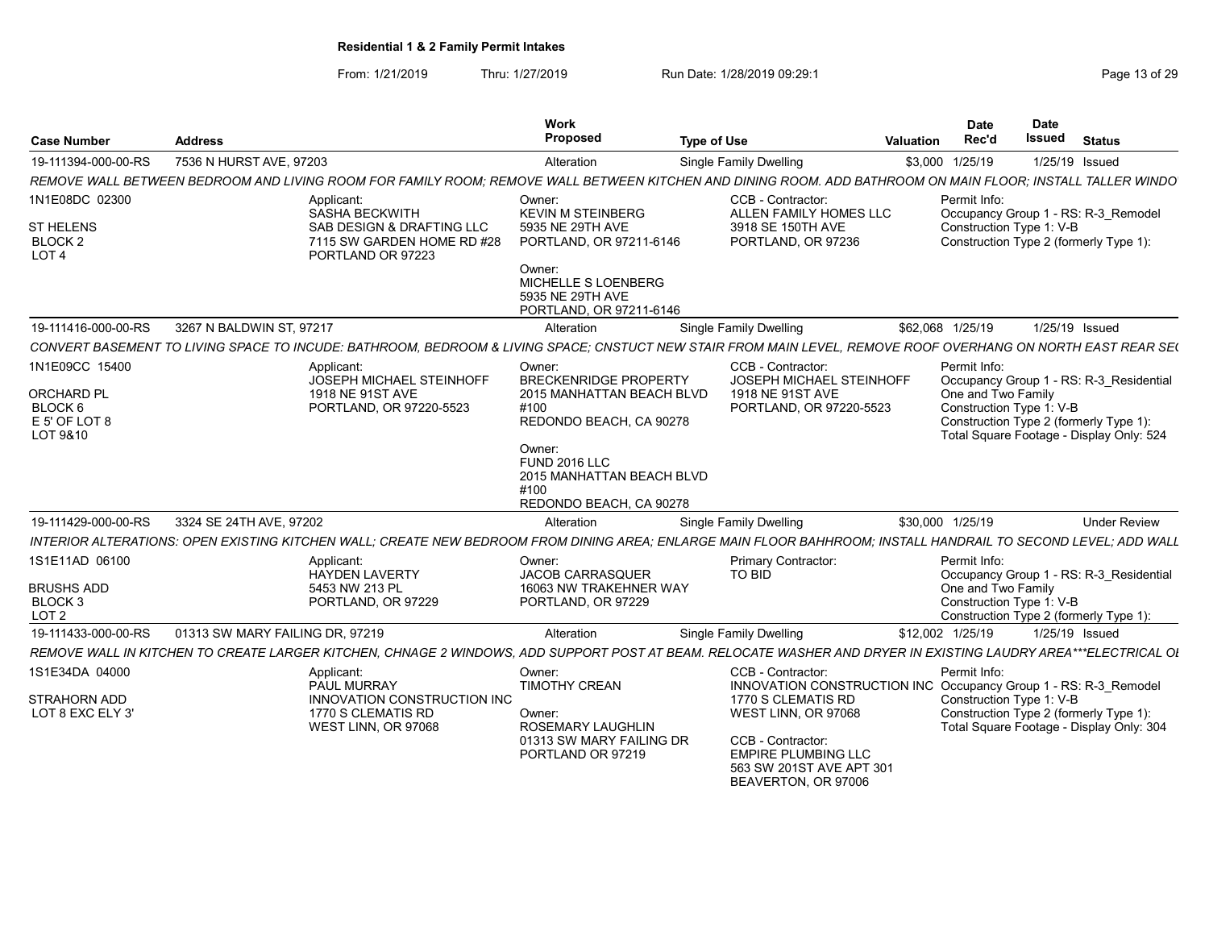|                                                                              |                                 |                                                                                                                                                                | <b>Work</b>                                                                                 |                                                                                                                                                 |                  | <b>Date</b>                                    | <b>Date</b>                                                                        |                                         |
|------------------------------------------------------------------------------|---------------------------------|----------------------------------------------------------------------------------------------------------------------------------------------------------------|---------------------------------------------------------------------------------------------|-------------------------------------------------------------------------------------------------------------------------------------------------|------------------|------------------------------------------------|------------------------------------------------------------------------------------|-----------------------------------------|
| Case Number                                                                  | Address                         |                                                                                                                                                                | Proposed                                                                                    | <b>Type of Use</b>                                                                                                                              | <b>Valuation</b> | Rec'd                                          | Issued                                                                             | <b>Status</b>                           |
| 19-111394-000-00-RS                                                          | 7536 N HURST AVE, 97203         |                                                                                                                                                                | Alteration                                                                                  | Single Family Dwelling                                                                                                                          |                  | \$3,000 1/25/19                                | 1/25/19 Issued                                                                     |                                         |
|                                                                              |                                 | REMOVE WALL BETWEEN BEDROOM AND LIVING ROOM FOR FAMILY ROOM: REMOVE WALL BETWEEN KITCHEN AND DINING ROOM. ADD BATHROOM ON MAIN FLOOR: INSTALL TALLER WINDO     |                                                                                             |                                                                                                                                                 |                  |                                                |                                                                                    |                                         |
| 1N1E08DC 02300<br><b>ST HELENS</b><br>BLOCK <sub>2</sub><br>LOT <sub>4</sub> |                                 | Applicant:<br>SASHA BECKWITH<br>SAB DESIGN & DRAFTING LLC<br>7115 SW GARDEN HOME RD #28<br>PORTLAND OR 97223                                                   | Owner:<br><b>KEVIN M STEINBERG</b><br>5935 NE 29TH AVE<br>PORTLAND, OR 97211-6146<br>Owner: | CCB - Contractor:<br>ALLEN FAMILY HOMES LLC<br>3918 SE 150TH AVE<br>PORTLAND, OR 97236                                                          |                  | Permit Info:<br>Construction Type 1: V-B       | Occupancy Group 1 - RS: R-3 Remodel<br>Construction Type 2 (formerly Type 1):      |                                         |
|                                                                              |                                 |                                                                                                                                                                | MICHELLE S LOENBERG<br>5935 NE 29TH AVE<br>PORTLAND, OR 97211-6146                          |                                                                                                                                                 |                  |                                                |                                                                                    |                                         |
| 19-111416-000-00-RS                                                          | 3267 N BALDWIN ST, 97217        |                                                                                                                                                                | Alteration                                                                                  | <b>Single Family Dwelling</b>                                                                                                                   |                  | \$62,068 1/25/19                               | 1/25/19 Issued                                                                     |                                         |
|                                                                              |                                 | CONVERT BASEMENT TO LIVING SPACE TO INCUDE: BATHROOM, BEDROOM & LIVING SPACE; CNSTUCT NEW STAIR FROM MAIN LEVEL, REMOVE ROOF OVERHANG ON NORTH EAST REAR SE(   |                                                                                             |                                                                                                                                                 |                  |                                                |                                                                                    |                                         |
| 1N1E09CC 15400<br><b>ORCHARD PL</b>                                          |                                 | Applicant:<br><b>JOSEPH MICHAEL STEINHOFF</b><br>1918 NE 91ST AVE                                                                                              | Owner:<br><b>BRECKENRIDGE PROPERTY</b><br>2015 MANHATTAN BEACH BLVD                         | CCB - Contractor:<br>JOSEPH MICHAEL STEINHOFF<br>1918 NE 91ST AVE                                                                               |                  | Permit Info:<br>One and Two Family             |                                                                                    | Occupancy Group 1 - RS: R-3 Residential |
| BLOCK 6<br>E 5' OF LOT 8<br>LOT 9&10                                         |                                 | PORTLAND, OR 97220-5523                                                                                                                                        | #100<br>REDONDO BEACH, CA 90278<br>Owner:                                                   | PORTLAND, OR 97220-5523                                                                                                                         |                  | Construction Type 1: V-B                       | Construction Type 2 (formerly Type 1):<br>Total Square Footage - Display Only: 524 |                                         |
|                                                                              |                                 |                                                                                                                                                                | <b>FUND 2016 LLC</b><br>2015 MANHATTAN BEACH BLVD<br>#100<br>REDONDO BEACH, CA 90278        |                                                                                                                                                 |                  |                                                |                                                                                    |                                         |
| 19-111429-000-00-RS                                                          | 3324 SE 24TH AVE, 97202         |                                                                                                                                                                | Alteration                                                                                  | Single Family Dwelling                                                                                                                          |                  | \$30,000 1/25/19                               |                                                                                    | <b>Under Review</b>                     |
|                                                                              |                                 | INTERIOR ALTERATIONS: OPEN EXISTING KITCHEN WALL; CREATE NEW BEDROOM FROM DINING AREA; ENLARGE MAIN FLOOR BAHHROOM; INSTALL HANDRAIL TO SECOND LEVEL; ADD WALL |                                                                                             |                                                                                                                                                 |                  |                                                |                                                                                    |                                         |
| 1S1E11AD 06100                                                               |                                 | Applicant:<br><b>HAYDEN LAVERTY</b>                                                                                                                            | Owner:<br><b>JACOB CARRASQUER</b>                                                           | <b>Primary Contractor</b><br>TO BID                                                                                                             |                  | Permit Info:                                   |                                                                                    | Occupancy Group 1 - RS: R-3_Residential |
| <b>BRUSHS ADD</b><br>BLOCK <sub>3</sub><br>LOT <sub>2</sub>                  |                                 | 5453 NW 213 PL<br>PORTLAND, OR 97229                                                                                                                           | 16063 NW TRAKEHNER WAY<br>PORTLAND, OR 97229                                                |                                                                                                                                                 |                  | One and Two Family<br>Construction Type 1: V-B | Construction Type 2 (formerly Type 1):                                             |                                         |
| 19-111433-000-00-RS                                                          | 01313 SW MARY FAILING DR. 97219 |                                                                                                                                                                | Alteration                                                                                  | <b>Single Family Dwelling</b>                                                                                                                   |                  | \$12,002 1/25/19                               | 1/25/19 Issued                                                                     |                                         |
|                                                                              |                                 | REMOVE WALL IN KITCHEN TO CREATE LARGER KITCHEN, CHNAGE 2 WINDOWS, ADD SUPPORT POST AT BEAM. RELOCATE WASHER AND DRYER IN EXISTING LAUDRY AREA***ELECTRICAL OL |                                                                                             |                                                                                                                                                 |                  |                                                |                                                                                    |                                         |
| 1S1E34DA 04000                                                               |                                 | Applicant:<br>PAUL MURRAY                                                                                                                                      | Owner:<br><b>TIMOTHY CREAN</b>                                                              | CCB - Contractor:<br>INNOVATION CONSTRUCTION INC Occupancy Group 1 - RS: R-3 Remodel                                                            |                  | Permit Info:                                   |                                                                                    |                                         |
| <b>STRAHORN ADD</b><br>LOT 8 EXC ELY 3'                                      |                                 | <b>INNOVATION CONSTRUCTION INC</b><br>1770 S CLEMATIS RD<br>WEST LINN, OR 97068                                                                                | Owner:<br>ROSEMARY LAUGHLIN<br>01313 SW MARY FAILING DR<br>PORTLAND OR 97219                | 1770 S CLEMATIS RD<br>WEST LINN, OR 97068<br>CCB - Contractor:<br><b>EMPIRE PLUMBING LLC</b><br>563 SW 201ST AVE APT 301<br>BEAVERTON, OR 97006 |                  | Construction Type 1: V-B                       | Construction Type 2 (formerly Type 1):<br>Total Square Footage - Display Only: 304 |                                         |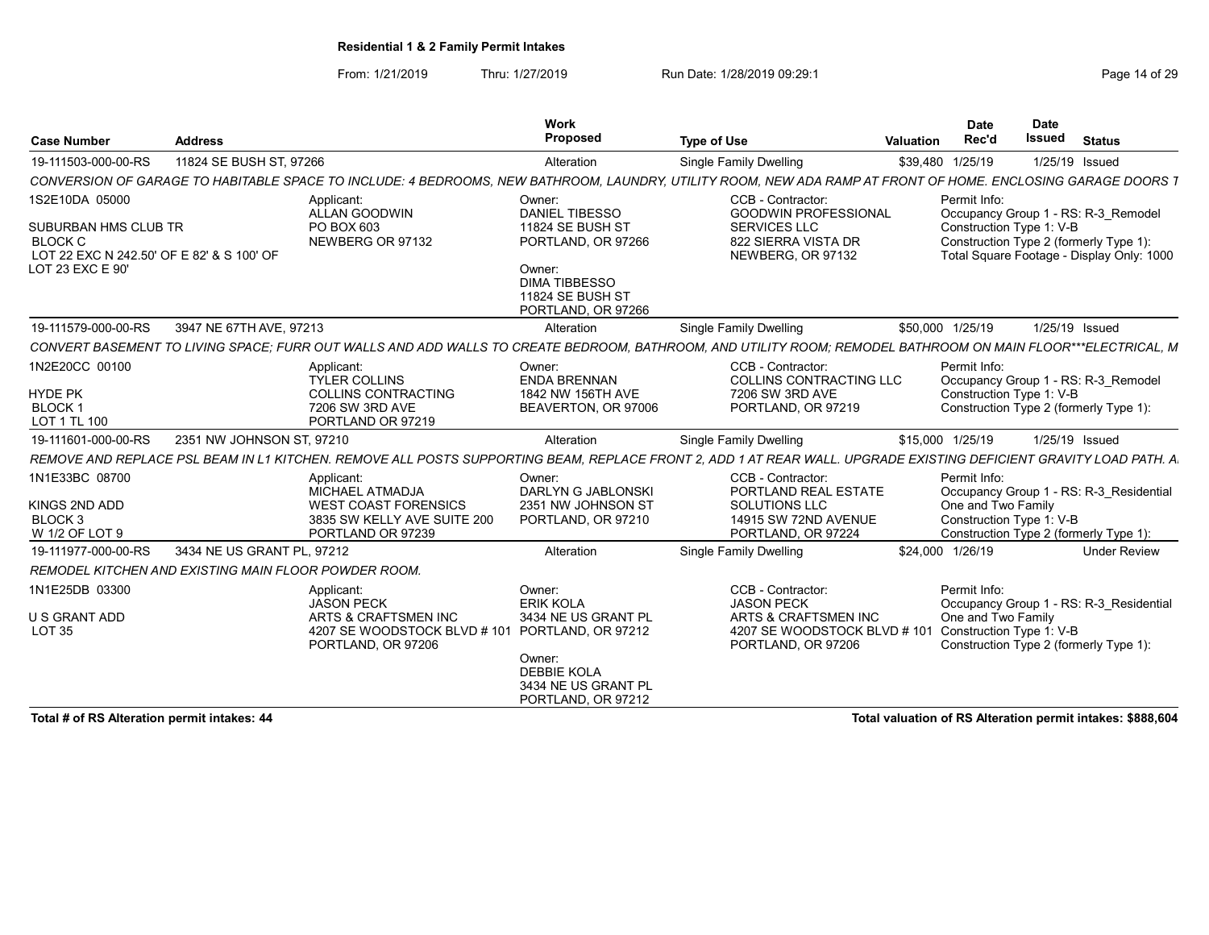From: 1/21/2019 Thru: 1/27/2019 Run Date: 1/28/2019 09:29:1<br>
Run Date: 1/28/2019 09:29:1

| <b>Case Number</b>                                                                                                        | <b>Address</b>             |                                                                                                                           | Work<br>Proposed                                                                                                                                      | <b>Type of Use</b>                                                                                                                                                | <b>Date</b><br>Rec'd<br>Valuation  | <b>Date</b><br><b>Issued</b><br><b>Status</b>                                                                                                          |
|---------------------------------------------------------------------------------------------------------------------------|----------------------------|---------------------------------------------------------------------------------------------------------------------------|-------------------------------------------------------------------------------------------------------------------------------------------------------|-------------------------------------------------------------------------------------------------------------------------------------------------------------------|------------------------------------|--------------------------------------------------------------------------------------------------------------------------------------------------------|
| 19-111503-000-00-RS                                                                                                       | 11824 SE BUSH ST, 97266    |                                                                                                                           | Alteration                                                                                                                                            | <b>Single Family Dwelling</b>                                                                                                                                     | \$39,480 1/25/19                   | 1/25/19 Issued                                                                                                                                         |
|                                                                                                                           |                            |                                                                                                                           |                                                                                                                                                       | CONVERSION OF GARAGE TO HABITABLE SPACE TO INCLUDE: 4 BEDROOMS, NEW BATHROOM, LAUNDRY, UTILITY ROOM, NEW ADA RAMP AT FRONT OF HOME, ENCLOSING GARAGE DOORS        |                                    |                                                                                                                                                        |
| 1S2E10DA 05000<br>SUBURBAN HMS CLUB TR<br><b>BLOCK C</b><br>LOT 22 EXC N 242.50' OF E 82' & S 100' OF<br>LOT 23 EXC E 90' |                            | Applicant:<br>ALLAN GOODWIN<br>PO BOX 603<br>NEWBERG OR 97132                                                             | Owner:<br><b>DANIEL TIBESSO</b><br>11824 SE BUSH ST<br>PORTLAND, OR 97266<br>Owner:<br><b>DIMA TIBBESSO</b><br>11824 SE BUSH ST<br>PORTLAND, OR 97266 | CCB - Contractor:<br><b>GOODWIN PROFESSIONAL</b><br>SERVICES LLC<br>822 SIERRA VISTA DR<br>NEWBERG, OR 97132                                                      | Permit Info:                       | Occupancy Group 1 - RS: R-3 Remodel<br>Construction Type 1: V-B<br>Construction Type 2 (formerly Type 1):<br>Total Square Footage - Display Only: 1000 |
| 19-111579-000-00-RS                                                                                                       | 3947 NE 67TH AVE, 97213    |                                                                                                                           | Alteration                                                                                                                                            | <b>Single Family Dwelling</b>                                                                                                                                     | \$50,000 1/25/19                   | 1/25/19 Issued                                                                                                                                         |
|                                                                                                                           |                            |                                                                                                                           |                                                                                                                                                       | CONVERT BASEMENT TO LIVING SPACE; FURR OUT WALLS AND ADD WALLS TO CREATE BEDROOM, BATHROOM, AND UTILITY ROOM; REMODEL BATHROOM ON MAIN FLOOR***ELECTRICAL, M      |                                    |                                                                                                                                                        |
| 1N2E20CC 00100<br><b>HYDE PK</b><br><b>BLOCK1</b><br>LOT 1 TL 100                                                         |                            | Applicant:<br><b>TYLER COLLINS</b><br><b>COLLINS CONTRACTING</b><br>7206 SW 3RD AVE<br>PORTLAND OR 97219                  | Owner:<br><b>ENDA BRENNAN</b><br>1842 NW 156TH AVE<br>BEAVERTON, OR 97006                                                                             | CCB - Contractor:<br>COLLINS CONTRACTING LLC<br>7206 SW 3RD AVE<br>PORTLAND, OR 97219                                                                             | Permit Info:                       | Occupancy Group 1 - RS: R-3 Remodel<br>Construction Type 1: V-B<br>Construction Type 2 (formerly Type 1):                                              |
| 19-111601-000-00-RS                                                                                                       | 2351 NW JOHNSON ST, 97210  |                                                                                                                           | Alteration                                                                                                                                            | Single Family Dwelling                                                                                                                                            | \$15,000 1/25/19                   | 1/25/19 Issued                                                                                                                                         |
|                                                                                                                           |                            |                                                                                                                           |                                                                                                                                                       | REMOVE AND REPLACE PSL BEAM IN L1 KITCHEN. REMOVE ALL POSTS SUPPORTING BEAM. REPLACE FRONT 2. ADD 1 AT REAR WALL. UPGRADE EXISTING DEFICIENT GRAVITY LOAD PATH. A |                                    |                                                                                                                                                        |
| 1N1E33BC 08700<br>KINGS 2ND ADD<br>BLOCK <sub>3</sub><br>W 1/2 OF LOT 9                                                   |                            | Applicant:<br>MICHAEL ATMADJA<br><b>WEST COAST FORENSICS</b><br>3835 SW KELLY AVE SUITE 200<br>PORTLAND OR 97239          | Owner:<br>DARLYN G JABLONSKI<br>2351 NW JOHNSON ST<br>PORTLAND, OR 97210                                                                              | CCB - Contractor:<br>PORTLAND REAL ESTATE<br>SOLUTIONS LLC<br>14915 SW 72ND AVENUE<br>PORTLAND, OR 97224                                                          | Permit Info:<br>One and Two Family | Occupancy Group 1 - RS: R-3_Residential<br>Construction Type 1: V-B<br>Construction Type 2 (formerly Type 1):                                          |
| 19-111977-000-00-RS                                                                                                       | 3434 NE US GRANT PL, 97212 |                                                                                                                           | Alteration                                                                                                                                            | Single Family Dwelling                                                                                                                                            | \$24,000 1/26/19                   | <b>Under Review</b>                                                                                                                                    |
| REMODEL KITCHEN AND EXISTING MAIN FLOOR POWDER ROOM.                                                                      |                            |                                                                                                                           |                                                                                                                                                       |                                                                                                                                                                   |                                    |                                                                                                                                                        |
| 1N1E25DB 03300<br>U S GRANT ADD<br><b>LOT 35</b>                                                                          |                            | Applicant:<br>JASON PECK<br>ARTS & CRAFTSMEN INC<br>4207 SE WOODSTOCK BLVD # 101 PORTLAND, OR 97212<br>PORTLAND, OR 97206 | Owner:<br><b>ERIK KOLA</b><br>3434 NE US GRANT PL<br>Owner:<br><b>DEBBIE KOLA</b><br>3434 NE US GRANT PL<br>PORTLAND, OR 97212                        | CCB - Contractor:<br><b>JASON PECK</b><br>ARTS & CRAFTSMEN INC<br>4207 SE WOODSTOCK BLVD # 101 Construction Type 1: V-B<br>PORTLAND, OR 97206                     | Permit Info:<br>One and Two Family | Occupancy Group 1 - RS: R-3 Residential<br>Construction Type 2 (formerly Type 1):                                                                      |

Total # of RS Alteration permit intakes: 44 Total valuation of RS Alteration permit intakes: \$888,604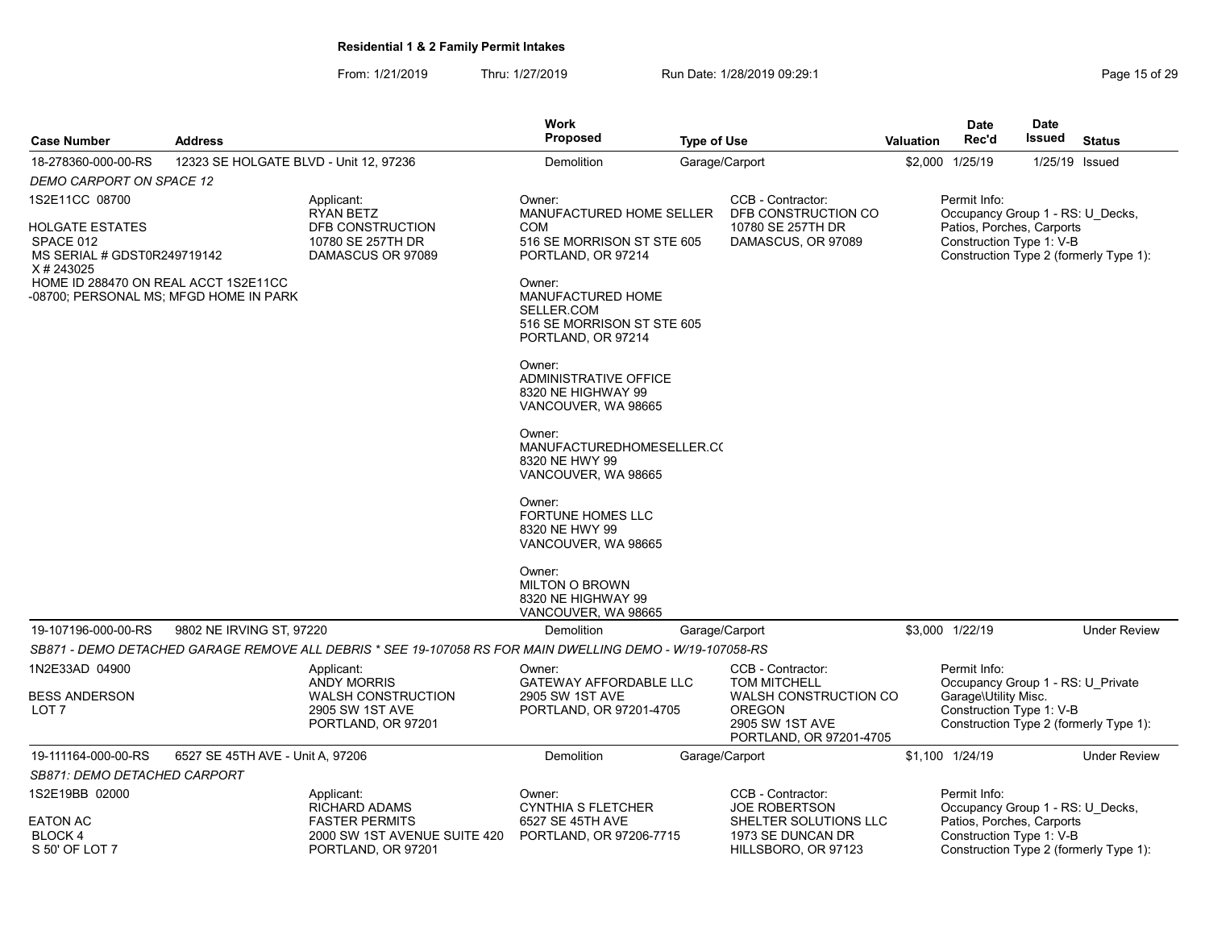| <b>Case Number</b>                                                                                                                                                          | <b>Address</b>                         |                                                                                                            | <b>Work</b><br><b>Proposed</b>                                                                                                                                                                                                                                                                                                                                                                                                                                                                                       | <b>Type of Use</b> |                                                                                                                                         | <b>Valuation</b> | <b>Date</b><br>Rec'd                                                                                      | <b>Date</b><br>Issued | <b>Status</b>                          |
|-----------------------------------------------------------------------------------------------------------------------------------------------------------------------------|----------------------------------------|------------------------------------------------------------------------------------------------------------|----------------------------------------------------------------------------------------------------------------------------------------------------------------------------------------------------------------------------------------------------------------------------------------------------------------------------------------------------------------------------------------------------------------------------------------------------------------------------------------------------------------------|--------------------|-----------------------------------------------------------------------------------------------------------------------------------------|------------------|-----------------------------------------------------------------------------------------------------------|-----------------------|----------------------------------------|
| 18-278360-000-00-RS                                                                                                                                                         | 12323 SE HOLGATE BLVD - Unit 12, 97236 |                                                                                                            | Demolition                                                                                                                                                                                                                                                                                                                                                                                                                                                                                                           |                    | Garage/Carport                                                                                                                          |                  | \$2,000 1/25/19                                                                                           | 1/25/19 Issued        |                                        |
| <b>DEMO CARPORT ON SPACE 12</b>                                                                                                                                             |                                        |                                                                                                            |                                                                                                                                                                                                                                                                                                                                                                                                                                                                                                                      |                    |                                                                                                                                         |                  |                                                                                                           |                       |                                        |
| 1S2E11CC 08700<br>HOLGATE ESTATES<br>SPACE 012<br>MS SERIAL # GDST0R249719142<br>X#243025<br>HOME ID 288470 ON REAL ACCT 1S2E11CC<br>-08700; PERSONAL MS; MFGD HOME IN PARK |                                        | Applicant:<br>RYAN BETZ<br>DFB CONSTRUCTION<br>10780 SE 257TH DR<br>DAMASCUS OR 97089                      | Owner:<br>MANUFACTURED HOME SELLER<br>COM<br>516 SE MORRISON ST STE 605<br>PORTLAND, OR 97214<br>Owner:<br><b>MANUFACTURED HOME</b><br>SELLER.COM<br>516 SE MORRISON ST STE 605<br>PORTLAND, OR 97214<br>Owner:<br><b>ADMINISTRATIVE OFFICE</b><br>8320 NE HIGHWAY 99<br>VANCOUVER, WA 98665<br>Owner:<br>MANUFACTUREDHOMESELLER.CO<br>8320 NE HWY 99<br>VANCOUVER, WA 98665<br>Owner:<br><b>FORTUNE HOMES LLC</b><br>8320 NE HWY 99<br>VANCOUVER, WA 98665<br>Owner:<br><b>MILTON O BROWN</b><br>8320 NE HIGHWAY 99 |                    | CCB - Contractor:<br>DFB CONSTRUCTION CO<br>10780 SE 257TH DR<br>DAMASCUS, OR 97089                                                     |                  | Permit Info:<br>Occupancy Group 1 - RS: U_Decks,<br>Patios, Porches, Carports<br>Construction Type 1: V-B |                       | Construction Type 2 (formerly Type 1): |
|                                                                                                                                                                             |                                        |                                                                                                            | VANCOUVER, WA 98665                                                                                                                                                                                                                                                                                                                                                                                                                                                                                                  |                    |                                                                                                                                         |                  |                                                                                                           |                       |                                        |
| 19-107196-000-00-RS                                                                                                                                                         | 9802 NE IRVING ST, 97220               |                                                                                                            | Demolition                                                                                                                                                                                                                                                                                                                                                                                                                                                                                                           |                    | Garage/Carport                                                                                                                          |                  | \$3,000 1/22/19                                                                                           |                       | <b>Under Review</b>                    |
|                                                                                                                                                                             |                                        | SB871 - DEMO DETACHED GARAGE REMOVE ALL DEBRIS * SEE 19-107058 RS FOR MAIN DWELLING DEMO - W/19-107058-RS  |                                                                                                                                                                                                                                                                                                                                                                                                                                                                                                                      |                    |                                                                                                                                         |                  |                                                                                                           |                       |                                        |
| 1N2E33AD 04900<br><b>BESS ANDERSON</b><br>LOT <sub>7</sub>                                                                                                                  |                                        | Applicant:<br><b>ANDY MORRIS</b><br><b>WALSH CONSTRUCTION</b><br>2905 SW 1ST AVE<br>PORTLAND, OR 97201     | Owner:<br><b>GATEWAY AFFORDABLE LLC</b><br>2905 SW 1ST AVE<br>PORTLAND, OR 97201-4705                                                                                                                                                                                                                                                                                                                                                                                                                                |                    | CCB - Contractor:<br><b>TOM MITCHELL</b><br><b>WALSH CONSTRUCTION CO</b><br><b>OREGON</b><br>2905 SW 1ST AVE<br>PORTLAND, OR 97201-4705 |                  | Permit Info:<br>Occupancy Group 1 - RS: U Private<br>Garage\Utility Misc.<br>Construction Type 1: V-B     |                       | Construction Type 2 (formerly Type 1): |
| 19-111164-000-00-RS                                                                                                                                                         | 6527 SE 45TH AVE - Unit A, 97206       |                                                                                                            | Demolition                                                                                                                                                                                                                                                                                                                                                                                                                                                                                                           |                    | Garage/Carport                                                                                                                          |                  | \$1,100 1/24/19                                                                                           |                       | <b>Under Review</b>                    |
| SB871: DEMO DETACHED CARPORT                                                                                                                                                |                                        |                                                                                                            |                                                                                                                                                                                                                                                                                                                                                                                                                                                                                                                      |                    |                                                                                                                                         |                  |                                                                                                           |                       |                                        |
| 1S2E19BB 02000<br>EATON AC<br>BLOCK 4<br>S 50' OF LOT 7                                                                                                                     |                                        | Applicant:<br>RICHARD ADAMS<br><b>FASTER PERMITS</b><br>2000 SW 1ST AVENUE SUITE 420<br>PORTLAND, OR 97201 | Owner:<br><b>CYNTHIA S FLETCHER</b><br>6527 SE 45TH AVE<br>PORTLAND, OR 97206-7715                                                                                                                                                                                                                                                                                                                                                                                                                                   |                    | CCB - Contractor:<br><b>JOE ROBERTSON</b><br>SHELTER SOLUTIONS LLC<br>1973 SE DUNCAN DR<br>HILLSBORO, OR 97123                          |                  | Permit Info:<br>Occupancy Group 1 - RS: U_Decks,<br>Patios, Porches, Carports<br>Construction Type 1: V-B |                       | Construction Type 2 (formerly Type 1): |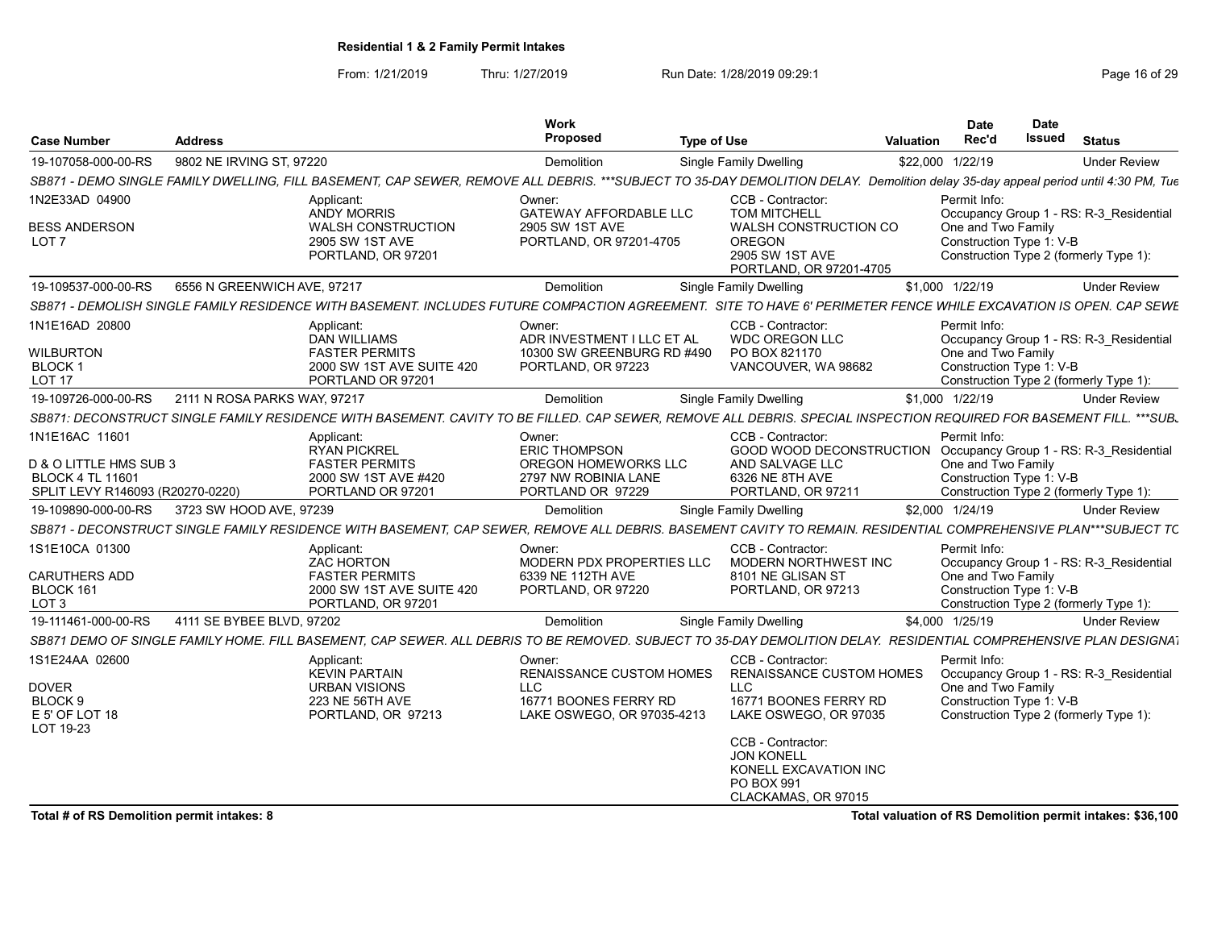From: 1/21/2019 Thru: 1/27/2019 Run Date: 1/28/2019 09:29:1<br>
Page 16 of 29

|                                            |                              |                                                                                                                                                                   | Work                                                                                                |                                                                                                 |                                                                  | <b>Date</b>                                                                              | Date          |                                                           |
|--------------------------------------------|------------------------------|-------------------------------------------------------------------------------------------------------------------------------------------------------------------|-----------------------------------------------------------------------------------------------------|-------------------------------------------------------------------------------------------------|------------------------------------------------------------------|------------------------------------------------------------------------------------------|---------------|-----------------------------------------------------------|
| <b>Case Number</b>                         | <b>Address</b>               |                                                                                                                                                                   | Proposed                                                                                            | <b>Type of Use</b>                                                                              | Valuation                                                        | Rec'd                                                                                    | <b>Issued</b> | <b>Status</b>                                             |
| 19-107058-000-00-RS                        | 9802 NE IRVING ST, 97220     |                                                                                                                                                                   | Demolition                                                                                          | <b>Single Family Dwelling</b>                                                                   |                                                                  | \$22,000 1/22/19                                                                         |               | <b>Under Review</b>                                       |
|                                            |                              | SB871 - DEMO SINGLE FAMILY DWELLING, FILL BASEMENT, CAP SEWER, REMOVE ALL DEBRIS.                                                                                 |                                                                                                     | ***SUBJECT TO 35-DAY DEMOLITION DELAY. Demolition delay 35-day appeal period until 4:30 PM, Tue |                                                                  |                                                                                          |               |                                                           |
| 1N2E33AD 04900                             |                              | Applicant:<br>ANDY MORRIS                                                                                                                                         | Owner:<br><b>GATEWAY AFFORDABLE LLC</b>                                                             | CCB - Contractor:<br><b>TOM MITCHELL</b>                                                        |                                                                  | Permit Info:                                                                             |               | Occupancy Group 1 - RS: R-3_Residential                   |
| <b>BESS ANDERSON</b><br>LOT <sub>7</sub>   |                              | WALSH CONSTRUCTION<br>2905 SW 1ST AVE<br>PORTLAND, OR 97201                                                                                                       | 2905 SW 1ST AVE<br>PORTLAND, OR 97201-4705                                                          | <b>WALSH CONSTRUCTION CO</b><br><b>OREGON</b><br>2905 SW 1ST AVE<br>PORTLAND, OR 97201-4705     |                                                                  | One and Two Family<br>Construction Type 1: V-B<br>Construction Type 2 (formerly Type 1): |               |                                                           |
| 19-109537-000-00-RS                        | 6556 N GREENWICH AVE, 97217  |                                                                                                                                                                   | Demolition                                                                                          | Single Family Dwelling                                                                          |                                                                  | \$1,000 1/22/19                                                                          |               | <b>Under Review</b>                                       |
|                                            |                              | SB871 - DEMOLISH SINGLE FAMILY RESIDENCE WITH BASEMENT. INCLUDES FUTURE COMPACTION AGREEMENT. SITE TO HAVE 6' PERIMETER FENCE WHILE EXCAVATION IS OPEN. CAP SEWE  |                                                                                                     |                                                                                                 |                                                                  |                                                                                          |               |                                                           |
| 1N1E16AD 20800                             |                              | Applicant:                                                                                                                                                        | Owner:                                                                                              | CCB - Contractor:                                                                               |                                                                  | Permit Info:                                                                             |               |                                                           |
| <b>WILBURTON</b>                           |                              | <b>DAN WILLIAMS</b><br><b>FASTER PERMITS</b>                                                                                                                      | ADR INVESTMENT I LLC ET AL<br>10300 SW GREENBURG RD #490                                            | <b>WDC OREGON LLC</b><br>PO BOX 821170                                                          |                                                                  | One and Two Family                                                                       |               | Occupancy Group 1 - RS: R-3_Residential                   |
| BLOCK <sup>-</sup><br>LOT <sub>17</sub>    |                              | 2000 SW 1ST AVE SUITE 420<br>PORTLAND OR 97201                                                                                                                    | PORTLAND, OR 97223                                                                                  | VANCOUVER, WA 98682                                                                             |                                                                  | Construction Type 1: V-B<br>Construction Type 2 (formerly Type 1):                       |               |                                                           |
| 19-109726-000-00-RS                        | 2111 N ROSA PARKS WAY, 97217 |                                                                                                                                                                   | Demolition                                                                                          | Single Family Dwelling                                                                          |                                                                  | \$1,000 1/22/19                                                                          |               | <b>Under Review</b>                                       |
|                                            |                              | SB871: DECONSTRUCT SINGLE FAMILY RESIDENCE WITH BASEMENT. CAVITY                                                                                                  | TO BE FILLED. CAP SEWER, REMOVE ALL DEBRIS. SPECIAL INSPECTION REQUIRED FOR BASEMENT FILL. *** SUB. |                                                                                                 |                                                                  |                                                                                          |               |                                                           |
| 1N1E16AC 11601                             |                              | Applicant:                                                                                                                                                        | Owner:                                                                                              | CCB - Contractor:                                                                               |                                                                  | Permit Info:                                                                             |               |                                                           |
| D & O LITTLE HMS SUB 3                     |                              | RYAN PICKREL<br><b>FASTER PERMITS</b>                                                                                                                             | <b>ERIC THOMPSON</b><br>OREGON HOMEWORKS LLC                                                        | AND SALVAGE LLC                                                                                 | GOOD WOOD DECONSTRUCTION Occupancy Group 1 - RS: R-3_Residential | One and Two Family                                                                       |               |                                                           |
| BLOCK 4 TL 1160                            |                              | 2000 SW 1ST AVE #420                                                                                                                                              | 2797 NW ROBINIA LANE                                                                                | 6326 NE 8TH AVE                                                                                 |                                                                  | Construction Type 1: V-B                                                                 |               |                                                           |
| SPLIT LEVY R146093 (R20270-0220)           |                              | PORTLAND OR 97201                                                                                                                                                 | PORTLAND OR 97229                                                                                   | PORTLAND, OR 97211                                                                              |                                                                  | Construction Type 2 (formerly Type 1):                                                   |               |                                                           |
| 19-109890-000-00-RS                        | 3723 SW HOOD AVE, 97239      |                                                                                                                                                                   | Demolition                                                                                          | Single Family Dwelling                                                                          |                                                                  | \$2,000 1/24/19                                                                          |               | <b>Under Review</b>                                       |
|                                            |                              | SB871 - DECONSTRUCT SINGLE FAMILY RESIDENCE WITH BASEMENT, CAP SEWER, REMOVE ALL DEBRIS. BASEMENT CAVITY TO REMAIN. RESIDENTIAL COMPREHENSIVE PLAN***SUBJECT TC   |                                                                                                     |                                                                                                 |                                                                  |                                                                                          |               |                                                           |
| 1S1E10CA 01300                             |                              | Applicant:<br>ZAC HORTON                                                                                                                                          | Owner:<br>MODERN PDX PROPERTIES LLC                                                                 | CCB - Contractor:<br>MODERN NORTHWEST INC                                                       |                                                                  | Permit Info:                                                                             |               | Occupancy Group 1 - RS: R-3_Residential                   |
| <b>CARUTHERS ADD</b>                       |                              | <b>FASTER PERMITS</b>                                                                                                                                             | 6339 NE 112TH AVE                                                                                   | 8101 NE GLISAN ST                                                                               |                                                                  | One and Two Family                                                                       |               |                                                           |
| BLOCK 161<br>LOT <sub>3</sub>              |                              | 2000 SW 1ST AVE SUITE 420<br>PORTLAND, OR 97201                                                                                                                   | PORTLAND, OR 97220                                                                                  | PORTLAND, OR 97213                                                                              |                                                                  | Construction Type 1: V-B<br>Construction Type 2 (formerly Type 1):                       |               |                                                           |
| 19-111461-000-00-RS                        | 4111 SE BYBEE BLVD, 97202    |                                                                                                                                                                   | Demolition                                                                                          | Single Family Dwelling                                                                          |                                                                  | \$4,000 1/25/19                                                                          |               | <b>Under Review</b>                                       |
|                                            |                              | SB871 DEMO OF SINGLE FAMILY HOME. FILL BASEMENT, CAP SEWER. ALL DEBRIS TO BE REMOVED. SUBJECT TO 35-DAY DEMOLITION DELAY. RESIDENTIAL COMPREHENSIVE PLAN DESIGNAT |                                                                                                     |                                                                                                 |                                                                  |                                                                                          |               |                                                           |
| 1S1E24AA 02600                             |                              | Applicant:<br>KEVIN PARTAIN                                                                                                                                       | Owner:<br>RENAISSANCE CUSTOM HOMES                                                                  | CCB - Contractor:                                                                               | RENAISSANCE CUSTOM HOMES                                         | Permit Info:                                                                             |               | Occupancy Group 1 - RS: R-3_Residential                   |
| <b>DOVER</b>                               |                              | <b>URBAN VISIONS</b>                                                                                                                                              | LLC                                                                                                 | LLC                                                                                             |                                                                  | One and Two Family                                                                       |               |                                                           |
| BLOCK 9<br>E 5' OF LOT 18<br>LOT 19-23     |                              | 223 NE 56TH AVE<br>PORTLAND, OR 97213                                                                                                                             | 16771 BOONES FERRY RD<br>LAKE OSWEGO, OR 97035-4213                                                 | 16771 BOONES FERRY RD<br>LAKE OSWEGO, OR 97035                                                  |                                                                  | Construction Type 1: V-B<br>Construction Type 2 (formerly Type 1):                       |               |                                                           |
|                                            |                              |                                                                                                                                                                   |                                                                                                     | CCB - Contractor:<br><b>JON KONELL</b>                                                          |                                                                  |                                                                                          |               |                                                           |
|                                            |                              |                                                                                                                                                                   |                                                                                                     | KONELL EXCAVATION INC<br>PO BOX 991                                                             |                                                                  |                                                                                          |               |                                                           |
|                                            |                              |                                                                                                                                                                   |                                                                                                     | CLACKAMAS, OR 97015                                                                             |                                                                  |                                                                                          |               |                                                           |
| Total # of RS Demolition permit intakes: 8 |                              |                                                                                                                                                                   |                                                                                                     |                                                                                                 |                                                                  |                                                                                          |               | Total valuation of RS Demolition permit intakes: \$36,100 |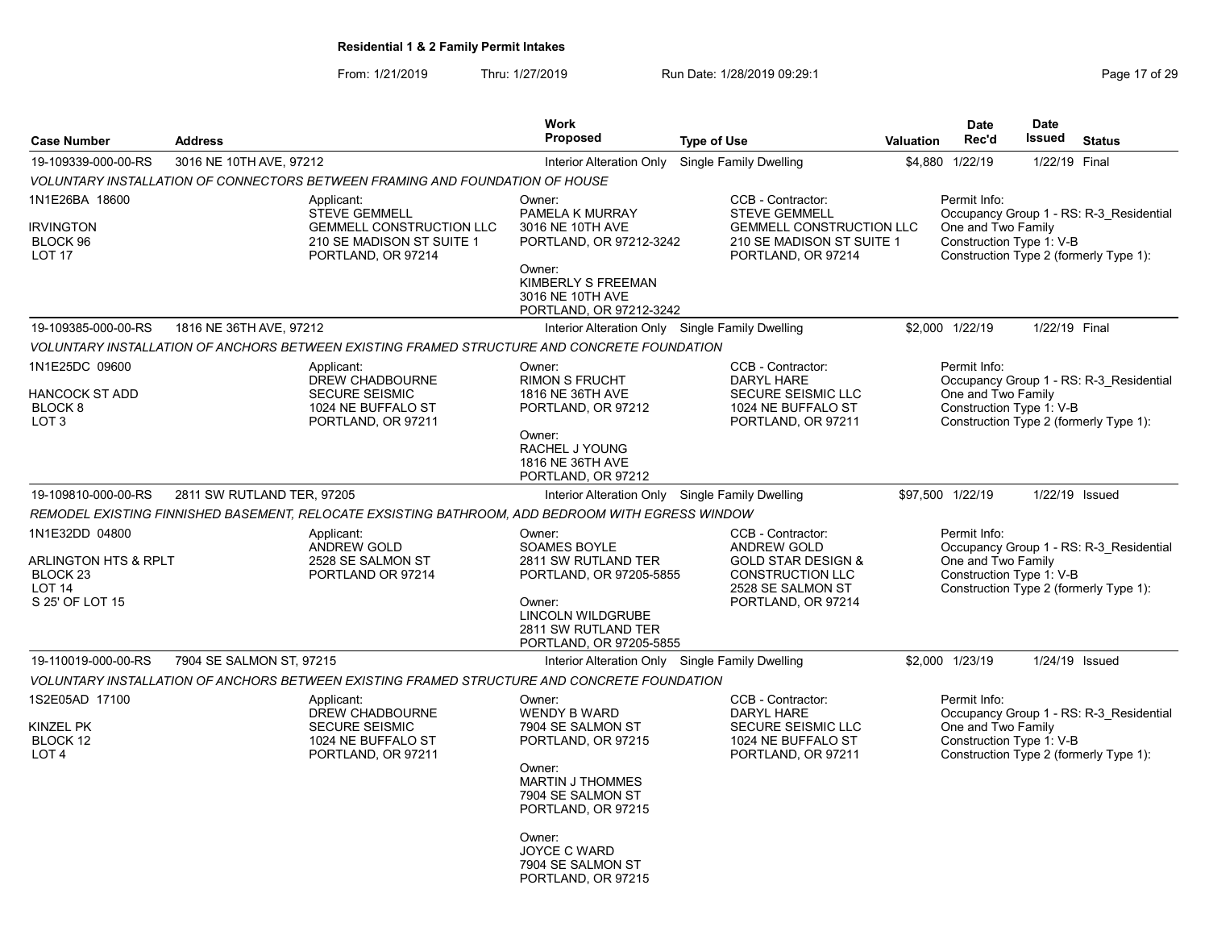From: 1/21/2019 Thru: 1/27/2019 Run Date: 1/28/2019 09:29:1<br>Page 17 of 29

|                |                                                                                                                          | <b>Work</b>                                                                                                                                                                                                                          |                                                                                                                                         |                                                                                                                                                                                                                                                                                                                                                                                                                                                                                                                                                                     | <b>Date</b>                                                  | <b>Date</b>                                                                                                                               |                                                                                                                                                                                                                                                                                                                                                                                                                                                                                                                                                                                                                                |
|----------------|--------------------------------------------------------------------------------------------------------------------------|--------------------------------------------------------------------------------------------------------------------------------------------------------------------------------------------------------------------------------------|-----------------------------------------------------------------------------------------------------------------------------------------|---------------------------------------------------------------------------------------------------------------------------------------------------------------------------------------------------------------------------------------------------------------------------------------------------------------------------------------------------------------------------------------------------------------------------------------------------------------------------------------------------------------------------------------------------------------------|--------------------------------------------------------------|-------------------------------------------------------------------------------------------------------------------------------------------|--------------------------------------------------------------------------------------------------------------------------------------------------------------------------------------------------------------------------------------------------------------------------------------------------------------------------------------------------------------------------------------------------------------------------------------------------------------------------------------------------------------------------------------------------------------------------------------------------------------------------------|
| <b>Address</b> |                                                                                                                          | <b>Proposed</b>                                                                                                                                                                                                                      | <b>Type of Use</b>                                                                                                                      | <b>Valuation</b>                                                                                                                                                                                                                                                                                                                                                                                                                                                                                                                                                    | Rec'd                                                        | Issued                                                                                                                                    | <b>Status</b>                                                                                                                                                                                                                                                                                                                                                                                                                                                                                                                                                                                                                  |
|                |                                                                                                                          | Interior Alteration Only                                                                                                                                                                                                             | Single Family Dwelling                                                                                                                  |                                                                                                                                                                                                                                                                                                                                                                                                                                                                                                                                                                     |                                                              |                                                                                                                                           |                                                                                                                                                                                                                                                                                                                                                                                                                                                                                                                                                                                                                                |
|                |                                                                                                                          |                                                                                                                                                                                                                                      |                                                                                                                                         |                                                                                                                                                                                                                                                                                                                                                                                                                                                                                                                                                                     |                                                              |                                                                                                                                           |                                                                                                                                                                                                                                                                                                                                                                                                                                                                                                                                                                                                                                |
|                | Applicant:<br><b>STEVE GEMMELL</b><br><b>GEMMELL CONSTRUCTION LLC</b><br>210 SE MADISON ST SUITE 1<br>PORTLAND, OR 97214 | Owner:<br>PAMELA K MURRAY<br>3016 NE 10TH AVE<br>Owner:<br>KIMBERLY S FREEMAN<br>3016 NE 10TH AVE                                                                                                                                    | CCB - Contractor:<br><b>STEVE GEMMELL</b><br>PORTLAND, OR 97214                                                                         |                                                                                                                                                                                                                                                                                                                                                                                                                                                                                                                                                                     |                                                              |                                                                                                                                           |                                                                                                                                                                                                                                                                                                                                                                                                                                                                                                                                                                                                                                |
|                |                                                                                                                          |                                                                                                                                                                                                                                      |                                                                                                                                         |                                                                                                                                                                                                                                                                                                                                                                                                                                                                                                                                                                     |                                                              |                                                                                                                                           |                                                                                                                                                                                                                                                                                                                                                                                                                                                                                                                                                                                                                                |
|                |                                                                                                                          |                                                                                                                                                                                                                                      |                                                                                                                                         |                                                                                                                                                                                                                                                                                                                                                                                                                                                                                                                                                                     |                                                              |                                                                                                                                           |                                                                                                                                                                                                                                                                                                                                                                                                                                                                                                                                                                                                                                |
|                | Applicant:<br>DREW CHADBOURNE<br><b>SECURE SEISMIC</b><br>1024 NE BUFFALO ST<br>PORTLAND, OR 97211                       | Owner:<br><b>RIMON S FRUCHT</b><br>1816 NE 36TH AVE<br>PORTLAND, OR 97212<br>Owner:<br>RACHEL J YOUNG<br>1816 NE 36TH AVE<br>PORTLAND, OR 97212                                                                                      | CCB - Contractor:<br><b>DARYL HARE</b><br>SECURE SEISMIC LLC<br>1024 NE BUFFALO ST<br>PORTLAND, OR 97211                                |                                                                                                                                                                                                                                                                                                                                                                                                                                                                                                                                                                     |                                                              |                                                                                                                                           |                                                                                                                                                                                                                                                                                                                                                                                                                                                                                                                                                                                                                                |
|                |                                                                                                                          |                                                                                                                                                                                                                                      |                                                                                                                                         |                                                                                                                                                                                                                                                                                                                                                                                                                                                                                                                                                                     |                                                              |                                                                                                                                           |                                                                                                                                                                                                                                                                                                                                                                                                                                                                                                                                                                                                                                |
|                |                                                                                                                          |                                                                                                                                                                                                                                      |                                                                                                                                         |                                                                                                                                                                                                                                                                                                                                                                                                                                                                                                                                                                     |                                                              |                                                                                                                                           |                                                                                                                                                                                                                                                                                                                                                                                                                                                                                                                                                                                                                                |
|                | Applicant:<br>ANDREW GOLD<br>2528 SE SALMON ST<br>PORTLAND OR 97214                                                      | Owner:<br><b>SOAMES BOYLE</b><br>2811 SW RUTLAND TER<br>Owner:<br>LINCOLN WILDGRUBE<br>2811 SW RUTLAND TER                                                                                                                           | CCB - Contractor:<br>ANDREW GOLD<br><b>GOLD STAR DESIGN &amp;</b><br><b>CONSTRUCTION LLC</b><br>2528 SE SALMON ST<br>PORTLAND, OR 97214 |                                                                                                                                                                                                                                                                                                                                                                                                                                                                                                                                                                     |                                                              |                                                                                                                                           |                                                                                                                                                                                                                                                                                                                                                                                                                                                                                                                                                                                                                                |
|                |                                                                                                                          |                                                                                                                                                                                                                                      |                                                                                                                                         |                                                                                                                                                                                                                                                                                                                                                                                                                                                                                                                                                                     |                                                              |                                                                                                                                           |                                                                                                                                                                                                                                                                                                                                                                                                                                                                                                                                                                                                                                |
|                |                                                                                                                          |                                                                                                                                                                                                                                      |                                                                                                                                         |                                                                                                                                                                                                                                                                                                                                                                                                                                                                                                                                                                     |                                                              |                                                                                                                                           |                                                                                                                                                                                                                                                                                                                                                                                                                                                                                                                                                                                                                                |
|                | Applicant:<br>DREW CHADBOURNE<br>SECURE SEISMIC<br>1024 NE BUFFALO ST<br>PORTLAND, OR 97211                              | Owner:<br><b>WENDY B WARD</b><br>7904 SE SALMON ST<br>PORTLAND, OR 97215<br>Owner:<br><b>MARTIN J THOMMES</b><br>7904 SE SALMON ST<br>PORTLAND, OR 97215<br>Owner:<br><b>JOYCE C WARD</b><br>7904 SE SALMON ST<br>PORTLAND, OR 97215 | CCB - Contractor:<br><b>DARYL HARE</b><br><b>SECURE SEISMIC LLC</b><br>1024 NE BUFFALO ST<br>PORTLAND, OR 97211                         |                                                                                                                                                                                                                                                                                                                                                                                                                                                                                                                                                                     |                                                              |                                                                                                                                           |                                                                                                                                                                                                                                                                                                                                                                                                                                                                                                                                                                                                                                |
|                | ARLINGTON HTS & RPLT                                                                                                     | 3016 NE 10TH AVE, 97212<br>1816 NE 36TH AVE, 97212<br>2811 SW RUTLAND TER, 97205<br>7904 SE SALMON ST, 97215                                                                                                                         | VOLUNTARY INSTALLATION OF CONNECTORS BETWEEN FRAMING AND FOUNDATION OF HOUSE                                                            | PORTLAND, OR 97212-3242<br>PORTLAND, OR 97212-3242<br>Interior Alteration Only Single Family Dwelling<br>VOLUNTARY INSTALLATION OF ANCHORS BETWEEN EXISTING FRAMED STRUCTURE AND CONCRETE FOUNDATION<br>Interior Alteration Only Single Family Dwelling<br>REMODEL EXISTING FINNISHED BASEMENT, RELOCATE EXSISTING BATHROOM, ADD BEDROOM WITH EGRESS WINDOW<br>PORTLAND, OR 97205-5855<br>PORTLAND, OR 97205-5855<br>Interior Alteration Only Single Family Dwelling<br>VOLUNTARY INSTALLATION OF ANCHORS BETWEEN EXISTING FRAMED STRUCTURE AND CONCRETE FOUNDATION | <b>GEMMELL CONSTRUCTION LLC</b><br>210 SE MADISON ST SUITE 1 | \$4,880 1/22/19<br>Permit Info:<br>\$2,000 1/22/19<br>Permit Info:<br>\$97,500 1/22/19<br>Permit Info:<br>\$2,000 1/23/19<br>Permit Info: | 1/22/19 Final<br>Occupancy Group 1 - RS: R-3_Residential<br>One and Two Family<br>Construction Type 1: V-B<br>Construction Type 2 (formerly Type 1):<br>1/22/19 Final<br>Occupancy Group 1 - RS: R-3_Residential<br>One and Two Family<br>Construction Type 1: V-B<br>Construction Type 2 (formerly Type 1):<br>1/22/19 Issued<br>Occupancy Group 1 - RS: R-3 Residential<br>One and Two Family<br>Construction Type 1: V-B<br>Construction Type 2 (formerly Type 1):<br>1/24/19 Issued<br>Occupancy Group 1 - RS: R-3_Residential<br>One and Two Family<br>Construction Type 1: V-B<br>Construction Type 2 (formerly Type 1): |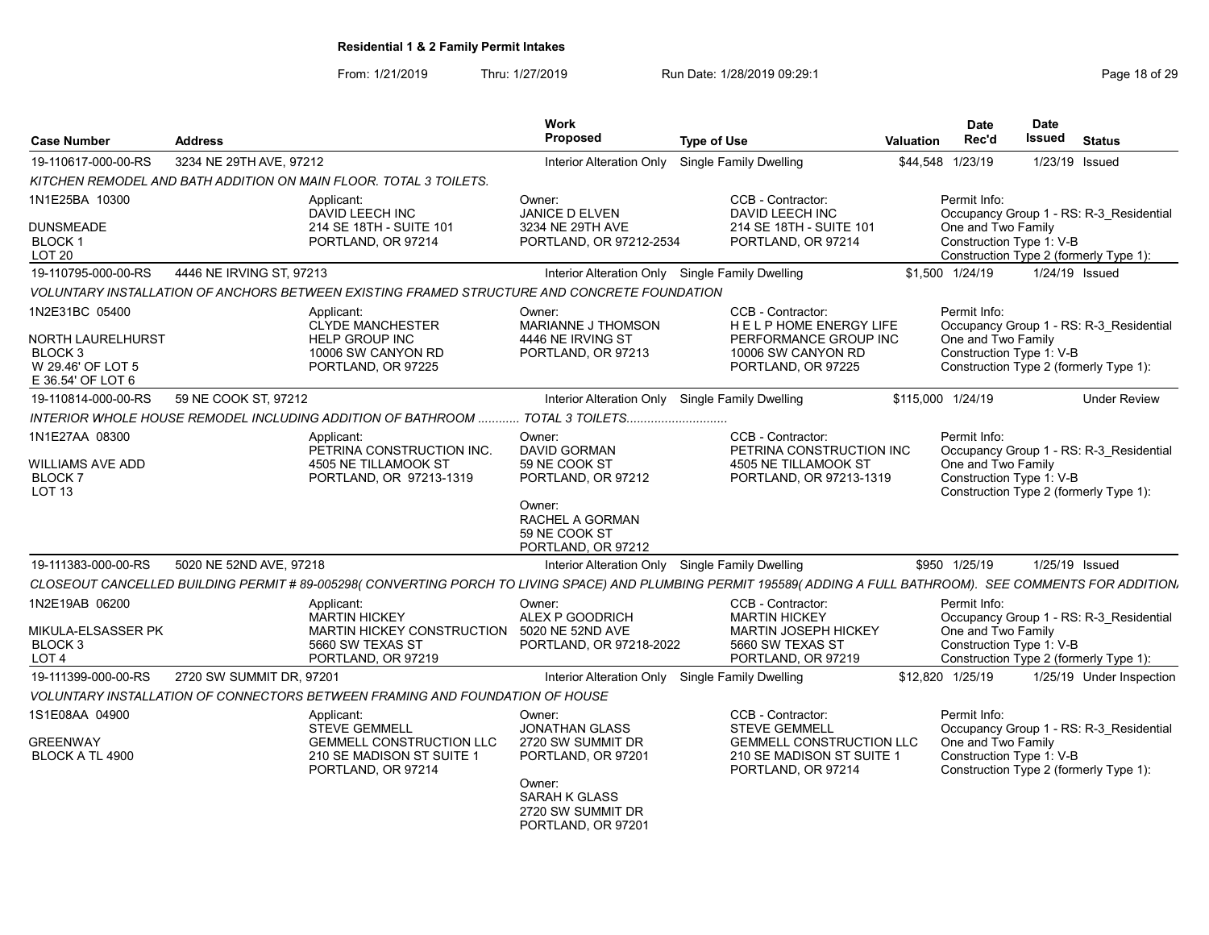| <b>Case Number</b>                                                                                         | <b>Address</b>           |                                                                                                                                                                   | <b>Work</b><br>Proposed                                                                                                        | <b>Type of Use</b>                                                                                                              | Valuation         | Date<br>Rec'd                      | <b>Date</b><br>Issued    | <b>Status</b>                                                                     |
|------------------------------------------------------------------------------------------------------------|--------------------------|-------------------------------------------------------------------------------------------------------------------------------------------------------------------|--------------------------------------------------------------------------------------------------------------------------------|---------------------------------------------------------------------------------------------------------------------------------|-------------------|------------------------------------|--------------------------|-----------------------------------------------------------------------------------|
| 19-110617-000-00-RS                                                                                        | 3234 NE 29TH AVE, 97212  |                                                                                                                                                                   | Interior Alteration Only                                                                                                       | <b>Single Family Dwelling</b>                                                                                                   |                   | \$44,548 1/23/19                   | 1/23/19 Issued           |                                                                                   |
|                                                                                                            |                          | KITCHEN REMODEL AND BATH ADDITION ON MAIN FLOOR. TOTAL 3 TOILETS.                                                                                                 |                                                                                                                                |                                                                                                                                 |                   |                                    |                          |                                                                                   |
| 1N1E25BA 10300                                                                                             |                          | Applicant:<br>DAVID LEECH INC                                                                                                                                     | Owner:<br>JANICE D ELVEN                                                                                                       | CCB - Contractor:<br>DAVID LEECH INC                                                                                            |                   | Permit Info:                       |                          | Occupancy Group 1 - RS: R-3 Residential                                           |
| <b>DUNSMEADE</b><br>BLOCK 1<br><b>LOT 20</b>                                                               |                          | 214 SE 18TH - SUITE 101<br>PORTLAND, OR 97214                                                                                                                     | 3234 NE 29TH AVE<br>PORTLAND, OR 97212-2534                                                                                    | 214 SE 18TH - SUITE 101<br>PORTLAND, OR 97214                                                                                   |                   | One and Two Family                 | Construction Type 1: V-B | Construction Type 2 (formerly Type 1):                                            |
| 19-110795-000-00-RS                                                                                        | 4446 NE IRVING ST, 97213 |                                                                                                                                                                   | Interior Alteration Only Single Family Dwelling                                                                                |                                                                                                                                 |                   | \$1,500 1/24/19                    | 1/24/19 Issued           |                                                                                   |
|                                                                                                            |                          | VOLUNTARY INSTALLATION OF ANCHORS BETWEEN EXISTING FRAMED STRUCTURE AND CONCRETE FOUNDATION                                                                       |                                                                                                                                |                                                                                                                                 |                   |                                    |                          |                                                                                   |
| 1N2E31BC 05400<br><b>NORTH LAURELHURST</b><br>BLOCK <sub>3</sub><br>W 29.46' OF LOT 5<br>E 36.54' OF LOT 6 |                          | Applicant:<br><b>CLYDE MANCHESTER</b><br>HELP GROUP INC<br>10006 SW CANYON RD<br>PORTLAND, OR 97225                                                               | Owner:<br>MARIANNE J THOMSON<br>4446 NE IRVING ST<br>PORTLAND, OR 97213                                                        | CCB - Contractor:<br>HELP HOME ENERGY LIFE<br>PERFORMANCE GROUP INC<br>10006 SW CANYON RD<br>PORTLAND, OR 97225                 |                   | Permit Info:<br>One and Two Family | Construction Type 1: V-B | Occupancy Group 1 - RS: R-3_Residential<br>Construction Type 2 (formerly Type 1): |
| 19-110814-000-00-RS                                                                                        | 59 NE COOK ST, 97212     |                                                                                                                                                                   | Interior Alteration Only Single Family Dwelling                                                                                |                                                                                                                                 | \$115,000 1/24/19 |                                    |                          | <b>Under Review</b>                                                               |
|                                                                                                            |                          |                                                                                                                                                                   |                                                                                                                                |                                                                                                                                 |                   |                                    |                          |                                                                                   |
| 1N1E27AA 08300                                                                                             |                          | Applicant:                                                                                                                                                        | Owner:                                                                                                                         | CCB - Contractor:                                                                                                               |                   | Permit Info:                       |                          |                                                                                   |
| <b>WILLIAMS AVE ADD</b><br><b>BLOCK7</b><br>LOT <sub>13</sub>                                              |                          | PETRINA CONSTRUCTION INC.<br>4505 NE TILLAMOOK ST<br>PORTLAND, OR 97213-1319                                                                                      | <b>DAVID GORMAN</b><br>59 NE COOK ST<br>PORTLAND, OR 97212<br>Owner:<br>RACHEL A GORMAN<br>59 NE COOK ST<br>PORTLAND, OR 97212 | PETRINA CONSTRUCTION INC<br>4505 NE TILLAMOOK ST<br>PORTLAND, OR 97213-1319                                                     |                   | One and Two Family                 | Construction Type 1: V-B | Occupancy Group 1 - RS: R-3 Residential<br>Construction Type 2 (formerly Type 1): |
| 19-111383-000-00-RS                                                                                        | 5020 NE 52ND AVE, 97218  |                                                                                                                                                                   | Interior Alteration Only Single Family Dwelling                                                                                |                                                                                                                                 |                   | \$950 1/25/19                      | 1/25/19 Issued           |                                                                                   |
|                                                                                                            |                          | CLOSEOUT CANCELLED BUILDING PERMIT # 89-005298( CONVERTING PORCH TO LIVING SPACE) AND PLUMBING PERMIT 195589( ADDING A FULL BATHROOM). SEE COMMENTS FOR ADDITION. |                                                                                                                                |                                                                                                                                 |                   |                                    |                          |                                                                                   |
| 1N2E19AB 06200<br>MIKULA-ELSASSER PK<br>BLOCK 3<br>LOT <sub>4</sub>                                        |                          | Applicant:<br><b>MARTIN HICKEY</b><br><b>MARTIN HICKEY CONSTRUCTION</b><br>5660 SW TEXAS ST<br>PORTLAND, OR 97219                                                 | Owner:<br>ALEX P GOODRICH<br>5020 NE 52ND AVE<br>PORTLAND, OR 97218-2022                                                       | CCB - Contractor:<br><b>MARTIN HICKEY</b><br><b>MARTIN JOSEPH HICKEY</b><br>5660 SW TEXAS ST<br>PORTLAND, OR 97219              |                   | Permit Info:<br>One and Two Family | Construction Type 1: V-B | Occupancy Group 1 - RS: R-3 Residential<br>Construction Type 2 (formerly Type 1): |
| 19-111399-000-00-RS                                                                                        | 2720 SW SUMMIT DR, 97201 |                                                                                                                                                                   | Interior Alteration Only                                                                                                       | <b>Single Family Dwelling</b>                                                                                                   |                   | \$12,820 1/25/19                   |                          | 1/25/19 Under Inspection                                                          |
|                                                                                                            |                          | VOLUNTARY INSTALLATION OF CONNECTORS BETWEEN FRAMING AND FOUNDATION OF HOUSE                                                                                      |                                                                                                                                |                                                                                                                                 |                   |                                    |                          |                                                                                   |
| 1S1E08AA 04900<br><b>GREENWAY</b><br><b>BLOCK A TL 4900</b>                                                |                          | Applicant:<br><b>STEVE GEMMELL</b><br><b>GEMMELL CONSTRUCTION LLC</b><br>210 SE MADISON ST SUITE 1<br>PORTLAND, OR 97214                                          | Owner <sup>-</sup><br><b>JONATHAN GLASS</b><br>2720 SW SUMMIT DR<br>PORTLAND, OR 97201<br>Owner:                               | CCB - Contractor:<br><b>STEVE GEMMELL</b><br><b>GEMMELL CONSTRUCTION LLC</b><br>210 SE MADISON ST SUITE 1<br>PORTLAND, OR 97214 |                   | Permit Info:<br>One and Two Family | Construction Type 1: V-B | Occupancy Group 1 - RS: R-3_Residential<br>Construction Type 2 (formerly Type 1): |
|                                                                                                            |                          |                                                                                                                                                                   | SARAH K GLASS<br>2720 SW SUMMIT DR<br>PORTLAND, OR 97201                                                                       |                                                                                                                                 |                   |                                    |                          |                                                                                   |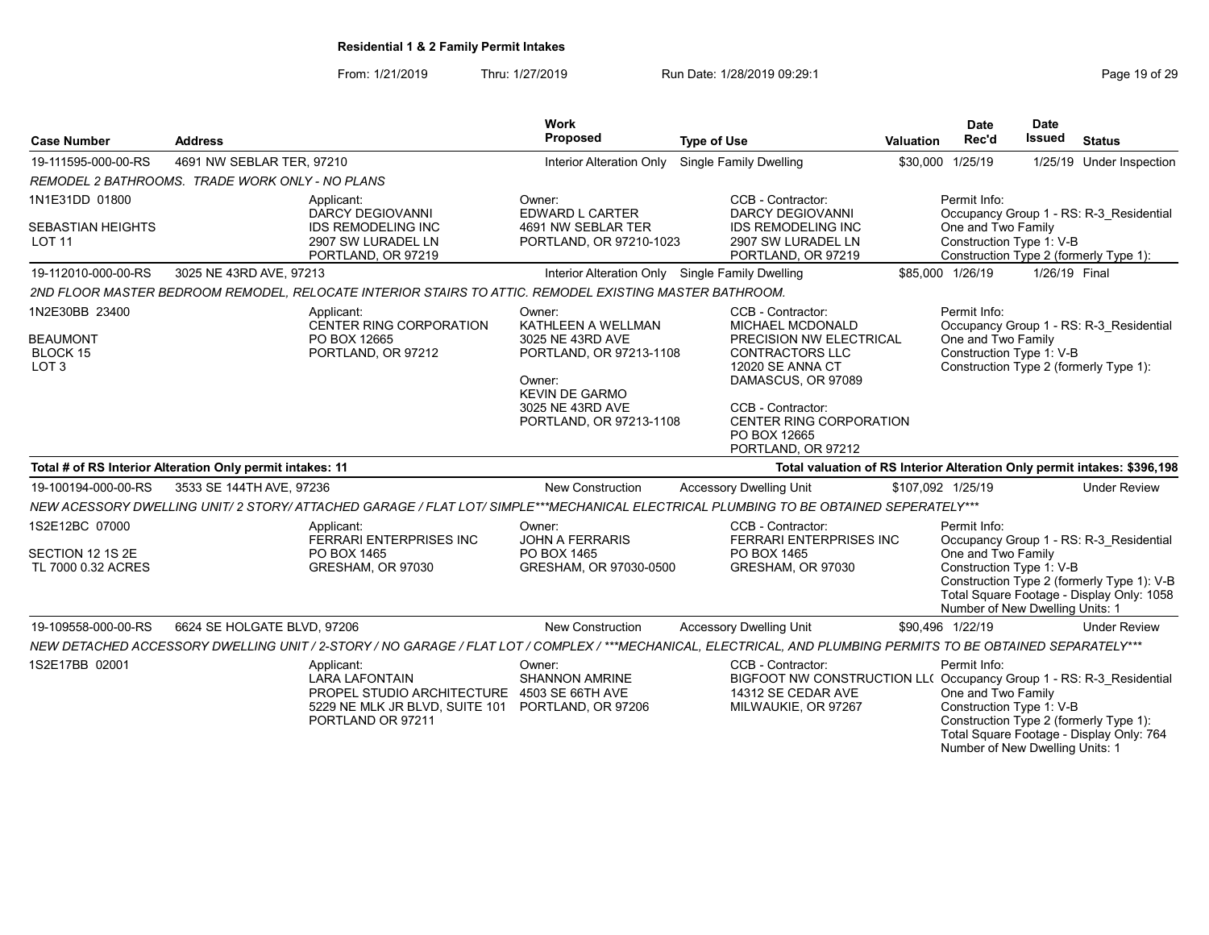From: 1/21/2019 Thru: 1/27/2019 Run Date: 1/28/2019 09:29:1<br>
Page 19 of 29

| <b>Case Number</b>                                                       | <b>Address</b>                                                                                                                                                 | <b>Work</b><br>Proposed                                                                                                                                       | <b>Type of Use</b>                                                                                                                                                                                                                       | Valuation | <b>Date</b><br>Rec'd                                                                              | <b>Date</b><br>Issued | <b>Status</b>                                                                                                                      |
|--------------------------------------------------------------------------|----------------------------------------------------------------------------------------------------------------------------------------------------------------|---------------------------------------------------------------------------------------------------------------------------------------------------------------|------------------------------------------------------------------------------------------------------------------------------------------------------------------------------------------------------------------------------------------|-----------|---------------------------------------------------------------------------------------------------|-----------------------|------------------------------------------------------------------------------------------------------------------------------------|
| 19-111595-000-00-RS                                                      | 4691 NW SEBLAR TER, 97210                                                                                                                                      |                                                                                                                                                               | Interior Alteration Only Single Family Dwelling                                                                                                                                                                                          |           | \$30,000 1/25/19                                                                                  |                       | 1/25/19 Under Inspection                                                                                                           |
|                                                                          | REMODEL 2 BATHROOMS. TRADE WORK ONLY - NO PLANS                                                                                                                |                                                                                                                                                               |                                                                                                                                                                                                                                          |           |                                                                                                   |                       |                                                                                                                                    |
| 1N1E31DD 01800                                                           | Applicant:                                                                                                                                                     | Owner:                                                                                                                                                        | CCB - Contractor:                                                                                                                                                                                                                        |           | Permit Info:                                                                                      |                       |                                                                                                                                    |
| <b>SEBASTIAN HEIGHTS</b><br><b>LOT 11</b>                                | <b>DARCY DEGIOVANNI</b><br><b>IDS REMODELING INC</b><br>2907 SW LURADEL LN<br>PORTLAND, OR 97219                                                               | EDWARD L CARTER<br>4691 NW SEBLAR TER<br>PORTLAND, OR 97210-1023                                                                                              | <b>DARCY DEGIOVANNI</b><br><b>IDS REMODELING INC</b><br>2907 SW LURADEL LN<br>PORTLAND, OR 97219                                                                                                                                         |           | One and Two Family<br>Construction Type 1: V-B                                                    |                       | Occupancy Group 1 - RS: R-3 Residential<br>Construction Type 2 (formerly Type 1):                                                  |
| 19-112010-000-00-RS                                                      | 3025 NE 43RD AVE, 97213                                                                                                                                        |                                                                                                                                                               | Interior Alteration Only Single Family Dwelling                                                                                                                                                                                          |           | \$85,000 1/26/19                                                                                  | 1/26/19 Final         |                                                                                                                                    |
|                                                                          | 2ND FLOOR MASTER BEDROOM REMODEL. RELOCATE INTERIOR STAIRS TO ATTIC. REMODEL EXISTING MASTER BATHROOM.                                                         |                                                                                                                                                               |                                                                                                                                                                                                                                          |           |                                                                                                   |                       |                                                                                                                                    |
| 1N2E30BB 23400<br><b>BEAUMONT</b><br><b>BLOCK 15</b><br>LOT <sub>3</sub> | Applicant:<br>CENTER RING CORPORATION<br>PO BOX 12665<br>PORTLAND, OR 97212                                                                                    | Owner:<br>KATHLEEN A WELLMAN<br>3025 NE 43RD AVE<br>PORTLAND, OR 97213-1108<br>Owner:<br><b>KEVIN DE GARMO</b><br>3025 NE 43RD AVE<br>PORTLAND, OR 97213-1108 | CCB - Contractor:<br>MICHAEL MCDONALD<br>PRECISION NW ELECTRICAL<br><b>CONTRACTORS LLC</b><br><b>12020 SE ANNA CT</b><br>DAMASCUS, OR 97089<br>CCB - Contractor:<br><b>CENTER RING CORPORATION</b><br>PO BOX 12665<br>PORTLAND, OR 97212 |           | Permit Info:<br>One and Two Family<br>Construction Type 1: V-B                                    |                       | Occupancy Group 1 - RS: R-3 Residential<br>Construction Type 2 (formerly Type 1):                                                  |
|                                                                          | Total # of RS Interior Alteration Only permit intakes: 11                                                                                                      |                                                                                                                                                               |                                                                                                                                                                                                                                          |           |                                                                                                   |                       | Total valuation of RS Interior Alteration Only permit intakes: \$396,198                                                           |
| 19-100194-000-00-RS                                                      | 3533 SE 144TH AVE, 97236                                                                                                                                       | New Construction                                                                                                                                              | <b>Accessory Dwelling Unit</b>                                                                                                                                                                                                           |           | \$107,092 1/25/19                                                                                 |                       | <b>Under Review</b>                                                                                                                |
|                                                                          | NEW ACESSORY DWELLING UNIT/ 2 STORY/ ATTACHED GARAGE / FLAT LOT/ SIMPLE***MECHANICAL ELECTRICAL PLUMBING TO BE OBTAINED SEPERATELY***                          |                                                                                                                                                               |                                                                                                                                                                                                                                          |           |                                                                                                   |                       |                                                                                                                                    |
| 1S2E12BC 07000<br>SECTION 12 1S 2E<br>TL 7000 0.32 ACRES                 | Applicant:<br>FERRARI ENTERPRISES INC<br>PO BOX 1465<br>GRESHAM, OR 97030                                                                                      | Owner:<br><b>JOHN A FERRARIS</b><br>PO BOX 1465<br>GRESHAM, OR 97030-0500                                                                                     | CCB - Contractor:<br><b>FERRARI ENTERPRISES INC</b><br>PO BOX 1465<br>GRESHAM, OR 97030                                                                                                                                                  |           | Permit Info:<br>One and Two Family<br>Construction Type 1: V-B<br>Number of New Dwelling Units: 1 |                       | Occupancy Group 1 - RS: R-3 Residential<br>Construction Type 2 (formerly Type 1): V-B<br>Total Square Footage - Display Only: 1058 |
| 19-109558-000-00-RS                                                      | 6624 SE HOLGATE BLVD, 97206                                                                                                                                    | New Construction                                                                                                                                              | <b>Accessory Dwelling Unit</b>                                                                                                                                                                                                           |           | \$90,496 1/22/19                                                                                  |                       | <b>Under Review</b>                                                                                                                |
|                                                                          | NEW DETACHED ACCESSORY DWELLING UNIT / 2-STORY / NO GARAGE / FLAT LOT / COMPLEX / ***MECHANICAL, ELECTRICAL, AND PLUMBING PERMITS TO BE OBTAINED SEPARATELY*** |                                                                                                                                                               |                                                                                                                                                                                                                                          |           |                                                                                                   |                       |                                                                                                                                    |
| 1S2E17BB 02001                                                           | Applicant:<br><b>LARA LAFONTAIN</b><br>PROPEL STUDIO ARCHITECTURE<br>5229 NE MLK JR BLVD, SUITE 101 PORTLAND, OR 97206<br>PORTLAND OR 97211                    | Owner:<br><b>SHANNON AMRINE</b><br>4503 SE 66TH AVE                                                                                                           | CCB - Contractor:<br>BIGFOOT NW CONSTRUCTION LL( Occupancy Group 1 - RS: R-3 Residential<br>14312 SE CEDAR AVE<br>MILWAUKIE, OR 97267                                                                                                    |           | Permit Info:<br>One and Two Family<br>Construction Type 1: V-B<br>Number of New Dwelling Units: 1 |                       | Construction Type 2 (formerly Type 1):<br>Total Square Footage - Display Only: 764                                                 |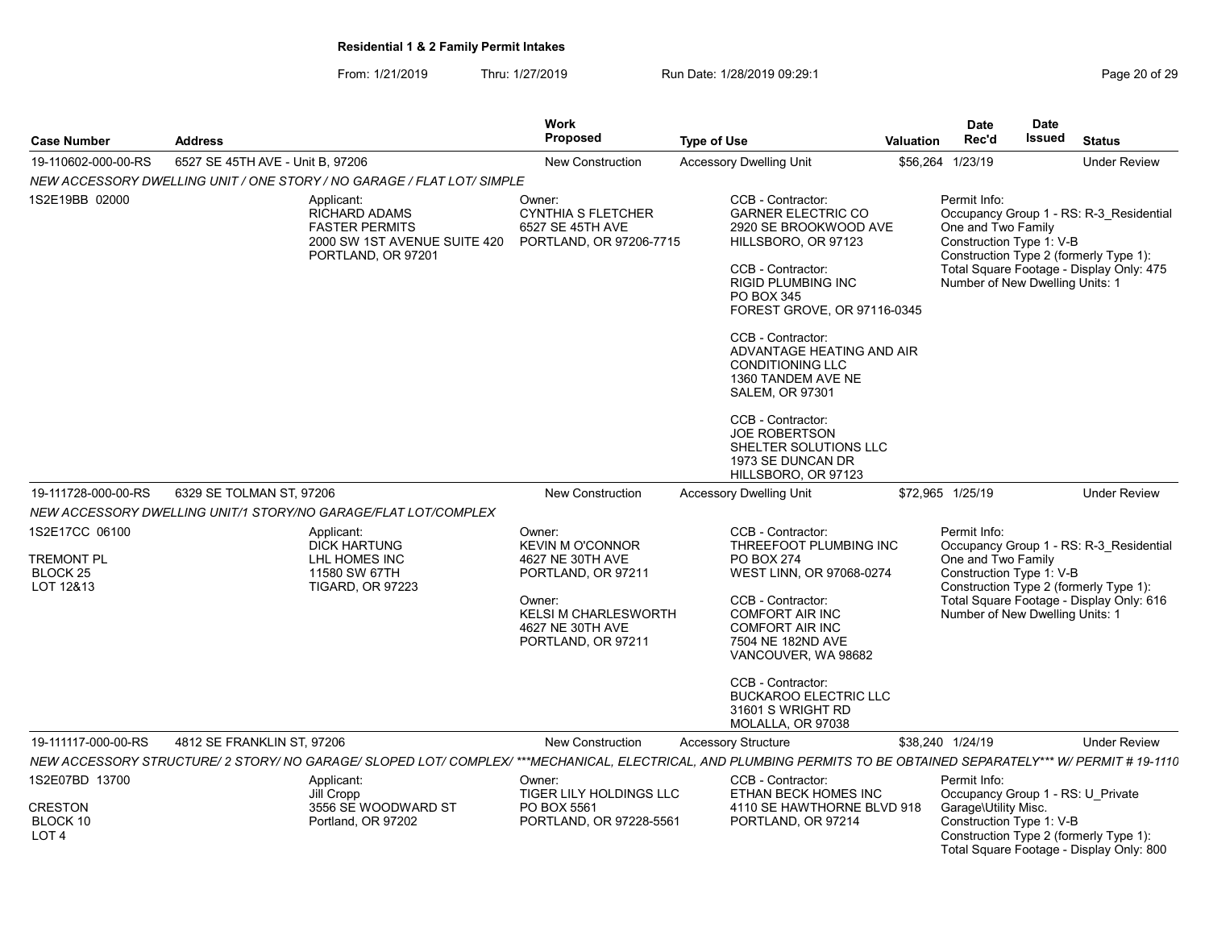From: 1/21/2019 Thru: 1/27/2019 Run Date: 1/28/2019 09:29:1<br>
Page 20 of 29

| <b>Case Number</b>                             | <b>Address</b>                   |                                                                                                                                                                    | <b>Work</b><br><b>Proposed</b>                                                                        | <b>Type of Use</b>                                                                                                                                                                                                                                                                                                                                                      | Valuation                                                                     | <b>Date</b><br>Rec'd                                                                              | <b>Date</b><br>Issued                                                              | <b>Status</b>                                                                                                                 |
|------------------------------------------------|----------------------------------|--------------------------------------------------------------------------------------------------------------------------------------------------------------------|-------------------------------------------------------------------------------------------------------|-------------------------------------------------------------------------------------------------------------------------------------------------------------------------------------------------------------------------------------------------------------------------------------------------------------------------------------------------------------------------|-------------------------------------------------------------------------------|---------------------------------------------------------------------------------------------------|------------------------------------------------------------------------------------|-------------------------------------------------------------------------------------------------------------------------------|
| 19-110602-000-00-RS                            | 6527 SE 45TH AVE - Unit B. 97206 |                                                                                                                                                                    | <b>New Construction</b>                                                                               | <b>Accessory Dwelling Unit</b>                                                                                                                                                                                                                                                                                                                                          | \$56,264                                                                      | 1/23/19                                                                                           |                                                                                    | <b>Under Review</b><br><b>Under Review</b><br><b>Under Review</b>                                                             |
|                                                |                                  | NEW ACCESSORY DWELLING UNIT / ONE STORY / NO GARAGE / FLAT LOT/ SIMPLE                                                                                             |                                                                                                       |                                                                                                                                                                                                                                                                                                                                                                         |                                                                               |                                                                                                   |                                                                                    |                                                                                                                               |
| 1S2E19BB 02000                                 |                                  | Applicant:<br><b>RICHARD ADAMS</b><br><b>FASTER PERMITS</b><br>2000 SW 1ST AVENUE SUITE 420<br>PORTLAND, OR 97201                                                  | Owner:<br><b>CYNTHIA S FLETCHER</b><br>6527 SE 45TH AVE<br>PORTLAND, OR 97206-7715                    | CCB - Contractor:<br><b>GARNER ELECTRIC CO</b><br>2920 SE BROOKWOOD AVE<br>HILLSBORO, OR 97123<br>CCB - Contractor:<br><b>RIGID PLUMBING INC</b><br>PO BOX 345<br>FOREST GROVE, OR 97116-0345<br>CCB - Contractor:<br>ADVANTAGE HEATING AND AIR<br><b>CONDITIONING LLC</b><br>1360 TANDEM AVE NE<br><b>SALEM, OR 97301</b><br>CCB - Contractor:<br><b>JOE ROBERTSON</b> |                                                                               | Permit Info:<br>One and Two Family<br>Construction Type 1: V-B<br>Number of New Dwelling Units: 1 |                                                                                    | Occupancy Group 1 - RS: R-3 Residential<br>Construction Type 2 (formerly Type 1):<br>Total Square Footage - Display Only: 475 |
| 19-111728-000-00-RS                            | 6329 SE TOLMAN ST, 97206         |                                                                                                                                                                    | <b>New Construction</b>                                                                               | SHELTER SOLUTIONS LLC<br>1973 SE DUNCAN DR<br>HILLSBORO, OR 97123<br><b>Accessory Dwelling Unit</b>                                                                                                                                                                                                                                                                     |                                                                               | \$72,965 1/25/19                                                                                  |                                                                                    |                                                                                                                               |
|                                                |                                  | NEW ACCESSORY DWELLING UNIT/1 STORY/NO GARAGE/FLAT LOT/COMPLEX                                                                                                     |                                                                                                       |                                                                                                                                                                                                                                                                                                                                                                         |                                                                               |                                                                                                   |                                                                                    |                                                                                                                               |
| 1S2E17CC 06100<br><b>TREMONT PL</b>            |                                  | Applicant:<br><b>DICK HARTUNG</b><br>LHL HOMES INC                                                                                                                 | Owner:<br><b>KEVIN M O'CONNOR</b><br>4627 NE 30TH AVE                                                 | THREEFOOT PLUMBING INC                                                                                                                                                                                                                                                                                                                                                  | Permit Info:<br>Occupancy Group 1 - RS: R-3 Residential<br>One and Two Family |                                                                                                   |                                                                                    |                                                                                                                               |
| <b>BLOCK 25</b><br>LOT 12&13                   |                                  | 11580 SW 67TH<br><b>TIGARD, OR 97223</b>                                                                                                                           | PORTLAND, OR 97211<br>Owner:<br><b>KELSI M CHARLESWORTH</b><br>4627 NE 30TH AVE<br>PORTLAND, OR 97211 | WEST LINN, OR 97068-0274<br>CCB - Contractor:<br><b>COMFORT AIR INC</b><br><b>COMFORT AIR INC</b><br>7504 NE 182ND AVE<br>VANCOUVER, WA 98682<br>CCB - Contractor:<br><b>BUCKAROO ELECTRIC LLC</b>                                                                                                                                                                      |                                                                               | Construction Type 1: V-B<br>Number of New Dwelling Units: 1                                       | Construction Type 2 (formerly Type 1):<br>Total Square Footage - Display Only: 616 |                                                                                                                               |
| 19-111117-000-00-RS                            |                                  |                                                                                                                                                                    | <b>New Construction</b>                                                                               | 31601 S WRIGHT RD<br>MOLALLA, OR 97038<br><b>Accessory Structure</b>                                                                                                                                                                                                                                                                                                    |                                                                               | \$38,240 1/24/19                                                                                  |                                                                                    |                                                                                                                               |
|                                                | 4812 SE FRANKLIN ST, 97206       | NEW ACCESSORY STRUCTURE/ 2 STORY/ NO GARAGE/ SLOPED LOT/ COMPLEX/ ***MECHANICAL, ELECTRICAL, AND PLUMBING PERMITS TO BE OBTAINED SEPARATELY*** W/ PERMIT # 19-1110 |                                                                                                       |                                                                                                                                                                                                                                                                                                                                                                         |                                                                               |                                                                                                   |                                                                                    |                                                                                                                               |
| 1S2E07BD 13700                                 |                                  | Applicant:<br>Jill Cropp                                                                                                                                           | Owner:<br>TIGER LILY HOLDINGS LLC                                                                     | CCB - Contractor:<br>ETHAN BECK HOMES INC                                                                                                                                                                                                                                                                                                                               |                                                                               | Permit Info:<br>Occupancy Group 1 - RS: U Private                                                 |                                                                                    |                                                                                                                               |
| <b>CRESTON</b><br>BLOCK 10<br>LOT <sub>4</sub> |                                  | 3556 SE WOODWARD ST<br>Portland, OR 97202                                                                                                                          | PO BOX 5561<br>PORTLAND, OR 97228-5561                                                                | 4110 SE HAWTHORNE BLVD 918<br>PORTLAND, OR 97214                                                                                                                                                                                                                                                                                                                        |                                                                               | Garage\Utility Misc.<br>Construction Type 1: V-B                                                  |                                                                                    | Construction Type 2 (formerly Type 1):<br>Total Square Footage - Display Only: 800                                            |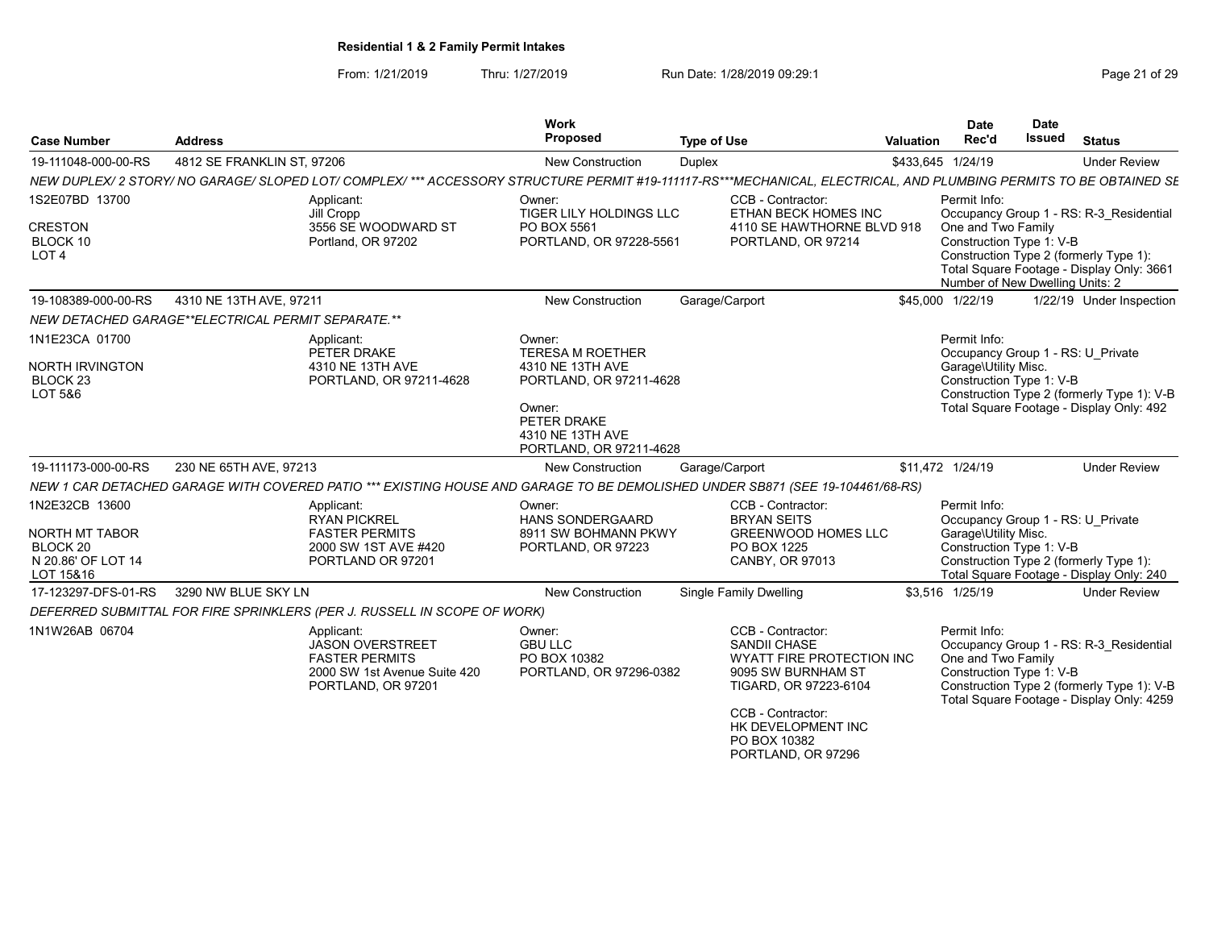From: 1/21/2019 Thru: 1/27/2019 Run Date: 1/28/2019 09:29:1<br>
Page 21 of 29

| <b>Case Number</b>                                | <b>Address</b>                                     |                                                                                                                                                                    | Work<br>Proposed                                                        | <b>Type of Use</b> |                                                                                                                                                                                                       | <b>Valuation</b> | <b>Date</b><br>Rec'd                                                              | <b>Date</b><br><b>Issued</b> | <b>Status</b>                                                                                                                      |  |
|---------------------------------------------------|----------------------------------------------------|--------------------------------------------------------------------------------------------------------------------------------------------------------------------|-------------------------------------------------------------------------|--------------------|-------------------------------------------------------------------------------------------------------------------------------------------------------------------------------------------------------|------------------|-----------------------------------------------------------------------------------|------------------------------|------------------------------------------------------------------------------------------------------------------------------------|--|
| 19-111048-000-00-RS                               | 4812 SE FRANKLIN ST, 97206                         |                                                                                                                                                                    | <b>New Construction</b>                                                 | Duplex             |                                                                                                                                                                                                       |                  | \$433,645 1/24/19                                                                 |                              | <b>Under Review</b>                                                                                                                |  |
|                                                   |                                                    | NEW DUPLEX/ 2 STORY/ NO GARAGE/ SLOPED LOT/ COMPLEX/ *** ACCESSORY STRUCTURE PERMIT #19-111117-RS***MECHANICAL, ELECTRICAL, AND PLUMBING PERMITS TO BE OBTAINED SE |                                                                         |                    |                                                                                                                                                                                                       |                  |                                                                                   |                              |                                                                                                                                    |  |
| 1S2E07BD 13700                                    |                                                    | Applicant:<br>Jill Cropp                                                                                                                                           | Owner:<br>TIGER LILY HOLDINGS LLC<br>3556 SE WOODWARD ST<br>PO BOX 5561 |                    |                                                                                                                                                                                                       |                  | Permit Info:<br>Occupancy Group 1 - RS: R-3 Residential                           |                              |                                                                                                                                    |  |
| <b>CRESTON</b><br>BLOCK 10<br>LOT <sub>4</sub>    |                                                    | Portland, OR 97202                                                                                                                                                 | PORTLAND, OR 97228-5561                                                 |                    | 4110 SE HAWTHORNE BLVD 918<br>PORTLAND, OR 97214                                                                                                                                                      |                  | One and Two Family<br>Construction Type 1: V-B<br>Number of New Dwelling Units: 2 |                              | Construction Type 2 (formerly Type 1):<br>Total Square Footage - Display Only: 3661                                                |  |
| 19-108389-000-00-RS                               | 4310 NE 13TH AVE, 97211                            |                                                                                                                                                                    | New Construction                                                        | Garage/Carport     |                                                                                                                                                                                                       |                  | \$45,000 1/22/19                                                                  |                              | 1/22/19 Under Inspection                                                                                                           |  |
|                                                   | NEW DETACHED GARAGE**ELECTRICAL PERMIT SEPARATE.** |                                                                                                                                                                    |                                                                         |                    |                                                                                                                                                                                                       |                  |                                                                                   |                              |                                                                                                                                    |  |
| 1N1E23CA 01700                                    |                                                    | Applicant:<br>PETER DRAKE                                                                                                                                          | Owner:<br><b>TERESA M ROETHER</b>                                       |                    |                                                                                                                                                                                                       |                  | Permit Info:<br>Occupancy Group 1 - RS: U Private                                 |                              |                                                                                                                                    |  |
| NORTH IRVINGTON<br>BLOCK <sub>23</sub><br>LOT 5&6 |                                                    | 4310 NE 13TH AVE<br>PORTLAND, OR 97211-4628                                                                                                                        | 4310 NE 13TH AVE<br>PORTLAND, OR 97211-4628                             |                    |                                                                                                                                                                                                       |                  | Garage\Utility Misc.<br>Construction Type 1: V-B                                  |                              | Construction Type 2 (formerly Type 1): V-B                                                                                         |  |
|                                                   |                                                    |                                                                                                                                                                    | Owner:<br>PETER DRAKE<br>4310 NE 13TH AVE<br>PORTLAND, OR 97211-4628    |                    |                                                                                                                                                                                                       |                  |                                                                                   |                              | Total Square Footage - Display Only: 492                                                                                           |  |
| 19-111173-000-00-RS                               | 230 NE 65TH AVE, 97213                             |                                                                                                                                                                    | <b>New Construction</b>                                                 | Garage/Carport     |                                                                                                                                                                                                       |                  | \$11,472 1/24/19                                                                  |                              | <b>Under Review</b>                                                                                                                |  |
|                                                   |                                                    | NEW 1 CAR DETACHED GARAGE WITH COVERED PATIO *** EXISTING HOUSE AND GARAGE TO BE DEMOLISHED UNDER SB871 (SEE 19-104461/68-RS)                                      |                                                                         |                    |                                                                                                                                                                                                       |                  |                                                                                   |                              |                                                                                                                                    |  |
| 1N2E32CB 13600                                    |                                                    | Applicant:<br><b>RYAN PICKREL</b>                                                                                                                                  | Owner:<br><b>HANS SONDERGAARD</b>                                       |                    | CCB - Contractor:<br><b>BRYAN SEITS</b>                                                                                                                                                               |                  | Permit Info:<br>Occupancy Group 1 - RS: U Private                                 |                              |                                                                                                                                    |  |
| <b>NORTH MT TABOR</b><br>BLOCK <sub>20</sub>      |                                                    | <b>FASTER PERMITS</b><br>2000 SW 1ST AVE #420                                                                                                                      | 8911 SW BOHMANN PKWY<br>PORTLAND, OR 97223                              |                    | <b>GREENWOOD HOMES LLC</b><br>PO BOX 1225                                                                                                                                                             |                  | Garage\Utility Misc.<br>Construction Type 1: V-B                                  |                              |                                                                                                                                    |  |
| N 20.86' OF LOT 14<br>LOT 15&16                   |                                                    | PORTLAND OR 97201                                                                                                                                                  |                                                                         |                    | CANBY, OR 97013                                                                                                                                                                                       |                  |                                                                                   |                              | Construction Type 2 (formerly Type 1):<br>Total Square Footage - Display Only: 240                                                 |  |
| 17-123297-DFS-01-RS                               | 3290 NW BLUE SKY LN                                |                                                                                                                                                                    | <b>New Construction</b>                                                 |                    | <b>Single Family Dwelling</b>                                                                                                                                                                         |                  | \$3,516 1/25/19                                                                   |                              | <b>Under Review</b>                                                                                                                |  |
|                                                   |                                                    | DEFERRED SUBMITTAL FOR FIRE SPRINKLERS (PER J. RUSSELL IN SCOPE OF WORK)                                                                                           |                                                                         |                    |                                                                                                                                                                                                       |                  |                                                                                   |                              |                                                                                                                                    |  |
| 1N1W26AB 06704                                    |                                                    | Applicant:<br><b>JASON OVERSTREET</b><br><b>FASTER PERMITS</b><br>2000 SW 1st Avenue Suite 420<br>PORTLAND, OR 97201                                               | Owner:<br><b>GBU LLC</b><br>PO BOX 10382<br>PORTLAND, OR 97296-0382     |                    | CCB - Contractor:<br><b>SANDII CHASE</b><br>WYATT FIRE PROTECTION INC<br>9095 SW BURNHAM ST<br>TIGARD, OR 97223-6104<br>CCB - Contractor:<br>HK DEVELOPMENT INC<br>PO BOX 10382<br>PORTLAND, OR 97296 |                  | Permit Info:<br>One and Two Family<br>Construction Type 1: V-B                    |                              | Occupancy Group 1 - RS: R-3 Residential<br>Construction Type 2 (formerly Type 1): V-B<br>Total Square Footage - Display Only: 4259 |  |
|                                                   |                                                    |                                                                                                                                                                    |                                                                         |                    |                                                                                                                                                                                                       |                  |                                                                                   |                              |                                                                                                                                    |  |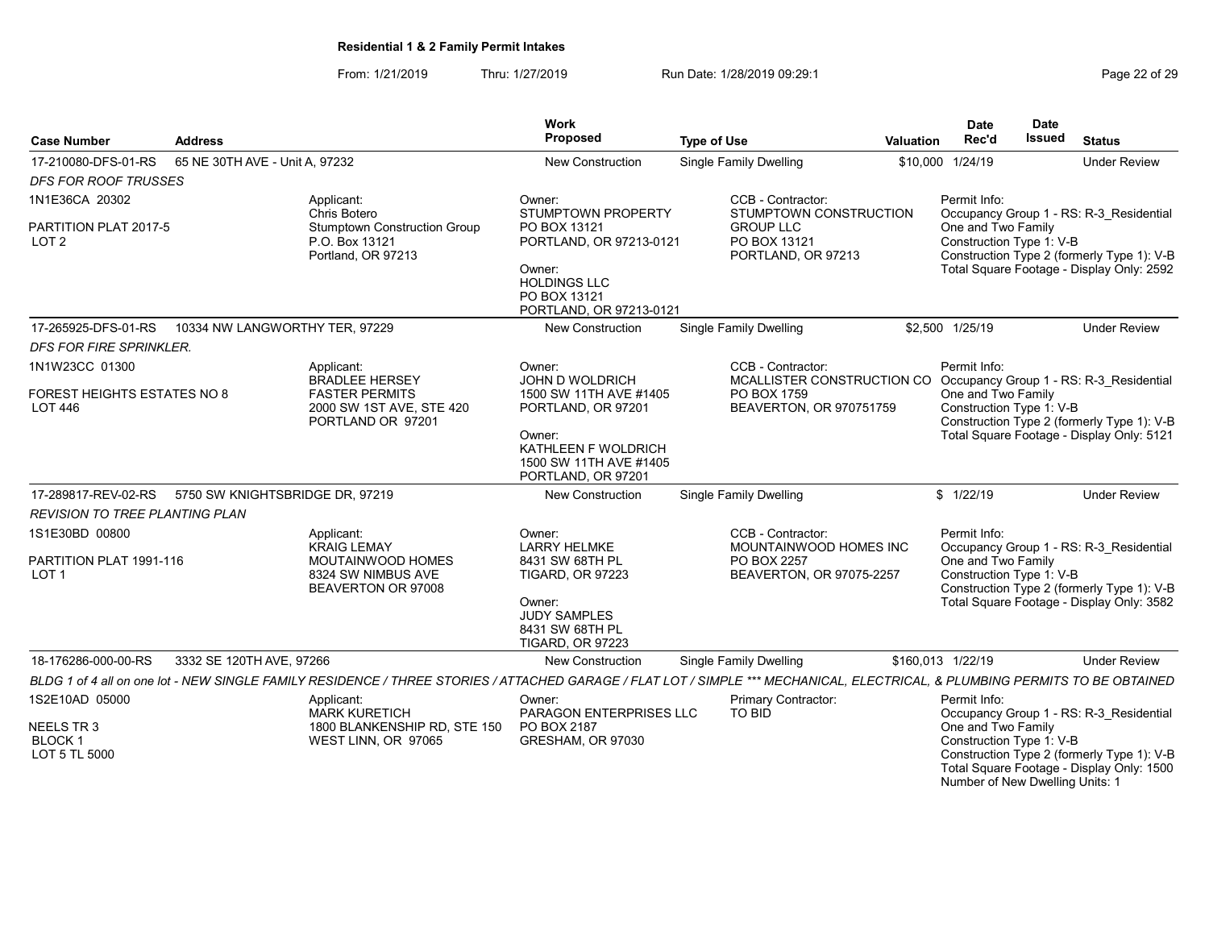From: 1/21/2019 Thru: 1/27/2019 Run Date: 1/28/2019 09:29:1<br>
Page 22 of 29

| <b>Case Number</b>                            | <b>Address</b>                                                                                                                                                               | Work<br>Proposed                                                                                                              | <b>Type of Use</b>                                     | <b>Valuation</b>  | <b>Date</b><br>Rec'd                           | <b>Date</b><br><b>Issued</b> | <b>Status</b>                                                                           |
|-----------------------------------------------|------------------------------------------------------------------------------------------------------------------------------------------------------------------------------|-------------------------------------------------------------------------------------------------------------------------------|--------------------------------------------------------|-------------------|------------------------------------------------|------------------------------|-----------------------------------------------------------------------------------------|
| 17-210080-DFS-01-RS                           | 65 NE 30TH AVE - Unit A, 97232                                                                                                                                               | New Construction                                                                                                              | <b>Single Family Dwelling</b>                          |                   | \$10,000 1/24/19                               |                              | <b>Under Review</b>                                                                     |
| <b>DFS FOR ROOF TRUSSES</b>                   |                                                                                                                                                                              |                                                                                                                               |                                                        |                   |                                                |                              |                                                                                         |
| 1N1E36CA 20302                                | Applicant:<br>Chris Botero                                                                                                                                                   | Owner:<br><b>STUMPTOWN PROPERTY</b>                                                                                           | CCB - Contractor:<br>STUMPTOWN CONSTRUCTION            |                   | Permit Info:                                   |                              | Occupancy Group 1 - RS: R-3 Residential                                                 |
| PARTITION PLAT 2017-5<br>LOT <sub>2</sub>     | <b>Stumptown Construction Group</b><br>P.O. Box 13121<br>Portland, OR 97213                                                                                                  | PO BOX 13121<br>PORTLAND, OR 97213-0121<br>Owner:<br><b>HOLDINGS LLC</b><br>PO BOX 13121<br>PORTLAND, OR 97213-0121           | <b>GROUP LLC</b><br>PO BOX 13121<br>PORTLAND, OR 97213 |                   | One and Two Family<br>Construction Type 1: V-B |                              | Construction Type 2 (formerly Type 1): V-B<br>Total Square Footage - Display Only: 2592 |
| 17-265925-DFS-01-RS                           | 10334 NW LANGWORTHY TER, 97229                                                                                                                                               | <b>New Construction</b>                                                                                                       | Single Family Dwelling                                 |                   | \$2,500 1/25/19                                |                              | <b>Under Review</b>                                                                     |
| DFS FOR FIRE SPRINKLER.                       |                                                                                                                                                                              |                                                                                                                               |                                                        |                   |                                                |                              |                                                                                         |
| 1N1W23CC 01300                                | Applicant:<br><b>BRADLEE HERSEY</b>                                                                                                                                          | Owner:<br><b>JOHN D WOLDRICH</b>                                                                                              | CCB - Contractor:<br>MCALLISTER CONSTRUCTION CO        |                   | Permit Info:                                   |                              | Occupancy Group 1 - RS: R-3 Residential                                                 |
| FOREST HEIGHTS ESTATES NO 8<br><b>LOT 446</b> | <b>FASTER PERMITS</b><br>2000 SW 1ST AVE, STE 420<br>PORTLAND OR 97201                                                                                                       | 1500 SW 11TH AVE #1405<br>PORTLAND, OR 97201<br>Owner:<br>KATHLEEN F WOLDRICH<br>1500 SW 11TH AVE #1405<br>PORTLAND, OR 97201 | PO BOX 1759<br>BEAVERTON, OR 970751759                 |                   | One and Two Family<br>Construction Type 1: V-B |                              | Construction Type 2 (formerly Type 1): V-B<br>Total Square Footage - Display Only: 5121 |
| 17-289817-REV-02-RS                           | 5750 SW KNIGHTSBRIDGE DR, 97219                                                                                                                                              | <b>New Construction</b>                                                                                                       | Single Family Dwelling                                 |                   | \$1/22/19                                      |                              | <b>Under Review</b>                                                                     |
| <b>REVISION TO TREE PLANTING PLAN</b>         |                                                                                                                                                                              |                                                                                                                               |                                                        |                   |                                                |                              |                                                                                         |
| 1S1E30BD 00800                                | Applicant:<br><b>KRAIG LEMAY</b>                                                                                                                                             | Owner:<br><b>LARRY HELMKE</b>                                                                                                 | CCB - Contractor:<br>MOUNTAINWOOD HOMES INC            |                   | Permit Info:                                   |                              | Occupancy Group 1 - RS: R-3 Residential                                                 |
| PARTITION PLAT 1991-116<br>LOT <sub>1</sub>   | MOUTAINWOOD HOMES<br>8324 SW NIMBUS AVE<br>BEAVERTON OR 97008                                                                                                                | 8431 SW 68TH PL<br><b>TIGARD, OR 97223</b><br>Owner:<br><b>JUDY SAMPLES</b><br>8431 SW 68TH PL<br><b>TIGARD, OR 97223</b>     | PO BOX 2257<br>BEAVERTON, OR 97075-2257                |                   | One and Two Family<br>Construction Type 1: V-B |                              | Construction Type 2 (formerly Type 1): V-B<br>Total Square Footage - Display Only: 3582 |
| 18-176286-000-00-RS                           | 3332 SE 120TH AVE, 97266                                                                                                                                                     | <b>New Construction</b>                                                                                                       | <b>Single Family Dwelling</b>                          | \$160,013 1/22/19 |                                                |                              | <b>Under Review</b>                                                                     |
|                                               | BLDG 1 of 4 all on one lot - NEW SINGLE FAMILY RESIDENCE / THREE STORIES / ATTACHED GARAGE / FLAT LOT / SIMPLE *** MECHANICAL, ELECTRICAL, & PLUMBING PERMITS TO BE OBTAINED |                                                                                                                               |                                                        |                   |                                                |                              |                                                                                         |
| 1S2E10AD 05000                                | Applicant:<br><b>MARK KURETICH</b>                                                                                                                                           | Owner:<br>PARAGON ENTERPRISES LLC                                                                                             | Primary Contractor:<br><b>TO BID</b>                   |                   | Permit Info:                                   |                              | Occupancy Group 1 - RS: R-3 Residential                                                 |
| NEELS TR 3<br><b>BLOCK1</b><br>LOT 5 TL 5000  | 1800 BLANKENSHIP RD, STE 150<br>WEST LINN, OR 97065                                                                                                                          | PO BOX 2187<br>GRESHAM, OR 97030                                                                                              |                                                        |                   | One and Two Family<br>Construction Type 1: V-B |                              | Construction Type 2 (formerly Type 1): V-B<br>Total Square Footage - Display Only: 1500 |

Number of New Dwelling Units: 1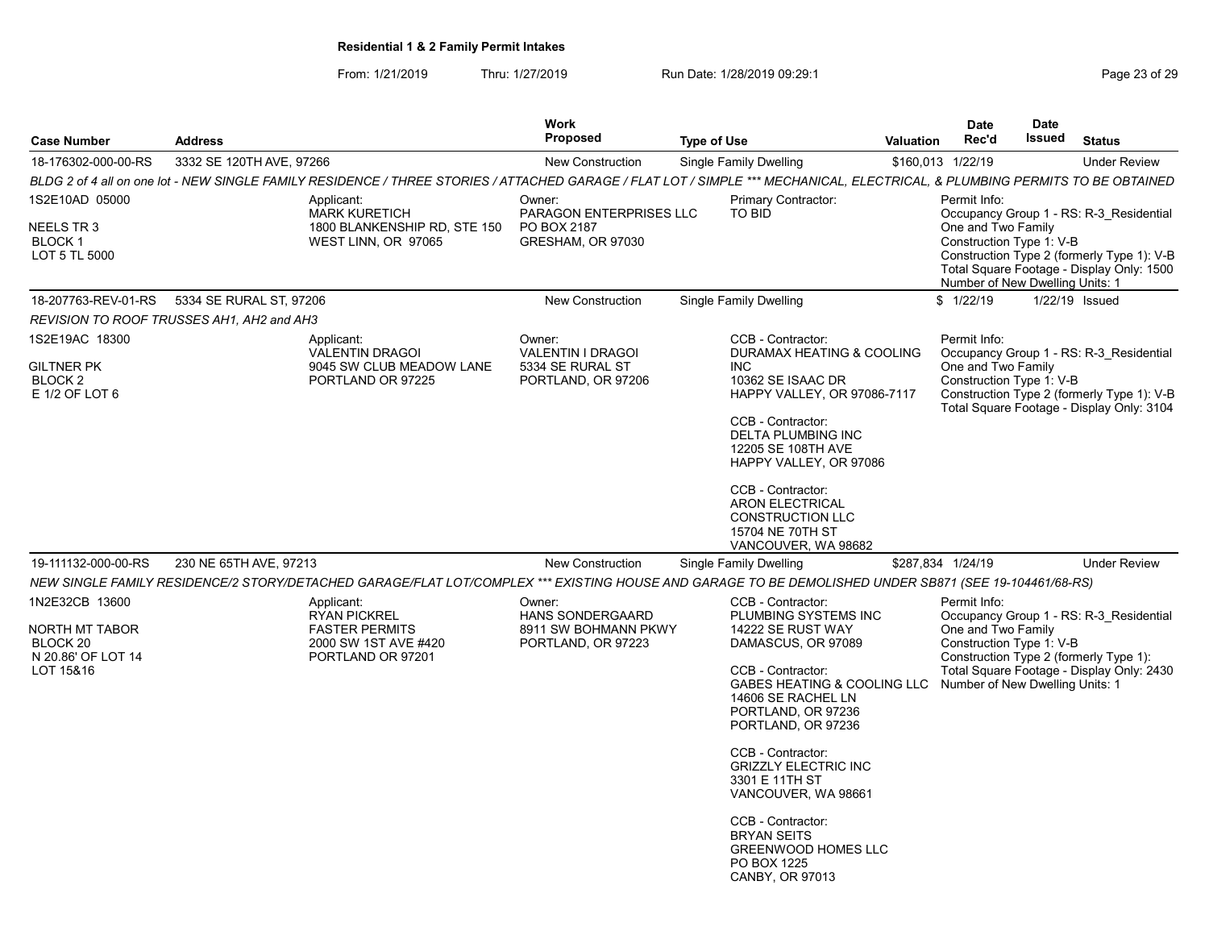From: 1/21/2019 Thru: 1/27/2019 Run Date: 1/28/2019 09:29:1<br>
Page 23 of 29

|                                                                                 |                                                                                                                                                                              | <b>Work</b>                                                                     |                                                                                                                                                                                                                                                                                                                                                                                                                    |                  | <b>Date</b>                                                                                       | <b>Date</b> |                                                                                                                                    |
|---------------------------------------------------------------------------------|------------------------------------------------------------------------------------------------------------------------------------------------------------------------------|---------------------------------------------------------------------------------|--------------------------------------------------------------------------------------------------------------------------------------------------------------------------------------------------------------------------------------------------------------------------------------------------------------------------------------------------------------------------------------------------------------------|------------------|---------------------------------------------------------------------------------------------------|-------------|------------------------------------------------------------------------------------------------------------------------------------|
| <b>Case Number</b>                                                              | <b>Address</b>                                                                                                                                                               | <b>Proposed</b>                                                                 | <b>Type of Use</b>                                                                                                                                                                                                                                                                                                                                                                                                 | <b>Valuation</b> | Rec'd                                                                                             | Issued      | <b>Status</b>                                                                                                                      |
| 18-176302-000-00-RS                                                             | 3332 SE 120TH AVE, 97266                                                                                                                                                     | <b>New Construction</b>                                                         | Single Family Dwelling                                                                                                                                                                                                                                                                                                                                                                                             |                  | \$160,013 1/22/19                                                                                 |             | <b>Under Review</b>                                                                                                                |
|                                                                                 | BLDG 2 of 4 all on one lot - NEW SINGLE FAMILY RESIDENCE / THREE STORIES / ATTACHED GARAGE / FLAT LOT / SIMPLE *** MECHANICAL, ELECTRICAL, & PLUMBING PERMITS TO BE OBTAINED |                                                                                 |                                                                                                                                                                                                                                                                                                                                                                                                                    |                  |                                                                                                   |             |                                                                                                                                    |
| 1S2E10AD 05000<br>NEELS TR 3<br><b>BLOCK1</b><br>LOT 5 TL 5000                  | Applicant:<br><b>MARK KURETICH</b><br>1800 BLANKENSHIP RD, STE 150<br>WEST LINN, OR 97065                                                                                    | Owner:<br>PARAGON ENTERPRISES LLC<br>PO BOX 2187<br>GRESHAM, OR 97030           | Primary Contractor:<br><b>TO BID</b>                                                                                                                                                                                                                                                                                                                                                                               |                  | Permit Info:<br>One and Two Family<br>Construction Type 1: V-B<br>Number of New Dwelling Units: 1 |             | Occupancy Group 1 - RS: R-3 Residential<br>Construction Type 2 (formerly Type 1): V-B<br>Total Square Footage - Display Only: 1500 |
| 18-207763-REV-01-RS                                                             | 5334 SE RURAL ST, 97206                                                                                                                                                      | <b>New Construction</b>                                                         | Single Family Dwelling                                                                                                                                                                                                                                                                                                                                                                                             |                  | \$1/22/19                                                                                         |             | 1/22/19 Issued                                                                                                                     |
|                                                                                 | REVISION TO ROOF TRUSSES AH1, AH2 and AH3                                                                                                                                    |                                                                                 |                                                                                                                                                                                                                                                                                                                                                                                                                    |                  |                                                                                                   |             |                                                                                                                                    |
| 1S2E19AC 18300<br><b>GILTNER PK</b><br>BLOCK <sub>2</sub><br>E 1/2 OF LOT 6     | Applicant:<br><b>VALENTIN DRAGOI</b><br>9045 SW CLUB MEADOW LANE<br>PORTLAND OR 97225                                                                                        | Owner:<br><b>VALENTIN I DRAGOI</b><br>5334 SE RURAL ST<br>PORTLAND, OR 97206    | CCB - Contractor:<br>DURAMAX HEATING & COOLING<br>INC.<br>10362 SE ISAAC DR<br>HAPPY VALLEY, OR 97086-7117<br>CCB - Contractor:<br>DELTA PLUMBING INC<br>12205 SE 108TH AVE<br>HAPPY VALLEY, OR 97086<br>CCB - Contractor:<br><b>ARON ELECTRICAL</b><br><b>CONSTRUCTION LLC</b><br>15704 NE 70TH ST<br>VANCOUVER, WA 98682                                                                                         |                  | Permit Info:<br>One and Two Family<br>Construction Type 1: V-B                                    |             | Occupancy Group 1 - RS: R-3 Residential<br>Construction Type 2 (formerly Type 1): V-B<br>Total Square Footage - Display Only: 3104 |
| 19-111132-000-00-RS                                                             | 230 NE 65TH AVE, 97213                                                                                                                                                       | <b>New Construction</b>                                                         | Single Family Dwelling                                                                                                                                                                                                                                                                                                                                                                                             |                  | \$287,834 1/24/19                                                                                 |             | <b>Under Review</b>                                                                                                                |
|                                                                                 | NEW SINGLE FAMILY RESIDENCE/2 STORY/DETACHED GARAGE/FLAT LOT/COMPLEX *** EXISTING HOUSE AND GARAGE TO BE DEMOLISHED UNDER SB871 (SEE 19-104461/68-RS)                        |                                                                                 |                                                                                                                                                                                                                                                                                                                                                                                                                    |                  |                                                                                                   |             |                                                                                                                                    |
| 1N2E32CB 13600<br>NORTH MT TABOR<br>BLOCK 20<br>N 20.86' OF LOT 14<br>LOT 15&16 | Applicant:<br>RYAN PICKREL<br><b>FASTER PERMITS</b><br>2000 SW 1ST AVE #420<br>PORTLAND OR 97201                                                                             | Owner:<br><b>HANS SONDERGAARD</b><br>8911 SW BOHMANN PKWY<br>PORTLAND, OR 97223 | CCB - Contractor:<br>PLUMBING SYSTEMS INC<br>14222 SE RUST WAY<br>DAMASCUS, OR 97089<br>CCB - Contractor:<br>GABES HEATING & COOLING LLC<br>14606 SE RACHEL LN<br>PORTLAND, OR 97236<br>PORTLAND, OR 97236<br>CCB - Contractor:<br><b>GRIZZLY ELECTRIC INC</b><br>3301 E 11TH ST<br>VANCOUVER, WA 98661<br>CCB - Contractor:<br><b>BRYAN SEITS</b><br><b>GREENWOOD HOMES LLC</b><br>PO BOX 1225<br>CANBY, OR 97013 |                  | Permit Info:<br>One and Two Family<br>Construction Type 1: V-B<br>Number of New Dwelling Units: 1 |             | Occupancy Group 1 - RS: R-3 Residential<br>Construction Type 2 (formerly Type 1):<br>Total Square Footage - Display Only: 2430     |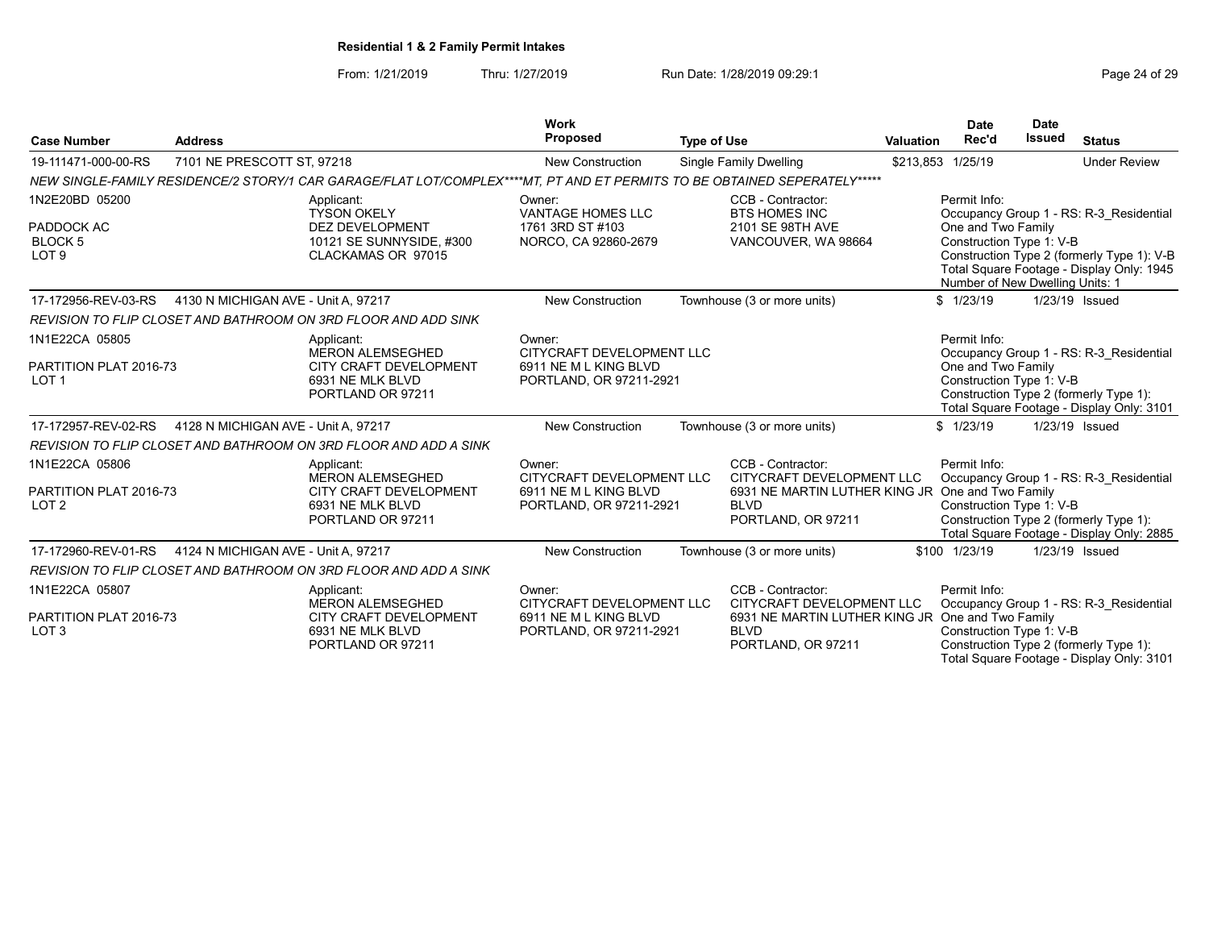From: 1/21/2019 Thru: 1/27/2019 Run Date: 1/28/2019 09:29:1<br>
Page 24 of 29

| <b>Case Number</b>                                                 | <b>Address</b>                      |                                                                                                                           | Work<br><b>Proposed</b>                                                                 | <b>Type of Use</b> |                                                                                                                                         | <b>Valuation</b> | <b>Date</b><br>Rec'd                                                                              | <b>Date</b><br><b>Issued</b> | <b>Status</b>                                                                                                                      |
|--------------------------------------------------------------------|-------------------------------------|---------------------------------------------------------------------------------------------------------------------------|-----------------------------------------------------------------------------------------|--------------------|-----------------------------------------------------------------------------------------------------------------------------------------|------------------|---------------------------------------------------------------------------------------------------|------------------------------|------------------------------------------------------------------------------------------------------------------------------------|
| 19-111471-000-00-RS                                                | 7101 NE PRESCOTT ST, 97218          |                                                                                                                           | <b>New Construction</b>                                                                 |                    | <b>Single Family Dwelling</b>                                                                                                           |                  | \$213,853 1/25/19                                                                                 |                              | <b>Under Review</b>                                                                                                                |
|                                                                    |                                     | NEW SINGLE-FAMILY RESIDENCE/2 STORY/1 CAR GARAGE/FLAT LOT/COMPLEX****MT, PT AND ET PERMITS TO BE OBTAINED SEPERATELY***** |                                                                                         |                    |                                                                                                                                         |                  |                                                                                                   |                              |                                                                                                                                    |
| 1N2E20BD 05200<br>PADDOCK AC<br><b>BLOCK 5</b><br>LOT <sub>9</sub> |                                     | Applicant:<br><b>TYSON OKELY</b><br><b>DEZ DEVELOPMENT</b><br>10121 SE SUNNYSIDE, #300<br>CLACKAMAS OR 97015              | Owner:<br><b>VANTAGE HOMES LLC</b><br>1761 3RD ST #103<br>NORCO, CA 92860-2679          |                    | CCB - Contractor:<br><b>BTS HOMES INC</b><br>2101 SE 98TH AVE<br>VANCOUVER, WA 98664                                                    |                  | Permit Info:<br>One and Two Family<br>Construction Type 1: V-B<br>Number of New Dwelling Units: 1 |                              | Occupancy Group 1 - RS: R-3 Residential<br>Construction Type 2 (formerly Type 1): V-B<br>Total Square Footage - Display Only: 1945 |
| 17-172956-REV-03-RS                                                | 4130 N MICHIGAN AVE - Unit A. 97217 |                                                                                                                           | New Construction                                                                        |                    | Townhouse (3 or more units)                                                                                                             |                  | \$1/23/19                                                                                         |                              | 1/23/19 Issued                                                                                                                     |
|                                                                    |                                     | REVISION TO FLIP CLOSET AND BATHROOM ON 3RD FLOOR AND ADD SINK                                                            |                                                                                         |                    |                                                                                                                                         |                  |                                                                                                   |                              |                                                                                                                                    |
| 1N1E22CA 05805<br>PARTITION PLAT 2016-73<br>LOT <sub>1</sub>       |                                     | Applicant:<br><b>MERON ALEMSEGHED</b><br>CITY CRAFT DEVELOPMENT<br>6931 NE MLK BLVD<br>PORTLAND OR 97211                  | Owner:<br>CITYCRAFT DEVELOPMENT LLC<br>6911 NE M L KING BLVD<br>PORTLAND, OR 97211-2921 |                    |                                                                                                                                         |                  | Permit Info:<br>One and Two Family<br>Construction Type 1: V-B                                    |                              | Occupancy Group 1 - RS: R-3 Residential<br>Construction Type 2 (formerly Type 1):<br>Total Square Footage - Display Only: 3101     |
| 17-172957-REV-02-RS                                                | 4128 N MICHIGAN AVE - Unit A, 97217 |                                                                                                                           | <b>New Construction</b>                                                                 |                    | Townhouse (3 or more units)                                                                                                             |                  | \$1/23/19                                                                                         |                              | 1/23/19 Issued                                                                                                                     |
|                                                                    |                                     | REVISION TO FLIP CLOSET AND BATHROOM ON 3RD FLOOR AND ADD A SINK                                                          |                                                                                         |                    |                                                                                                                                         |                  |                                                                                                   |                              |                                                                                                                                    |
| 1N1E22CA 05806<br>PARTITION PLAT 2016-73<br>LOT <sub>2</sub>       |                                     | Applicant:<br><b>MERON ALEMSEGHED</b><br>CITY CRAFT DEVELOPMENT<br>6931 NE MLK BLVD<br>PORTLAND OR 97211                  | Owner:<br>CITYCRAFT DEVELOPMENT LLC<br>6911 NE M L KING BLVD<br>PORTLAND, OR 97211-2921 |                    | CCB - Contractor:<br>CITYCRAFT DEVELOPMENT LLC<br>6931 NE MARTIN LUTHER KING JR One and Two Family<br><b>BLVD</b><br>PORTLAND, OR 97211 |                  | Permit Info:<br>Construction Type 1: V-B                                                          |                              | Occupancy Group 1 - RS: R-3 Residential<br>Construction Type 2 (formerly Type 1):<br>Total Square Footage - Display Only: 2885     |
| 17-172960-REV-01-RS                                                | 4124 N MICHIGAN AVE - Unit A. 97217 |                                                                                                                           | <b>New Construction</b>                                                                 |                    | Townhouse (3 or more units)                                                                                                             |                  | \$100 1/23/19                                                                                     |                              | 1/23/19 Issued                                                                                                                     |
|                                                                    |                                     | REVISION TO FLIP CLOSET AND BATHROOM ON 3RD FLOOR AND ADD A SINK                                                          |                                                                                         |                    |                                                                                                                                         |                  |                                                                                                   |                              |                                                                                                                                    |
| 1N1E22CA 05807<br>PARTITION PLAT 2016-73<br>LOT <sub>3</sub>       |                                     | Applicant:<br><b>MERON ALEMSEGHED</b><br>CITY CRAFT DEVELOPMENT<br>6931 NE MLK BLVD<br>PORTLAND OR 97211                  | Owner:<br>CITYCRAFT DEVELOPMENT LLC<br>6911 NE M L KING BLVD<br>PORTLAND, OR 97211-2921 |                    | CCB - Contractor:<br>CITYCRAFT DEVELOPMENT LLC<br>6931 NE MARTIN LUTHER KING JR One and Two Family<br><b>BLVD</b><br>PORTLAND, OR 97211 |                  | Permit Info:<br>Construction Type 1: V-B                                                          |                              | Occupancy Group 1 - RS: R-3 Residential<br>Construction Type 2 (formerly Type 1):<br>Total Square Footage - Display Only: 3101     |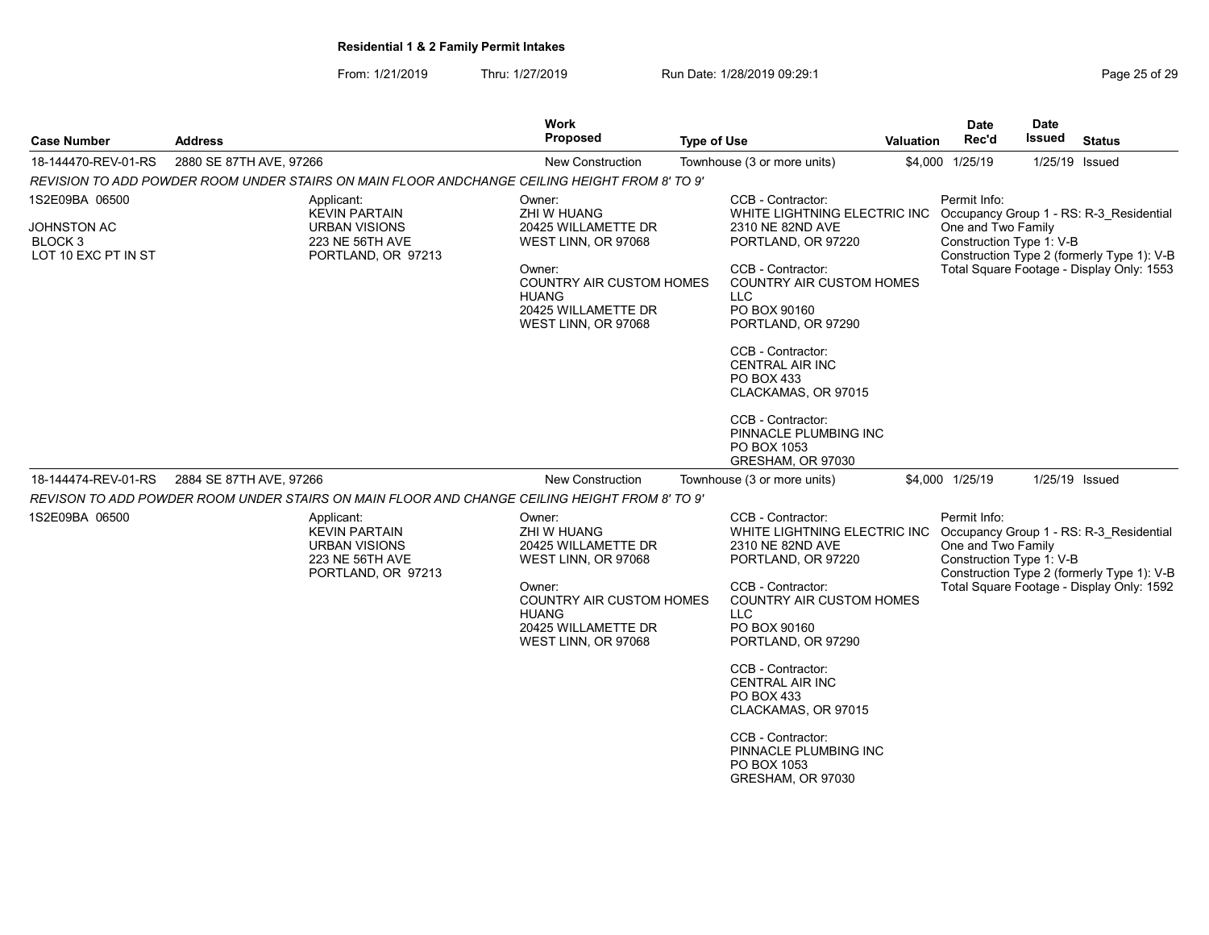| Case Number                                   | <b>Address</b>          |                                                                                               | Work<br>Proposed                                                                                        | <b>Type of Use</b> |                                                                                                          | Valuation | Date<br>Rec'd                                                  | <b>Date</b><br>Issued | <b>Status</b>                                                                         |
|-----------------------------------------------|-------------------------|-----------------------------------------------------------------------------------------------|---------------------------------------------------------------------------------------------------------|--------------------|----------------------------------------------------------------------------------------------------------|-----------|----------------------------------------------------------------|-----------------------|---------------------------------------------------------------------------------------|
| 18-144470-REV-01-RS                           | 2880 SE 87TH AVE, 97266 |                                                                                               | <b>New Construction</b>                                                                                 |                    | Townhouse (3 or more units)                                                                              | \$4,000   | 1/25/19                                                        | 1/25/19 Issued        |                                                                                       |
|                                               |                         | REVISION TO ADD POWDER ROOM UNDER STAIRS ON MAIN FLOOR ANDCHANGE CEILING HEIGHT FROM 8' TO 9' |                                                                                                         |                    |                                                                                                          |           |                                                                |                       |                                                                                       |
| 1S2E09BA 06500                                |                         | Applicant:<br><b>KEVIN PARTAIN</b>                                                            | Owner:<br>ZHI W HUANG                                                                                   |                    | CCB - Contractor:<br>WHITE LIGHTNING ELECTRIC INC                                                        |           | Permit Info:                                                   |                       | Occupancy Group 1 - RS: R-3 Residential                                               |
| JOHNSTON AC<br>BLOCK 3<br>LOT 10 EXC PT IN ST |                         | URBAN VISIONS<br>223 NE 56TH AVE<br>PORTLAND, OR 97213                                        | 20425 WILLAMETTE DR<br>WEST LINN, OR 97068                                                              |                    | 2310 NE 82ND AVE<br>PORTLAND, OR 97220                                                                   |           | One and Two Family<br>Construction Type 1: V-B                 |                       | Construction Type 2 (formerly Type 1): V-B                                            |
|                                               |                         |                                                                                               | Owner:<br><b>COUNTRY AIR CUSTOM HOMES</b><br><b>HUANG</b><br>20425 WILLAMETTE DR<br>WEST LINN, OR 97068 |                    | CCB - Contractor:<br><b>COUNTRY AIR CUSTOM HOMES</b><br><b>LLC</b><br>PO BOX 90160<br>PORTLAND, OR 97290 |           |                                                                |                       | Total Square Footage - Display Only: 1553                                             |
|                                               |                         |                                                                                               |                                                                                                         |                    | CCB - Contractor:<br><b>CENTRAL AIR INC</b><br>PO BOX 433<br>CLACKAMAS, OR 97015                         |           |                                                                |                       |                                                                                       |
|                                               |                         |                                                                                               |                                                                                                         |                    | CCB - Contractor:<br>PINNACLE PLUMBING INC<br>PO BOX 1053<br>GRESHAM, OR 97030                           |           |                                                                |                       |                                                                                       |
| 18-144474-REV-01-RS                           | 2884 SE 87TH AVE, 97266 |                                                                                               | <b>New Construction</b>                                                                                 |                    | Townhouse (3 or more units)                                                                              |           | \$4,000 1/25/19                                                | 1/25/19 Issued        |                                                                                       |
|                                               |                         | REVISON TO ADD POWDER ROOM UNDER STAIRS ON MAIN FLOOR AND CHANGE CEILING HEIGHT FROM 8' TO 9' |                                                                                                         |                    |                                                                                                          |           |                                                                |                       |                                                                                       |
| 1S2E09BA 06500                                |                         | Applicant:<br><b>KEVIN PARTAIN</b><br>URBAN VISIONS<br>223 NE 56TH AVE<br>PORTLAND, OR 97213  | Owner:<br>ZHI W HUANG<br>20425 WILLAMETTE DR<br>WEST LINN, OR 97068                                     |                    | CCB - Contractor:<br>WHITE LIGHTNING ELECTRIC INC<br>2310 NE 82ND AVE<br>PORTLAND, OR 97220              |           | Permit Info:<br>One and Two Family<br>Construction Type 1: V-B |                       | Occupancy Group 1 - RS: R-3 Residential<br>Construction Type 2 (formerly Type 1): V-B |
|                                               |                         |                                                                                               | Owner:<br>COUNTRY AIR CUSTOM HOMES<br><b>HUANG</b><br>20425 WILLAMETTE DR<br>WEST LINN, OR 97068        |                    | CCB - Contractor:<br><b>COUNTRY AIR CUSTOM HOMES</b><br>LLC<br>PO BOX 90160<br>PORTLAND, OR 97290        |           |                                                                |                       | Total Square Footage - Display Only: 1592                                             |
|                                               |                         |                                                                                               |                                                                                                         |                    | CCB - Contractor:<br><b>CENTRAL AIR INC</b><br>PO BOX 433<br>CLACKAMAS, OR 97015                         |           |                                                                |                       |                                                                                       |
|                                               |                         |                                                                                               |                                                                                                         |                    | CCB - Contractor:<br>PINNACLE PLUMBING INC<br>PO BOX 1053<br>GRESHAM, OR 97030                           |           |                                                                |                       |                                                                                       |
|                                               |                         |                                                                                               |                                                                                                         |                    |                                                                                                          |           |                                                                |                       |                                                                                       |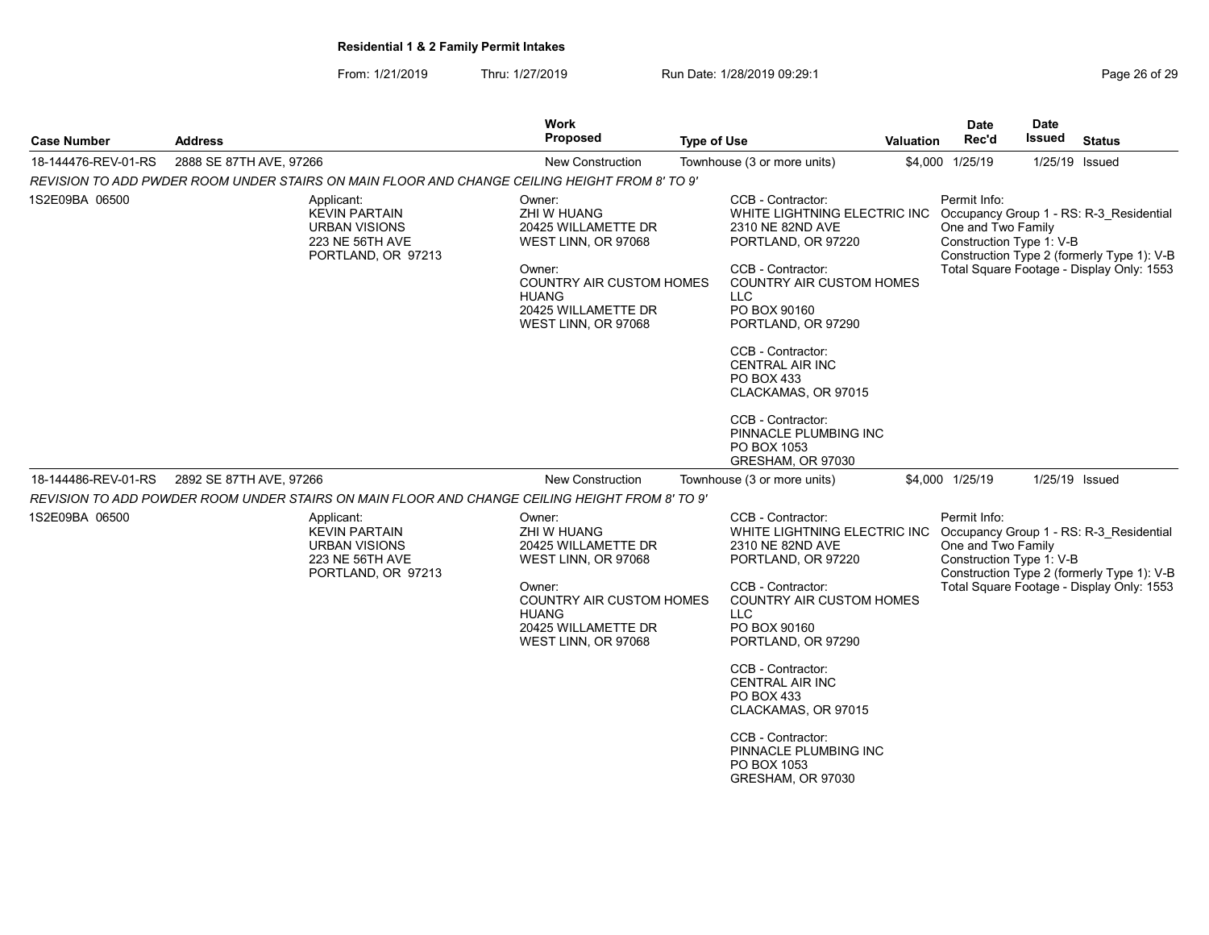| Page 26 of 29 |
|---------------|
|---------------|

| <b>Case Number</b>  | <b>Address</b>                                                                                      | <b>Work</b><br><b>Proposed</b>                                                                                                   | <b>Type of Use</b>                                                                                                                                         | <b>Valuation</b> | Date<br>Rec'd                                                  | Date<br>Issued | <b>Status</b>                                                                                                                      |
|---------------------|-----------------------------------------------------------------------------------------------------|----------------------------------------------------------------------------------------------------------------------------------|------------------------------------------------------------------------------------------------------------------------------------------------------------|------------------|----------------------------------------------------------------|----------------|------------------------------------------------------------------------------------------------------------------------------------|
| 18-144476-REV-01-RS | 2888 SE 87TH AVE, 97266                                                                             | <b>New Construction</b>                                                                                                          | Townhouse (3 or more units)                                                                                                                                |                  | \$4,000 1/25/19                                                | 1/25/19 Issued |                                                                                                                                    |
|                     | REVISION TO ADD PWDER ROOM UNDER STAIRS ON MAIN FLOOR AND CHANGE CEILING HEIGHT FROM 8' TO 9'       |                                                                                                                                  |                                                                                                                                                            |                  |                                                                |                |                                                                                                                                    |
| 1S2E09BA 06500      | Applicant:<br><b>KEVIN PARTAIN</b><br><b>URBAN VISIONS</b><br>223 NE 56TH AVE<br>PORTLAND, OR 97213 | Owner:<br>ZHI W HUANG<br>20425 WILLAMETTE DR<br>WEST LINN, OR 97068<br>Owner:<br><b>COUNTRY AIR CUSTOM HOMES</b><br><b>HUANG</b> | CCB - Contractor:<br>WHITE LIGHTNING ELECTRIC INC<br>2310 NE 82ND AVE<br>PORTLAND, OR 97220<br>CCB - Contractor:<br><b>COUNTRY AIR CUSTOM HOMES</b><br>LLC |                  | Permit Info:<br>One and Two Family<br>Construction Type 1: V-B |                | Occupancy Group 1 - RS: R-3 Residential<br>Construction Type 2 (formerly Type 1): V-B<br>Total Square Footage - Display Only: 1553 |
|                     |                                                                                                     | 20425 WILLAMETTE DR<br>WEST LINN, OR 97068                                                                                       | PO BOX 90160<br>PORTLAND, OR 97290                                                                                                                         |                  |                                                                |                |                                                                                                                                    |
|                     |                                                                                                     |                                                                                                                                  | CCB - Contractor:<br><b>CENTRAL AIR INC</b><br>PO BOX 433<br>CLACKAMAS, OR 97015                                                                           |                  |                                                                |                |                                                                                                                                    |
|                     |                                                                                                     |                                                                                                                                  | CCB - Contractor:<br>PINNACLE PLUMBING INC<br>PO BOX 1053<br>GRESHAM, OR 97030                                                                             |                  |                                                                |                |                                                                                                                                    |
| 18-144486-REV-01-RS | 2892 SE 87TH AVE, 97266                                                                             | New Construction                                                                                                                 | Townhouse (3 or more units)                                                                                                                                |                  | \$4,000 1/25/19                                                | 1/25/19 Issued |                                                                                                                                    |
|                     | REVISION TO ADD POWDER ROOM UNDER STAIRS ON MAIN FLOOR AND CHANGE CEILING HEIGHT FROM 8' TO 9'      |                                                                                                                                  |                                                                                                                                                            |                  |                                                                |                |                                                                                                                                    |
| 1S2E09BA 06500      | Applicant:<br><b>KEVIN PARTAIN</b><br><b>URBAN VISIONS</b><br>223 NE 56TH AVE<br>PORTLAND, OR 97213 | Owner:<br><b>ZHI W HUANG</b><br>20425 WILLAMETTE DR<br>WEST LINN, OR 97068                                                       | CCB - Contractor:<br>WHITE LIGHTNING ELECTRIC INC<br>2310 NE 82ND AVE<br>PORTLAND, OR 97220                                                                |                  | Permit Info:<br>One and Two Family<br>Construction Type 1: V-B |                | Occupancy Group 1 - RS: R-3 Residential<br>Construction Type 2 (formerly Type 1): V-B                                              |
|                     |                                                                                                     | Owner:<br><b>COUNTRY AIR CUSTOM HOMES</b><br><b>HUANG</b><br>20425 WILLAMETTE DR<br>WEST LINN, OR 97068                          | CCB - Contractor:<br><b>COUNTRY AIR CUSTOM HOMES</b><br>LLC<br>PO BOX 90160<br>PORTLAND, OR 97290                                                          |                  |                                                                |                | Total Square Footage - Display Only: 1553                                                                                          |
|                     |                                                                                                     |                                                                                                                                  | CCB - Contractor:<br><b>CENTRAL AIR INC</b><br>PO BOX 433<br>CLACKAMAS, OR 97015                                                                           |                  |                                                                |                |                                                                                                                                    |
|                     |                                                                                                     |                                                                                                                                  | CCB - Contractor:<br>PINNACLE PLUMBING INC<br>PO BOX 1053<br>GRESHAM, OR 97030                                                                             |                  |                                                                |                |                                                                                                                                    |
|                     |                                                                                                     |                                                                                                                                  |                                                                                                                                                            |                  |                                                                |                |                                                                                                                                    |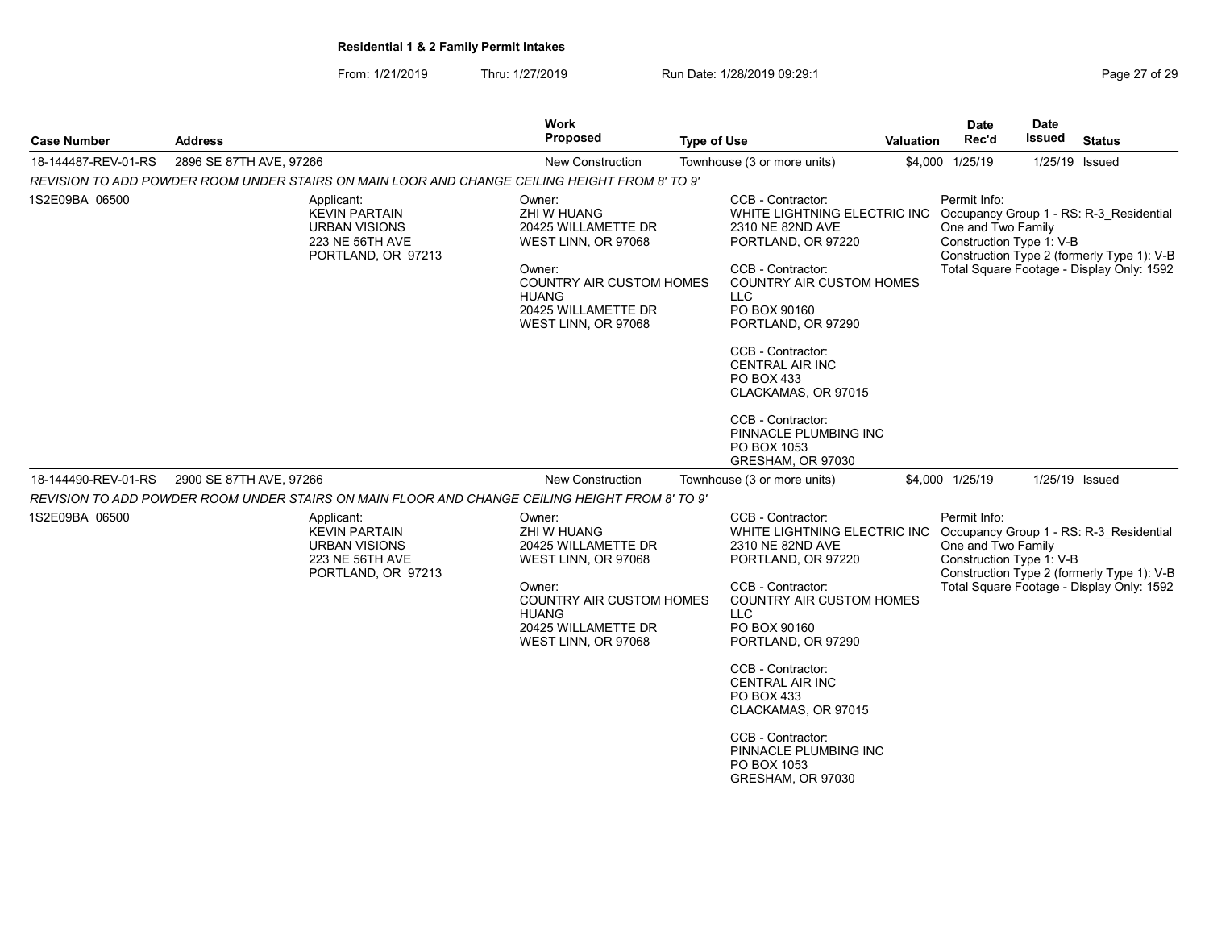| Page 27 of 29 |  |  |  |  |
|---------------|--|--|--|--|
|---------------|--|--|--|--|

| <b>Case Number</b>  | <b>Address</b>                                                                                      | Work<br>Proposed                                                                                                                            | <b>Type of Use</b>                                                                                                                                                             | <b>Valuation</b>                                                                                                                                                                                          | <b>Date</b><br>Rec'd                                           | Date<br>Issued | <b>Status</b>                                                                                                                      |
|---------------------|-----------------------------------------------------------------------------------------------------|---------------------------------------------------------------------------------------------------------------------------------------------|--------------------------------------------------------------------------------------------------------------------------------------------------------------------------------|-----------------------------------------------------------------------------------------------------------------------------------------------------------------------------------------------------------|----------------------------------------------------------------|----------------|------------------------------------------------------------------------------------------------------------------------------------|
| 18-144487-REV-01-RS | 2896 SE 87TH AVE, 97266                                                                             | <b>New Construction</b>                                                                                                                     | Townhouse (3 or more units)                                                                                                                                                    |                                                                                                                                                                                                           | \$4,000 1/25/19                                                | 1/25/19 Issued |                                                                                                                                    |
|                     | REVISION TO ADD POWDER ROOM UNDER STAIRS ON MAIN LOOR AND CHANGE CEILING HEIGHT FROM 8' TO 9'       |                                                                                                                                             |                                                                                                                                                                                |                                                                                                                                                                                                           |                                                                |                |                                                                                                                                    |
| 1S2E09BA 06500      | Applicant:<br><b>KEVIN PARTAIN</b><br><b>URBAN VISIONS</b><br>223 NE 56TH AVE<br>PORTLAND, OR 97213 | Owner:<br>ZHI W HUANG<br>20425 WILLAMETTE DR<br>WEST LINN, OR 97068<br>Owner:<br><b>HUANG</b><br>20425 WILLAMETTE DR<br>WEST LINN, OR 97068 | CCB - Contractor:<br>CCB - Contractor:<br><b>COUNTRY AIR CUSTOM HOMES</b><br><b>LLC</b><br>PO BOX 90160<br>CCB - Contractor:<br>PO BOX 433<br>CCB - Contractor:<br>PO BOX 1053 | WHITE LIGHTNING ELECTRIC INC<br>2310 NE 82ND AVE<br>PORTLAND, OR 97220<br><b>COUNTRY AIR CUSTOM HOMES</b><br>PORTLAND, OR 97290<br><b>CENTRAL AIR INC</b><br>CLACKAMAS, OR 97015<br>PINNACLE PLUMBING INC | Permit Info:<br>One and Two Family<br>Construction Type 1: V-B |                | Occupancy Group 1 - RS: R-3 Residential<br>Construction Type 2 (formerly Type 1): V-B<br>Total Square Footage - Display Only: 1592 |
| 18-144490-REV-01-RS | 2900 SE 87TH AVE, 97266                                                                             | New Construction                                                                                                                            | Townhouse (3 or more units)                                                                                                                                                    | GRESHAM, OR 97030                                                                                                                                                                                         | \$4,000 1/25/19                                                | 1/25/19 Issued |                                                                                                                                    |
|                     | 'REVISION TO ADD POWDER ROOM UNDER STAIRS ON MAIN FLOOR AND CHANGE CEILING HEIGHT FROM 8' TO 9      |                                                                                                                                             |                                                                                                                                                                                |                                                                                                                                                                                                           |                                                                |                |                                                                                                                                    |
| 1S2E09BA 06500      | Applicant:<br><b>KEVIN PARTAIN</b><br><b>URBAN VISIONS</b><br>223 NE 56TH AVE<br>PORTLAND, OR 97213 | Owner:<br>ZHI W HUANG<br>20425 WILLAMETTE DR<br>WEST LINN, OR 97068<br>Owner:<br><b>HUANG</b><br>20425 WILLAMETTE DR<br>WEST LINN, OR 97068 | CCB - Contractor:<br>CCB - Contractor:<br><b>COUNTRY AIR CUSTOM HOMES</b><br><b>LLC</b><br>PO BOX 90160                                                                        | WHITE LIGHTNING ELECTRIC INC<br>2310 NE 82ND AVE<br>PORTLAND, OR 97220<br><b>COUNTRY AIR CUSTOM HOMES</b><br>PORTLAND, OR 97290                                                                           | Permit Info:<br>One and Two Family<br>Construction Type 1: V-B |                | Occupancy Group 1 - RS: R-3_Residential<br>Construction Type 2 (formerly Type 1): V-B<br>Total Square Footage - Display Only: 1592 |
|                     |                                                                                                     |                                                                                                                                             | CCB - Contractor:<br>PO BOX 433<br>CCB - Contractor:<br>PO BOX 1053                                                                                                            | <b>CENTRAL AIR INC</b><br>CLACKAMAS, OR 97015<br>PINNACLE PLUMBING INC<br>GRESHAM, OR 97030                                                                                                               |                                                                |                |                                                                                                                                    |
|                     |                                                                                                     |                                                                                                                                             |                                                                                                                                                                                |                                                                                                                                                                                                           |                                                                |                |                                                                                                                                    |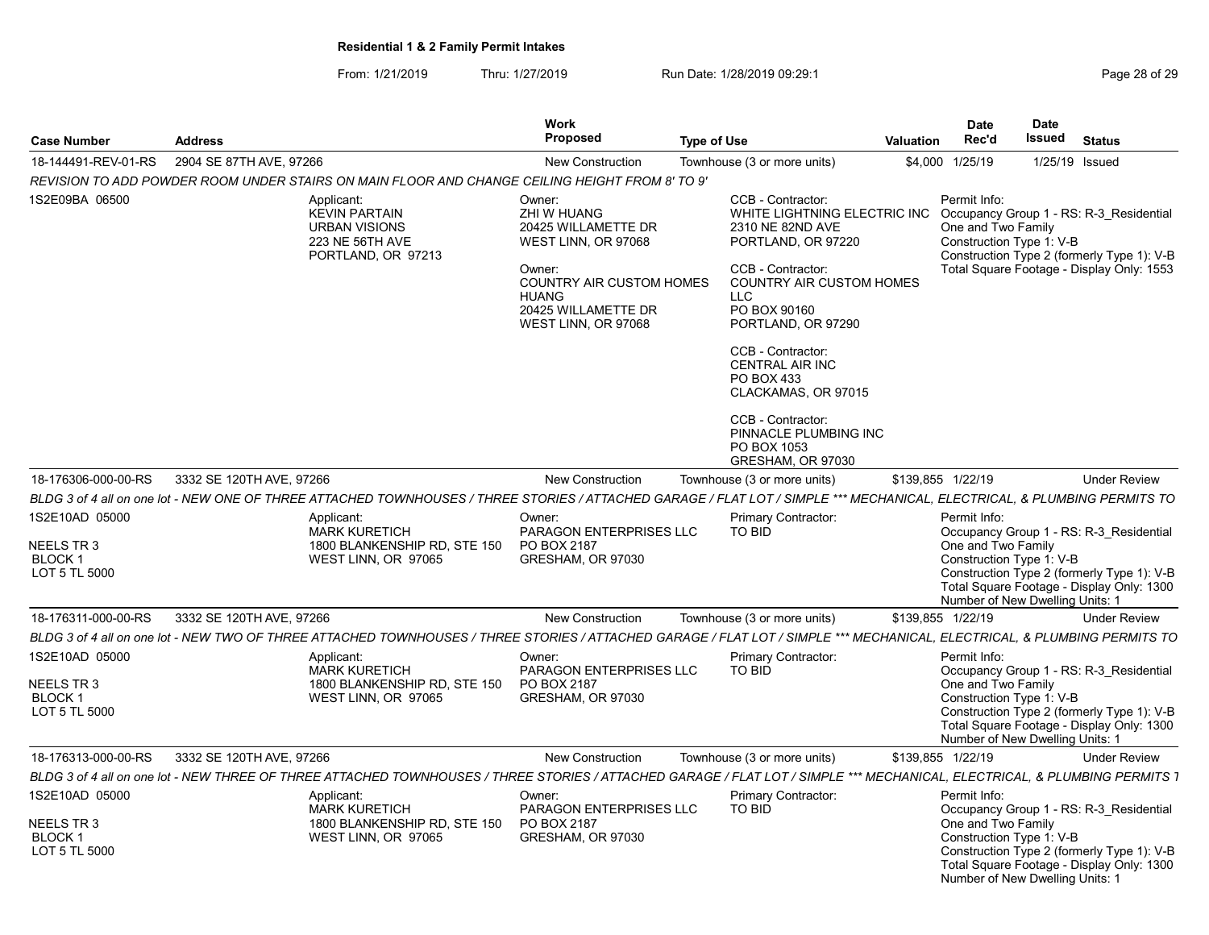| Page 28 of 29 |  |
|---------------|--|
|---------------|--|

| <b>Case Number</b>                                                   | <b>Address</b>           |                                                                                                                                                                            | Work<br><b>Proposed</b>                                                                                                                                                        | <b>Type of Use</b> |                                                                                                                                                                                                                                                                                                                                                                        | Valuation | <b>Date</b><br>Rec'd                                                                              | <b>Date</b><br>Issued           | Status                                                                                                                             |
|----------------------------------------------------------------------|--------------------------|----------------------------------------------------------------------------------------------------------------------------------------------------------------------------|--------------------------------------------------------------------------------------------------------------------------------------------------------------------------------|--------------------|------------------------------------------------------------------------------------------------------------------------------------------------------------------------------------------------------------------------------------------------------------------------------------------------------------------------------------------------------------------------|-----------|---------------------------------------------------------------------------------------------------|---------------------------------|------------------------------------------------------------------------------------------------------------------------------------|
| 18-144491-REV-01-RS                                                  | 2904 SE 87TH AVE, 97266  |                                                                                                                                                                            | <b>New Construction</b>                                                                                                                                                        |                    | Townhouse (3 or more units)                                                                                                                                                                                                                                                                                                                                            |           | \$4,000 1/25/19                                                                                   | 1/25/19 Issued                  |                                                                                                                                    |
|                                                                      |                          | 'REVISION TO ADD POWDER ROOM UNDER STAIRS ON MAIN FLOOR AND CHANGE CEILING HEIGHT FROM 8' TO 9                                                                             |                                                                                                                                                                                |                    |                                                                                                                                                                                                                                                                                                                                                                        |           |                                                                                                   |                                 |                                                                                                                                    |
|                                                                      |                          |                                                                                                                                                                            |                                                                                                                                                                                |                    |                                                                                                                                                                                                                                                                                                                                                                        |           |                                                                                                   |                                 |                                                                                                                                    |
| 1S2E09BA 06500                                                       |                          | Applicant:<br><b>KEVIN PARTAIN</b><br><b>URBAN VISIONS</b><br>223 NE 56TH AVE<br>PORTLAND, OR 97213                                                                        | Owner:<br>ZHI W HUANG<br>20425 WILLAMETTE DR<br>WEST LINN, OR 97068<br>Owner:<br><b>COUNTRY AIR CUSTOM HOMES</b><br><b>HUANG</b><br>20425 WILLAMETTE DR<br>WEST LINN, OR 97068 |                    | CCB - Contractor:<br>WHITE LIGHTNING ELECTRIC INC<br>2310 NE 82ND AVE<br>PORTLAND, OR 97220<br>CCB - Contractor:<br><b>COUNTRY AIR CUSTOM HOMES</b><br>LLC<br>PO BOX 90160<br>PORTLAND, OR 97290<br>CCB - Contractor:<br><b>CENTRAL AIR INC</b><br>PO BOX 433<br>CLACKAMAS, OR 97015<br>CCB - Contractor:<br>PINNACLE PLUMBING INC<br>PO BOX 1053<br>GRESHAM, OR 97030 |           | Permit Info:<br>One and Two Family<br>Construction Type 1: V-B                                    |                                 | Occupancy Group 1 - RS: R-3 Residential<br>Construction Type 2 (formerly Type 1): V-B<br>Total Square Footage - Display Only: 1553 |
| 18-176306-000-00-RS                                                  | 3332 SE 120TH AVE, 97266 |                                                                                                                                                                            | <b>New Construction</b>                                                                                                                                                        |                    | Townhouse (3 or more units)                                                                                                                                                                                                                                                                                                                                            |           | \$139,855 1/22/19                                                                                 |                                 | <b>Under Review</b>                                                                                                                |
|                                                                      |                          | BLDG 3 of 4 all on one lot - NEW ONE OF THREE ATTACHED TOWNHOUSES / THREE STORIES / ATTACHED GARAGE / FLAT LOT / SIMPLE *** MECHANICAL, ELECTRICAL, & PLUMBING PERMITS TO  |                                                                                                                                                                                |                    |                                                                                                                                                                                                                                                                                                                                                                        |           |                                                                                                   |                                 |                                                                                                                                    |
| 1S2E10AD 05000                                                       |                          | Applicant:                                                                                                                                                                 | Owner:                                                                                                                                                                         |                    | <b>Primary Contractor:</b>                                                                                                                                                                                                                                                                                                                                             |           | Permit Info:                                                                                      |                                 |                                                                                                                                    |
| NEELS TR 3<br><b>BLOCK1</b><br>LOT 5 TL 5000                         |                          | <b>MARK KURETICH</b><br>1800 BLANKENSHIP RD, STE 150<br>WEST LINN, OR 97065                                                                                                | PARAGON ENTERPRISES LLC<br>PO BOX 2187<br>GRESHAM, OR 97030                                                                                                                    |                    | TO BID                                                                                                                                                                                                                                                                                                                                                                 |           | One and Two Family<br>Construction Type 1: V-B<br>Number of New Dwelling Units: 1                 |                                 | Occupancy Group 1 - RS: R-3 Residential<br>Construction Type 2 (formerly Type 1): V-B<br>Total Square Footage - Display Only: 1300 |
| 18-176311-000-00-RS                                                  | 3332 SE 120TH AVE, 97266 |                                                                                                                                                                            | <b>New Construction</b>                                                                                                                                                        |                    | Townhouse (3 or more units)                                                                                                                                                                                                                                                                                                                                            |           | \$139.855 1/22/19                                                                                 |                                 | <b>Under Review</b>                                                                                                                |
|                                                                      |                          | BLDG 3 of 4 all on one lot - NEW TWO OF THREE ATTACHED TOWNHOUSES / THREE STORIES / ATTACHED GARAGE / FLAT LOT / SIMPLE *** MECHANICAL, ELECTRICAL, & PLUMBING PERMITS TO  |                                                                                                                                                                                |                    |                                                                                                                                                                                                                                                                                                                                                                        |           |                                                                                                   |                                 |                                                                                                                                    |
| 1S2E10AD 05000<br><b>NEELS TR3</b><br><b>BLOCK1</b><br>LOT 5 TL 5000 |                          | Applicant:<br><b>MARK KURETICH</b><br>1800 BLANKENSHIP RD. STE 150<br>WEST LINN, OR 97065                                                                                  | Owner:<br><b>PARAGON ENTERPRISES LLC</b><br>PO BOX 2187<br>GRESHAM, OR 97030                                                                                                   |                    | Primary Contractor:<br>TO BID                                                                                                                                                                                                                                                                                                                                          |           | Permit Info:<br>One and Two Family<br>Construction Type 1: V-B<br>Number of New Dwelling Units: 1 |                                 | Occupancy Group 1 - RS: R-3 Residential<br>Construction Type 2 (formerly Type 1): V-B<br>Total Square Footage - Display Only: 1300 |
| 18-176313-000-00-RS                                                  | 3332 SE 120TH AVE, 97266 |                                                                                                                                                                            | <b>New Construction</b>                                                                                                                                                        |                    | Townhouse (3 or more units)                                                                                                                                                                                                                                                                                                                                            |           | \$139,855 1/22/19                                                                                 |                                 | <b>Under Review</b>                                                                                                                |
|                                                                      |                          | BLDG 3 of 4 all on one lot - NEW THREE OF THREE ATTACHED TOWNHOUSES / THREE STORIES / ATTACHED GARAGE / FLAT LOT / SIMPLE *** MECHANICAL, ELECTRICAL, & PLUMBING PERMITS 1 |                                                                                                                                                                                |                    |                                                                                                                                                                                                                                                                                                                                                                        |           |                                                                                                   |                                 |                                                                                                                                    |
| 1S2E10AD 05000<br>NEELS TR 3<br>BLOCK <sub>1</sub><br>LOT 5 TL 5000  |                          | Applicant:<br><b>MARK KURETICH</b><br>1800 BLANKENSHIP RD, STE 150<br>WEST LINN, OR 97065                                                                                  | Owner:<br>PARAGON ENTERPRISES LLC<br>PO BOX 2187<br>GRESHAM, OR 97030                                                                                                          |                    | Primary Contractor:<br>TO BID                                                                                                                                                                                                                                                                                                                                          |           | Permit Info:<br>One and Two Family<br>Construction Type 1: V-B                                    | Number of New Dwelling Units: 1 | Occupancy Group 1 - RS: R-3 Residential<br>Construction Type 2 (formerly Type 1): V-B<br>Total Square Footage - Display Only: 1300 |